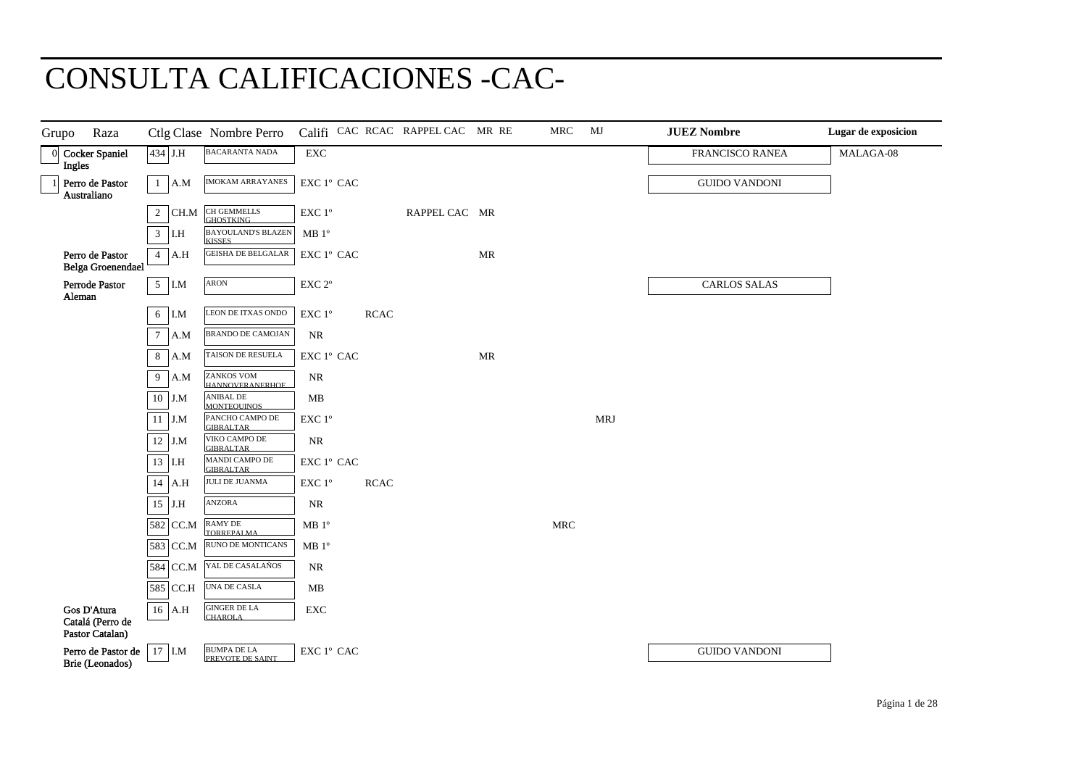## CONSULTA CALIFICACIONES -CAC-

| Raza<br>Grupo                                      |                         | Ctlg Clase Nombre Perro                     |                                                                     |             | Califi CAC RCAC RAPPEL CAC MR RE |                                   | MRC                  | MJ         | <b>JUEZ Nombre</b>   | Lugar de exposicion |
|----------------------------------------------------|-------------------------|---------------------------------------------|---------------------------------------------------------------------|-------------|----------------------------------|-----------------------------------|----------------------|------------|----------------------|---------------------|
| 0 Cocker Spaniel<br><b>Ingles</b>                  | 434 J.H                 | <b>BACARANTA NADA</b>                       | ${\rm EXC}$                                                         |             |                                  |                                   |                      |            | FRANCISCO RANEA      | MALAGA-08           |
| Perro de Pastor<br>Australiano                     | $\mathbf{1}$<br>A.M     | <b>IMOKAM ARRAYANES</b>                     | $\mathop{\rm EXC}\nolimits$ $1^{\rm o}$ $\mathop{\rm CAC}\nolimits$ |             |                                  |                                   |                      |            | <b>GUIDO VANDONI</b> |                     |
|                                                    | $\overline{2}$<br>CH.M  | CH GEMMELLS<br><b>GHOSTKING</b>             | $\ensuremath{\mathrm{EXC}}$ $1^\mathrm{o}$                          |             | RAPPEL CAC MR                    |                                   |                      |            |                      |                     |
|                                                    | $\mathfrak{Z}$<br>I.H   | <b>BAYOULAND'S BLAZEN</b><br><b>KISSES</b>  | MB <sup>0</sup>                                                     |             |                                  |                                   |                      |            |                      |                     |
| Perro de Pastor<br>Belga Groenendael               | $\overline{4}$<br>A.H   | <b>GEISHA DE BELGALAR</b>                   | $\mathop{\rm EXC}\nolimits$ $1^{\rm o}$ $\mathop{\rm CAC}\nolimits$ |             |                                  | $\ensuremath{\mathsf{MR}}\xspace$ |                      |            |                      |                     |
| Perrode Pastor<br>Aleman                           | 5 <sup>5</sup><br>$I.M$ | ARON                                        | $\ensuremath{\mathrm{EXC}}$ $2^\mathrm{o}$                          |             |                                  |                                   |                      |            | <b>CARLOS SALAS</b>  |                     |
|                                                    | 6<br>I.M                | LEON DE ITXAS ONDO                          | $\ensuremath{\mathrm{EXC}}$ $1^{\mathrm{o}}$                        | <b>RCAC</b> |                                  |                                   |                      |            |                      |                     |
|                                                    | $\tau$<br>A.M           | <b>BRANDO DE CAMOJAN</b>                    | NR                                                                  |             |                                  |                                   |                      |            |                      |                     |
|                                                    | 8<br>A.M                | TAISON DE RESUELA                           | $\mathop{\rm EXC}\nolimits$ $1^{\rm o}$ $\mathop{\rm CAC}\nolimits$ |             |                                  | MR                                |                      |            |                      |                     |
|                                                    | 9<br>A.M                | <b>ZANKOS VOM</b><br><b>HANNOVERANERHOF</b> | $\rm NR$                                                            |             |                                  |                                   |                      |            |                      |                     |
|                                                    | $10$ J.M                | ANIBAL DE<br><b>MONTEOUINOS</b>             | MB                                                                  |             |                                  |                                   |                      |            |                      |                     |
|                                                    | 11<br>J.M               | PANCHO CAMPO DE<br><b>GIBRALTAR</b>         | $\ensuremath{\mathrm{EXC}}$ $1^\mathrm{o}$                          |             |                                  |                                   |                      | <b>MRJ</b> |                      |                     |
|                                                    | $12$ J.M                | VIKO CAMPO DE<br><b>GIBRALTAR</b>           | $\rm NR$                                                            |             |                                  |                                   |                      |            |                      |                     |
|                                                    | 13 I.H                  | <b>MANDI CAMPO DE</b><br><b>GIBRALTAR</b>   | EXC 1° CAC                                                          |             |                                  |                                   |                      |            |                      |                     |
|                                                    | 14 A.H                  | <b>JULI DE JUANMA</b>                       | EXC 1°                                                              | <b>RCAC</b> |                                  |                                   |                      |            |                      |                     |
|                                                    | $15$ J.H                | ANZORA                                      | $\rm NR$                                                            |             |                                  |                                   |                      |            |                      |                     |
|                                                    | 582 CC.M                | RAMY DE<br><b>TORREPALMA</b>                | MB 1 <sup>o</sup>                                                   |             |                                  |                                   | $\operatorname{MRC}$ |            |                      |                     |
|                                                    | 583 CC.M                | RUNO DE MONTICANS                           | MB 1 <sup>o</sup>                                                   |             |                                  |                                   |                      |            |                      |                     |
|                                                    | 584 CC.M                | YAL DE CASALAÑOS                            | $\rm NR$                                                            |             |                                  |                                   |                      |            |                      |                     |
|                                                    | 585 CC.H                | <b>UNA DE CASLA</b>                         | MB                                                                  |             |                                  |                                   |                      |            |                      |                     |
| Gos D'Atura<br>Catalá (Perro de<br>Pastor Catalan) | $16$ A.H                | <b>GINGER DE LA</b><br><b>CHAROLA</b>       | ${\rm EXC}$                                                         |             |                                  |                                   |                      |            |                      |                     |
| Perro de Pastor de<br>Brie (Leonados)              | $17$ I.M                | <b>BUMPA DE LA</b><br>PREVOTE DE SAINT      | $\mathop{\rm EXC}\nolimits$ $1^{\rm o}$ $\mathop{\rm CAC}\nolimits$ |             |                                  |                                   |                      |            | <b>GUIDO VANDONI</b> |                     |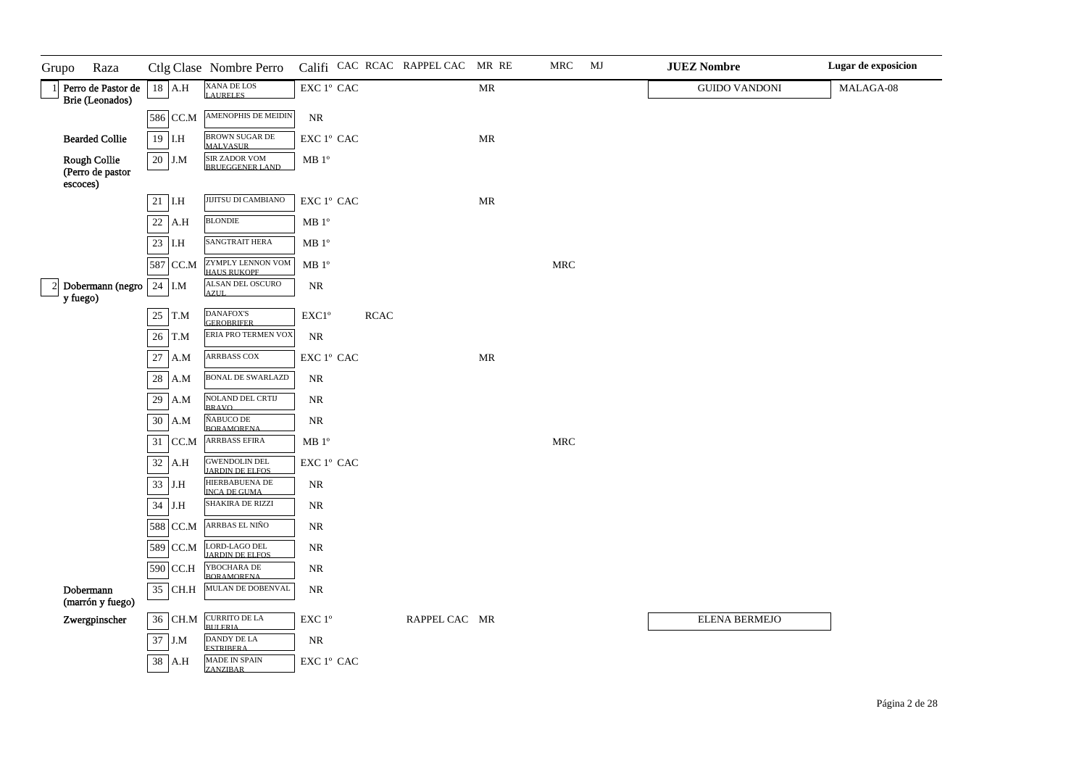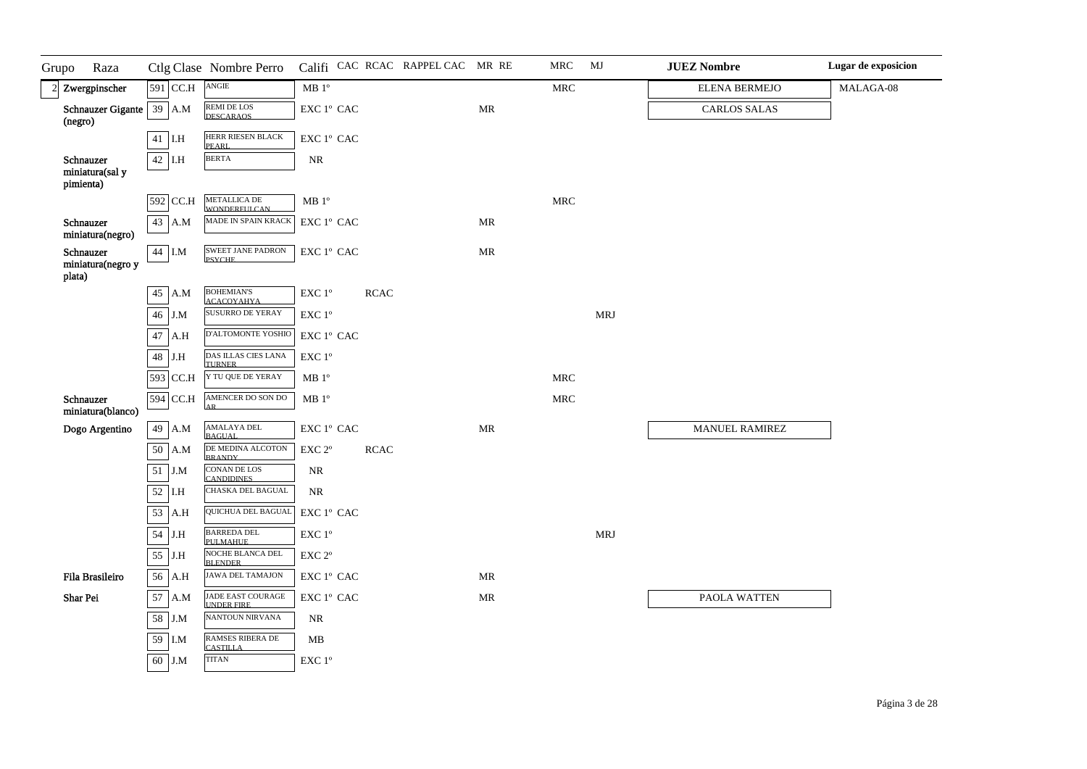| Grupo<br>Raza                           |               | Ctlg Clase Nombre Perro                    |                                                  |             | Califi CAC RCAC RAPPEL CAC MR RE |                                   | MRC                  | MJ         | <b>JUEZ Nombre</b>    | Lugar de exposicion |
|-----------------------------------------|---------------|--------------------------------------------|--------------------------------------------------|-------------|----------------------------------|-----------------------------------|----------------------|------------|-----------------------|---------------------|
| 2 Zwergpinscher                         | 591 CC.H      | $\operatorname{ANGIE}$                     | $MB 1^{\circ}$                                   |             |                                  |                                   | <b>MRC</b>           |            | <b>ELENA BERMEJO</b>  | MALAGA-08           |
| Schnauzer Gigante   39   A.M<br>(negro) |               | REMI DE LOS<br>DESCARAOS                   | EXC 1º CAC                                       |             |                                  | $\ensuremath{\mathsf{MR}}\xspace$ |                      |            | <b>CARLOS SALAS</b>   |                     |
|                                         | $41$ I.H      | HERR RIESEN BLACK<br>PEARL.                | EXC 1º CAC                                       |             |                                  |                                   |                      |            |                       |                     |
| Schnauzer<br>miniatura(sal y            | $42$ I.H      | <b>BERTA</b>                               | <b>NR</b>                                        |             |                                  |                                   |                      |            |                       |                     |
| pimienta)                               |               |                                            |                                                  |             |                                  |                                   |                      |            |                       |                     |
|                                         | 592 CC.H      | <b>METALLICA DE</b><br><b>WONDERFULCAN</b> | $\rm MB$ $1^{\rm o}$                             |             |                                  |                                   | $\operatorname{MRC}$ |            |                       |                     |
| Schnauzer<br>miniatura(negro)           | 43 A.M        | MADE IN SPAIN KRACK                        | EXC 1° CAC                                       |             |                                  | MR                                |                      |            |                       |                     |
| Schnauzer<br>miniatura(negro y          | 44 I.M        | <b>SWEET JANE PADRON</b><br><b>PSYCHE</b>  | EXC 1° CAC                                       |             |                                  | MR                                |                      |            |                       |                     |
| plata)                                  |               |                                            |                                                  |             |                                  |                                   |                      |            |                       |                     |
|                                         | 45<br>A.M     | <b>BOHEMIAN'S</b><br><b>ACACOYAHYA</b>     | $\ensuremath{\mathrm{EXC}}$ $1^{\mathrm{o}}$     | <b>RCAC</b> |                                  |                                   |                      |            |                       |                     |
|                                         | $46\,$<br>J.M | <b>SUSURRO DE YERAY</b>                    | EXC 1°                                           |             |                                  |                                   |                      | <b>MRJ</b> |                       |                     |
|                                         | $47\,$<br>A.H | D'ALTOMONTE YOSHIC                         | EXC 1° CAC                                       |             |                                  |                                   |                      |            |                       |                     |
|                                         | 48<br>J.H     | DAS ILLAS CIES LANA<br><b>TURNER</b>       | EXC 1°                                           |             |                                  |                                   |                      |            |                       |                     |
|                                         | 593 CC.H      | Y TU QUE DE YERAY                          | MB <sup>o</sup>                                  |             |                                  |                                   | $\operatorname{MRC}$ |            |                       |                     |
| Schnauzer<br>miniatura(blanco)          | 594 CC.H      | AMENCER DO SON DO<br>AR                    | MB 1 <sup>o</sup>                                |             |                                  |                                   | <b>MRC</b>           |            |                       |                     |
| Dogo Argentino                          | 49<br>A.M     | AMALAYA DEL<br><b>BAGUAL</b>               | EXC 1° CAC                                       |             |                                  | $\ensuremath{\mathsf{MR}}\xspace$ |                      |            | <b>MANUEL RAMIREZ</b> |                     |
|                                         | 50<br>A.M     | DE MEDINA ALCOTON<br><b>BRANDY</b>         | EXC 2°                                           | <b>RCAC</b> |                                  |                                   |                      |            |                       |                     |
|                                         | 51<br>J.M     | <b>CONAN DE LOS</b><br><b>CANDIDINES</b>   | NR                                               |             |                                  |                                   |                      |            |                       |                     |
|                                         | 52<br>I.H     | <b>CHASKA DEL BAGUAL</b>                   | $\rm NR$                                         |             |                                  |                                   |                      |            |                       |                     |
|                                         | 53<br>A.H     | QUICHUA DEL BAGUAL                         | EXC 1° CAC                                       |             |                                  |                                   |                      |            |                       |                     |
|                                         | 54<br>J.H     | <b>BARREDA DEL</b><br><b>PHLMAHHE</b>      | $\ensuremath{\mathrm{EXC}}$ $1^{\mathrm{o}}$     |             |                                  |                                   |                      | <b>MRJ</b> |                       |                     |
|                                         | 55<br>J.H     | NOCHE BLANCA DEL<br><b>BLENDER</b>         | EXC 2°                                           |             |                                  |                                   |                      |            |                       |                     |
| Fila Brasileiro                         | 56<br>A.H     | <b>JAWA DEL TAMAJON</b>                    | $\ensuremath{\mathrm{EXC}}$ $1^{\mathrm{o}}$ CAC |             |                                  | MR                                |                      |            |                       |                     |
| Shar Pei                                | 57<br>A.M     | JADE EAST COURAGE<br><b>UNDER FIRE</b>     | EXC 1° CAC                                       |             |                                  | $\ensuremath{\mathsf{MR}}\xspace$ |                      |            | PAOLA WATTEN          |                     |
|                                         | 58<br>J.M     | <b>NANTOUN NIRVANA</b>                     | NR                                               |             |                                  |                                   |                      |            |                       |                     |
|                                         | 59<br>I.M     | RAMSES RIBERA DE<br><b>CASTILLA</b>        | MB                                               |             |                                  |                                   |                      |            |                       |                     |
|                                         | 60<br>J.M     | <b>TITAN</b>                               | $\ensuremath{\mathrm{EXC}}$ $1^\mathrm{o}$       |             |                                  |                                   |                      |            |                       |                     |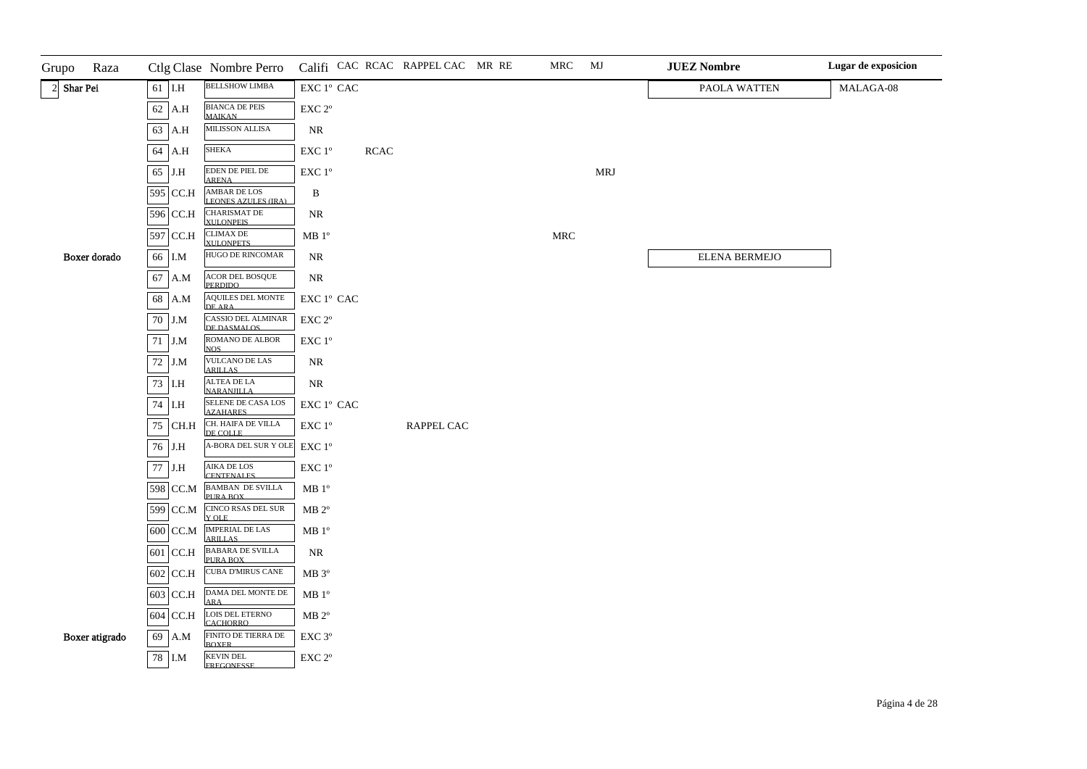| Raza<br>Grupo  |            | Ctlg Clase Nombre Perro                          |                                                                     |             | Califi CAC RCAC RAPPEL CAC MR RE | MRC                  | MJ  | <b>JUEZ Nombre</b> | Lugar de exposicion |
|----------------|------------|--------------------------------------------------|---------------------------------------------------------------------|-------------|----------------------------------|----------------------|-----|--------------------|---------------------|
| $2$ Shar Pei   | $61$ I.H   | <b>BELLSHOW LIMBA</b>                            | $\mathop{\rm EXC}\nolimits$ $1^{\rm o}$ $\mathop{\rm CAC}\nolimits$ |             |                                  |                      |     | PAOLA WATTEN       | MALAGA-08           |
|                | 62 A.H     | <b>BIANCA DE PEIS</b><br><b>MAIKAN</b>           | EXC 2°                                                              |             |                                  |                      |     |                    |                     |
|                | 63 A.H     | MILISSON ALLISA                                  | NR                                                                  |             |                                  |                      |     |                    |                     |
|                | 64 A.H     | <b>SHEKA</b>                                     | EXC 1°                                                              | <b>RCAC</b> |                                  |                      |     |                    |                     |
|                | 65 J.H     | EDEN DE PIEL DE<br><b>ARENA</b>                  | $\ensuremath{\mathrm{EXC}}$ $1^{\mathrm{o}}$                        |             |                                  |                      | MRJ |                    |                     |
|                | 595 CC.H   | AMBAR DE LOS<br><b>LEONES AZULES (IRA)</b>       | B                                                                   |             |                                  |                      |     |                    |                     |
|                | 596 CC.H   | CHARISMAT DE<br>XULONPEIS                        | <b>NR</b>                                                           |             |                                  |                      |     |                    |                     |
|                | 597 CC.H   | <b>CLIMAX DE</b><br>XIII ONPETS                  | $\rm MB$ $1^{\rm o}$                                                |             |                                  | $\operatorname{MRC}$ |     |                    |                     |
| Boxer dorado   | 66 I.M     | HUGO DE RINCOMAR                                 | <b>NR</b>                                                           |             |                                  |                      |     | ELENA BERMEJO      |                     |
|                | 67 A.M     | ACOR DEL BOSQUE<br>PERDIDO.                      | NR                                                                  |             |                                  |                      |     |                    |                     |
|                | 68 A.M     | <b>AQUILES DEL MONTE</b><br>DE ARA               | EXC 1º CAC                                                          |             |                                  |                      |     |                    |                     |
|                | $70$ J.M   | CASSIO DEL ALMINAR<br>DE DASMALOS                | EXC 2°                                                              |             |                                  |                      |     |                    |                     |
|                | $71$ J.M   | ROMANO DE ALBOR<br><b>NOS</b>                    | EXC 1°                                                              |             |                                  |                      |     |                    |                     |
|                | 72 J.M     | VULCANO DE LAS<br><b>ARILLAS</b>                 | NR                                                                  |             |                                  |                      |     |                    |                     |
|                | $73$ I.H   | ALTEA DE LA<br><b>NARANJILLA</b>                 | $\rm NR$                                                            |             |                                  |                      |     |                    |                     |
|                | $74$ I.H   | SELENE DE CASA LOS<br><b>AZAHARES</b>            | EXC 1º CAC                                                          |             |                                  |                      |     |                    |                     |
|                | 75 CH.H    | CH. HAIFA DE VILLA<br>DE COLLE                   | EXC 1°                                                              |             | RAPPEL CAC                       |                      |     |                    |                     |
|                | 76 J.H     | A-BORA DEL SUR Y OLE                             | EXC 1°                                                              |             |                                  |                      |     |                    |                     |
|                | $77\,$ J.H | AIKA DE LOS<br><b>CENTENALES</b>                 | $\ensuremath{\mathrm{EXC}}$ $1^{\mathrm{o}}$                        |             |                                  |                      |     |                    |                     |
|                | 598 CC.M   | BAMBAN DE SVILLA<br>PURA BOX                     | $\rm MB$ $1^{\rm o}$                                                |             |                                  |                      |     |                    |                     |
|                | 599 CC.M   | CINCO RSAS DEL SUR<br>Y OLE                      | $MB 2^{\circ}$                                                      |             |                                  |                      |     |                    |                     |
|                | $600$ CC.M | IMPERIAL DE LAS<br><b>ARILLAS</b>                | $\rm MB$ $1^{\rm o}$                                                |             |                                  |                      |     |                    |                     |
|                | 601 CC.H   | <b>BABARA DE SVILLA</b><br>PURA BOX              | <b>NR</b>                                                           |             |                                  |                      |     |                    |                     |
|                | $602$ CC.H | <b>CUBA D'MIRUS CANE</b>                         | MB 3°                                                               |             |                                  |                      |     |                    |                     |
|                | $603$ CC.H | $\overline{\rm DAMA}$ DEL MONTE DE<br><b>ARA</b> | MB <sup>o</sup>                                                     |             |                                  |                      |     |                    |                     |
|                | 604 CC.H   | LOIS DEL ETERNO<br><b>CACHORRO</b>               | $\rm MB$ $2^{\rm o}$                                                |             |                                  |                      |     |                    |                     |
| Boxer atigrado | 69 A.M     | FINITO DE TIERRA DE<br><b>BOXER</b>              | EXC 3 <sup>o</sup>                                                  |             |                                  |                      |     |                    |                     |
|                | 78 I.M     | <b>KEVIN DEL</b><br><b>FREGONESSE</b>            | $\ensuremath{\mathrm{EXC}}$ $2^{\mathrm{o}}$                        |             |                                  |                      |     |                    |                     |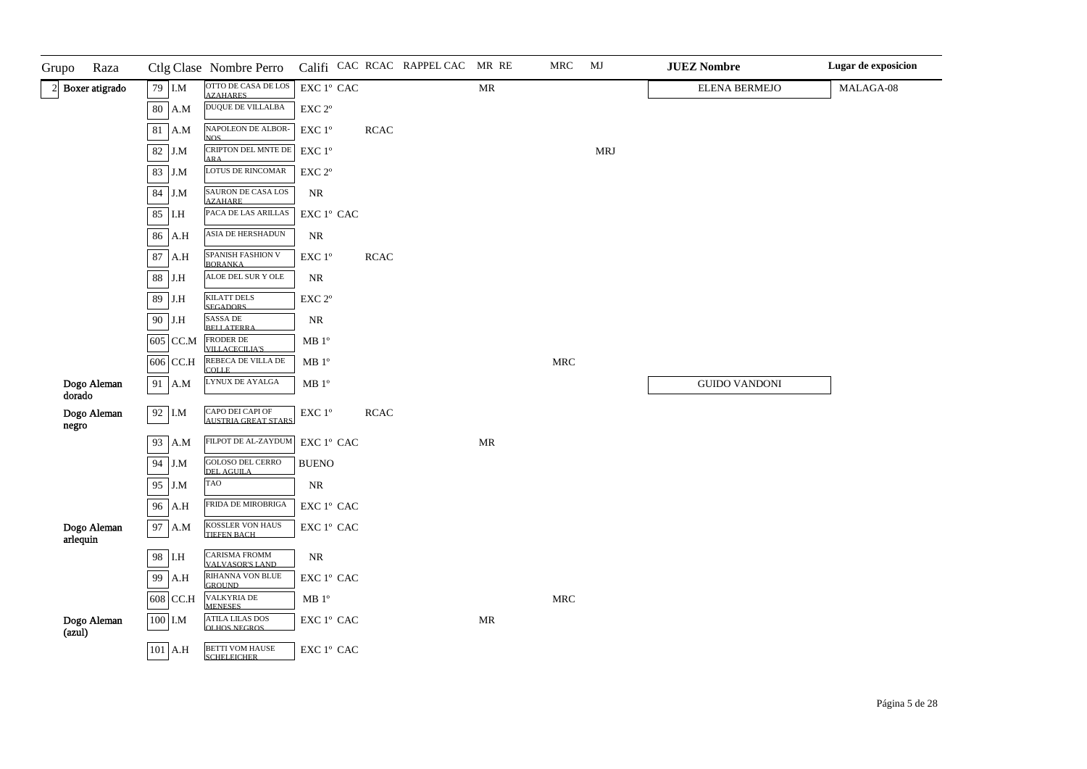| Grupo    | Raza             |           |              | Ctlg Clase Nombre Perro                       |                                              |             | Califi CAC RCAC RAPPEL CAC MR RE |                                   | MRC        | MJ         | <b>JUEZ Nombre</b>   | Lugar de exposicion |
|----------|------------------|-----------|--------------|-----------------------------------------------|----------------------------------------------|-------------|----------------------------------|-----------------------------------|------------|------------|----------------------|---------------------|
|          | 2 Boxer atigrado |           | 79 I.M       | OTTO DE CASA DE LOS<br><b>AZAHARES</b>        | EXC 1º CAC                                   |             |                                  | <b>MR</b>                         |            |            | <b>ELENA BERMEJO</b> | MALAGA-08           |
|          |                  |           | 80 A.M       | <b>DUQUE DE VILLALBA</b>                      | EXC 2°                                       |             |                                  |                                   |            |            |                      |                     |
|          |                  | $81\,$    | A.M          | NAPOLEON DE ALBOR-<br>NOS.                    | $\ensuremath{\mathrm{EXC}}$ $1^{\mathrm{o}}$ | $\sf RCAC$  |                                  |                                   |            |            |                      |                     |
|          |                  | 82 J.M    |              | CRIPTON DEL MNTE DE<br><b>ARA</b>             | EXC 1°                                       |             |                                  |                                   |            | <b>MRJ</b> |                      |                     |
|          |                  | 83 J.M    |              | LOTUS DE RINCOMAR                             | EXC 2°                                       |             |                                  |                                   |            |            |                      |                     |
|          |                  |           | 84 J.M       | SAURON DE CASA LOS<br><b>AZAHARE</b>          | <b>NR</b>                                    |             |                                  |                                   |            |            |                      |                     |
|          |                  | 85        | I.H          | PACA DE LAS ARILLAS                           | EXC 1º CAC                                   |             |                                  |                                   |            |            |                      |                     |
|          |                  | 86        | $\rm A.H$    | ASIA DE HERSHADUN                             | <b>NR</b>                                    |             |                                  |                                   |            |            |                      |                     |
|          |                  | $87\,$    | $\rm A.H$    | SPANISH FASHION V<br><b>BORANKA</b>           | EXC 1°                                       | <b>RCAC</b> |                                  |                                   |            |            |                      |                     |
|          |                  | 88 J.H    |              | ALOE DEL SUR Y OLE                            | <b>NR</b>                                    |             |                                  |                                   |            |            |                      |                     |
|          |                  | 89 J.H    |              | <b>KILATT DELS</b><br><b>SEGADORS</b>         | EXC 2°                                       |             |                                  |                                   |            |            |                      |                     |
|          |                  | 90 J.H    |              | SASSA DE<br><b>BELLATERRA</b>                 | $\rm NR$                                     |             |                                  |                                   |            |            |                      |                     |
|          |                  |           | 605 CC.M     | FRODER DE<br><b>VILLACECILIA'S</b>            | $MB 1^{\circ}$                               |             |                                  |                                   |            |            |                      |                     |
|          |                  |           | 606 CC.H     | REBECA DE VILLA DE<br><b>COLLE</b>            | $\rm MB$ $1^{\rm o}$                         |             |                                  |                                   | <b>MRC</b> |            |                      |                     |
| dorado   | Dogo Aleman      |           | 91 A.M       | LYNUX DE AYALGA                               | $\rm MB$ $1^{\rm o}$                         |             |                                  |                                   |            |            | <b>GUIDO VANDONI</b> |                     |
| negro    | Dogo Aleman      | 92 I.M    |              | CAPO DEI CAPI OF<br>AUSTRIA GREAT STARS       | EXC 1°                                       | <b>RCAC</b> |                                  |                                   |            |            |                      |                     |
|          |                  | 93        | A.M          | FILPOT DE AL-ZAYDUM                           | EXC 1º CAC                                   |             |                                  | $\ensuremath{\mathsf{MR}}\xspace$ |            |            |                      |                     |
|          |                  |           | 94 J.M       | GOLOSO DEL CERRO<br>DEL AGUILA                | <b>BUENO</b>                                 |             |                                  |                                   |            |            |                      |                     |
|          |                  | 95        | $_{\rm J.M}$ | TAO                                           | NR                                           |             |                                  |                                   |            |            |                      |                     |
|          |                  | 96        | A.H          | FRIDA DE MIROBRIGA                            | EXC 1º CAC                                   |             |                                  |                                   |            |            |                      |                     |
| arlequin | Dogo Aleman      | 97        | A.M          | KOSSLER VON HAUS<br>TIEFEN BACH               | EXC 1° CAC                                   |             |                                  |                                   |            |            |                      |                     |
|          |                  | 98        | ${\it I.H}$  | CARISMA FROMM<br>VALVASOR'S LAND              | $\rm NR$                                     |             |                                  |                                   |            |            |                      |                     |
|          |                  |           | 99 A.H       | RIHANNA VON BLUE<br><b>GROUND</b>             | EXC 1° CAC                                   |             |                                  |                                   |            |            |                      |                     |
|          |                  |           | 608 CC.H     | VALKYRIA DE<br><b>MENESES</b>                 | $\rm MB$ $1^{\rm o}$                         |             |                                  |                                   | <b>MRC</b> |            |                      |                     |
| (azul)   | Dogo Aleman      | $100$ I.M |              | <b>ATILA LILAS DOS</b><br><b>OLHOS NEGROS</b> | EXC 1º CAC                                   |             |                                  | $\ensuremath{\mathbf{MR}}\xspace$ |            |            |                      |                     |
|          |                  |           | $101$ A.H    | <b>BETTI VOM HAUSE</b><br><b>SCHELEICHER</b>  | EXC 1º CAC                                   |             |                                  |                                   |            |            |                      |                     |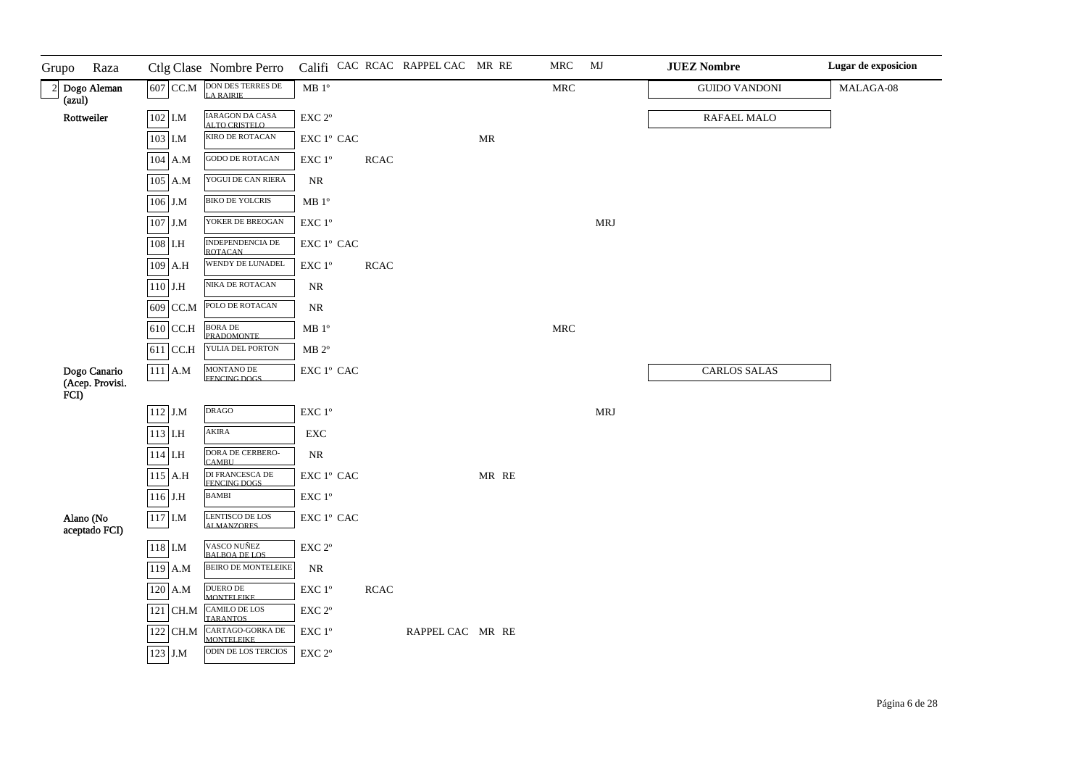| Grupo  | Raza                            |           | Ctlg Clase Nombre Perro               |                                                 |             | Califi CAC RCAC RAPPEL CAC MR RE |                                   | MRC                  | MJ         | <b>JUEZ Nombre</b>   | Lugar de exposicion |
|--------|---------------------------------|-----------|---------------------------------------|-------------------------------------------------|-------------|----------------------------------|-----------------------------------|----------------------|------------|----------------------|---------------------|
| (azul) | 2 Dogo Aleman                   | 607 CC.M  | DON DES TERRES DE LA RAIRIE           | $\rm MB$ $1^{\rm o}$                            |             |                                  |                                   | $\operatorname{MRC}$ |            | <b>GUIDO VANDONI</b> | MALAGA-08           |
|        | Rottweiler                      | 102 I.M   | IARAGON DA CASA<br>ALTO CRISTELO      | $\ensuremath{\mathrm{EXC}}$ $2^{\mathrm{o}}$    |             |                                  |                                   |                      |            | RAFAEL MALO          |                     |
|        |                                 | 103 I.M   | KIRO DE ROTACAN                       | EXC 1º CAC                                      |             |                                  | $\ensuremath{\mathsf{MR}}\xspace$ |                      |            |                      |                     |
|        |                                 | 104 A.M   | <b>GODO DE ROTACAN</b>                | EXC 1°                                          | <b>RCAC</b> |                                  |                                   |                      |            |                      |                     |
|        |                                 | $105$ A.M | YOGUI DE CAN RIERA                    | $\rm NR$                                        |             |                                  |                                   |                      |            |                      |                     |
|        |                                 | $106$ J.M | <b>BIKO DE YOLCRIS</b>                | $MB 1^{\circ}$                                  |             |                                  |                                   |                      |            |                      |                     |
|        |                                 | $107$ J.M | YOKER DE BREOGAN                      | EXC 1°                                          |             |                                  |                                   |                      | <b>MRJ</b> |                      |                     |
|        |                                 | $108$ I.H | INDEPENDENCIA DE<br><b>ROTACAN</b>    | EXC 1º CAC                                      |             |                                  |                                   |                      |            |                      |                     |
|        |                                 | $109$ A.H | WENDY DE LUNADEL                      | $\ensuremath{\mathrm{EXC}}$<br>$1^{\mathrm{o}}$ | <b>RCAC</b> |                                  |                                   |                      |            |                      |                     |
|        |                                 | $110$ J.H | NIKA DE ROTACAN                       | NR                                              |             |                                  |                                   |                      |            |                      |                     |
|        |                                 | 609 CC.M  | POLO DE ROTACAN                       | $\rm NR$                                        |             |                                  |                                   |                      |            |                      |                     |
|        |                                 | 610 CC.H  | <b>BORA DE</b><br>PRADOMONTE          | $\rm MB$ $1^{\rm o}$                            |             |                                  |                                   | $\operatorname{MRC}$ |            |                      |                     |
|        |                                 | 611 CC.H  | YULIA DEL PORTON                      | $MB 2^{\circ}$                                  |             |                                  |                                   |                      |            |                      |                     |
| FCI)   | Dogo Canario<br>(Acep. Provisi. | $111$ A.M | MONTANO DE<br>FENCING DOGS            | EXC 1º CAC                                      |             |                                  |                                   |                      |            | <b>CARLOS SALAS</b>  |                     |
|        |                                 | $112$ J.M | <b>DRAGO</b>                          | $\ensuremath{\mathrm{EXC}}$ $1^{\mathrm{o}}$    |             |                                  |                                   |                      | <b>MRJ</b> |                      |                     |
|        |                                 | 113 I.H   | AKIRA                                 | ${\rm EXC}$                                     |             |                                  |                                   |                      |            |                      |                     |
|        |                                 | $114$ I.H | DORA DE CERBERO-<br>CAMBU             | $\rm NR$                                        |             |                                  |                                   |                      |            |                      |                     |
|        |                                 | $115$ A.H | DI FRANCESCA DE<br>FENCING DOGS       | EXC 1° CAC                                      |             |                                  | MR RE                             |                      |            |                      |                     |
|        |                                 | $116$ J.H | <b>BAMBI</b>                          | $\ensuremath{\mathrm{EXC}}$<br>$1^{\mathrm{o}}$ |             |                                  |                                   |                      |            |                      |                     |
|        | Alano (No<br>aceptado FCI)      | $117$ I.M | LENTISCO DE LOS<br>ALMANZORES         | EXC 1º CAC                                      |             |                                  |                                   |                      |            |                      |                     |
|        |                                 | $118$ I.M | VASCO NUÑEZ<br>BALBOA DE LOS          | $\ensuremath{\mathrm{EXC}}$ $2^{\mathrm{o}}$    |             |                                  |                                   |                      |            |                      |                     |
|        |                                 | $119$ A.M | <b>BEIRO DE MONTELEIKE</b>            | $\rm NR$                                        |             |                                  |                                   |                      |            |                      |                     |
|        |                                 | 120 A.M   | DUERO DE<br>MONTELEIKE                | EXC 1°                                          | <b>RCAC</b> |                                  |                                   |                      |            |                      |                     |
|        |                                 | 121 CH.M  | CAMILO DE LOS<br>TARANTOS             | EXC 2°                                          |             |                                  |                                   |                      |            |                      |                     |
|        |                                 | 122 CH.M  | CARTAGO-GORKA DE<br><b>MONTELEIKE</b> | EXC 1°                                          |             | RAPPEL CAC MR RE                 |                                   |                      |            |                      |                     |
|        |                                 | 123 J.M   | ODIN DE LOS TERCIOS                   | EXC 2°                                          |             |                                  |                                   |                      |            |                      |                     |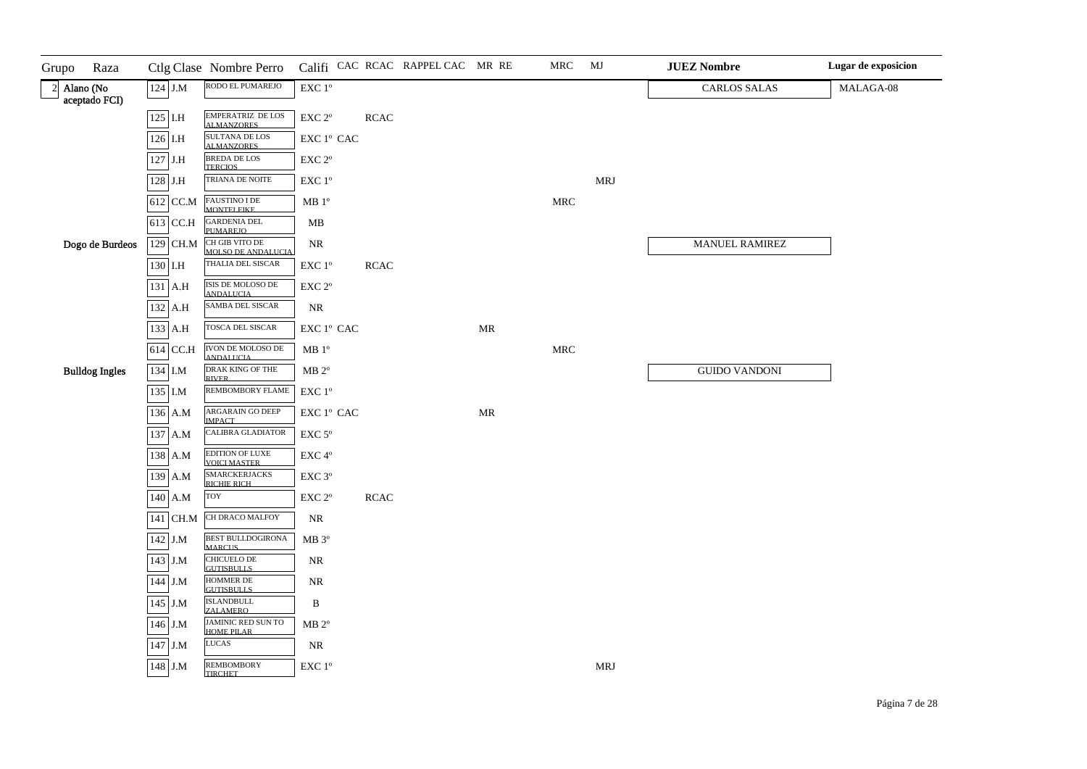| Grupo<br>Raza                  |            | Ctlg Clase Nombre Perro                        |                                                                     |             | Califi CAC RCAC RAPPEL CAC MR RE |                                   | MRC                  | MJ         | <b>JUEZ Nombre</b>   | Lugar de exposicion |
|--------------------------------|------------|------------------------------------------------|---------------------------------------------------------------------|-------------|----------------------------------|-----------------------------------|----------------------|------------|----------------------|---------------------|
| $2$ Alano (No<br>aceptado FCI) | $124$ J.M  | RODO EL PUMAREJO                               | $\ensuremath{\mathrm{EXC}}$ $1^{\mathrm{o}}$                        |             |                                  |                                   |                      |            | <b>CARLOS SALAS</b>  | MALAGA-08           |
|                                | $125$ I.H  | EMPERATRIZ DE LOS<br><b>ALMANZORES</b>         | $\ensuremath{\mathrm{EXC}}$ $2^{\mathrm{o}}$                        | <b>RCAC</b> |                                  |                                   |                      |            |                      |                     |
|                                | $126$ I.H  | <b>SULTANA DE LOS</b><br><b>ALMANZORES</b>     | $\mathop{\rm EXC}\nolimits$ $1^{\rm o}$ $\mathop{\rm CAC}\nolimits$ |             |                                  |                                   |                      |            |                      |                     |
|                                | $127$ J.H  | <b>BREDA DE LOS</b><br><b>TERCIOS</b>          | $\ensuremath{\mathrm{EXC}}$ $2^{\mathrm{o}}$                        |             |                                  |                                   |                      |            |                      |                     |
|                                | $128$ J.H  | TRIANA DE NOITE                                | EXC 1°                                                              |             |                                  |                                   |                      | <b>MRJ</b> |                      |                     |
|                                | $612$ CC.M | FAUSTINO I DE<br>MONTELEIKE                    | MB 1 <sup>o</sup>                                                   |             |                                  |                                   | $\operatorname{MRC}$ |            |                      |                     |
|                                | $613$ CC.H | <b>GARDENIA DEL<br/>PUMAREIO</b>               | MB                                                                  |             |                                  |                                   |                      |            |                      |                     |
| Dogo de Burdeos                | 129 CH.M   | CH GIB VITO DE<br>MOLSO DE ANDALUCIA           | $\rm NR$                                                            |             |                                  |                                   |                      |            | MANUEL RAMIREZ       |                     |
|                                | 130 I.H    | THALIA DEL SISCAR                              | EXC 1°                                                              | <b>RCAC</b> |                                  |                                   |                      |            |                      |                     |
|                                | 131 A.H    | ISIS DE MOLOSO DE<br><b>ANDALUCIA</b>          | EXC 2°                                                              |             |                                  |                                   |                      |            |                      |                     |
|                                | 132 A.H    | SAMBA DEL SISCAR                               | NR                                                                  |             |                                  |                                   |                      |            |                      |                     |
|                                | 133 A.H    | <b>TOSCA DEL SISCAR</b>                        | $\mathop{\rm EXC}\nolimits$ $1^{\rm o}$ $\mathop{\rm CAC}\nolimits$ |             |                                  | MR                                |                      |            |                      |                     |
|                                | 614 CC.H   | <b>IVON DE MOLOSO DE</b><br><b>ANDALUCIA</b>   | $\rm MB$ $1^{\rm o}$                                                |             |                                  |                                   | $\operatorname{MRC}$ |            |                      |                     |
| <b>Bulldog Ingles</b>          | 134 I.M    | DRAK KING OF THE<br><b>RIVER</b>               | $\rm MB$ $2^{\rm o}$                                                |             |                                  |                                   |                      |            | <b>GUIDO VANDONI</b> |                     |
|                                | 135 I.M    | REMBOMBORY FLAME                               | $\ensuremath{\mathrm{EXC}}$ $1^{\mathrm{o}}$                        |             |                                  |                                   |                      |            |                      |                     |
|                                | 136 A.M    | ARGARAIN GO DEEP<br><b>IMPACT</b>              | $\mathop{\rm EXC}\nolimits$ $1^{\rm o}$ $\mathop{\rm CAC}\nolimits$ |             |                                  | $\ensuremath{\mathbf{MR}}\xspace$ |                      |            |                      |                     |
|                                | 137 A.M    | <b>CALIBRA GLADIATOR</b>                       | EXC <sub>5°</sub>                                                   |             |                                  |                                   |                      |            |                      |                     |
|                                | 138 A.M    | EDITION OF LUXE<br>VOICI MASTER                | $\ensuremath{\mathrm{EXC}}\,4^{\mathrm{o}}$                         |             |                                  |                                   |                      |            |                      |                     |
|                                | 139 A.M    | <b>SMARCKERJACKS</b><br>RICHIE RICH            | $\ensuremath{\mathrm{EXC}}$ $3^{\mathrm{o}}$                        |             |                                  |                                   |                      |            |                      |                     |
|                                | 140 A.M    | <b>TOY</b>                                     | $\ensuremath{\mathrm{EXC}}$ $2^{\mathrm{o}}$                        | <b>RCAC</b> |                                  |                                   |                      |            |                      |                     |
|                                | $141$ CH.M | CH DRACO MALFOY                                | NR                                                                  |             |                                  |                                   |                      |            |                      |                     |
|                                | 142 J.M    | <b>BEST BULLDOGIRONA</b><br><b>MARCUS</b>      | MB 3°                                                               |             |                                  |                                   |                      |            |                      |                     |
|                                | 143 J.M    | CHICUELO DE<br><b>GUTISBULLS</b>               | $\rm NR$                                                            |             |                                  |                                   |                      |            |                      |                     |
|                                | 144 J.M    | HOMMER DE<br><b>GUTISBULLS</b>                 | $\rm NR$                                                            |             |                                  |                                   |                      |            |                      |                     |
|                                | $145$ J.M  | <b>ISLANDBULL</b><br><b>ZALAMERO</b>           | B                                                                   |             |                                  |                                   |                      |            |                      |                     |
|                                | 146 J.M    | <b>JAMINIC RED SUN TO</b><br><b>HOME PILAR</b> | $MB 2^{\circ}$                                                      |             |                                  |                                   |                      |            |                      |                     |
|                                | 147 J.M    | <b>LUCAS</b>                                   | $\rm NR$                                                            |             |                                  |                                   |                      |            |                      |                     |
|                                | 148 J.M    | <b>REMBOMBORY</b><br><b>TIRCHET</b>            | $\ensuremath{\mathrm{EXC}}$<br>$1^{\mathrm{o}}$                     |             |                                  |                                   |                      | MRJ        |                      |                     |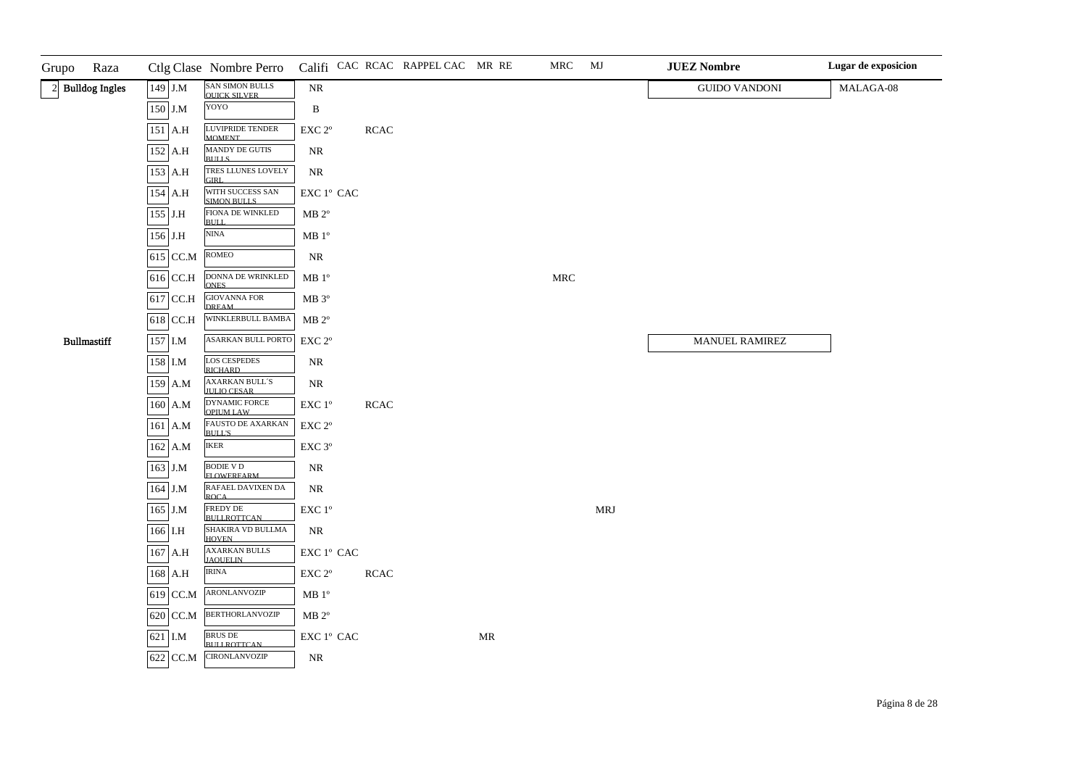| Grupo<br>Raza      |            | Ctlg Clase Nombre Perro                     |                                                                     |             | Califi CAC RCAC RAPPEL CAC MR RE |                                   | MRC                  | MJ         | <b>JUEZ Nombre</b>    | Lugar de exposicion |
|--------------------|------------|---------------------------------------------|---------------------------------------------------------------------|-------------|----------------------------------|-----------------------------------|----------------------|------------|-----------------------|---------------------|
| 2 Bulldog Ingles   | 149 J.M    | SAN SIMON BULLS<br><b>OUICK SILVER</b>      | <b>NR</b>                                                           |             |                                  |                                   |                      |            | <b>GUIDO VANDONI</b>  | MALAGA-08           |
|                    | 150 J.M    | YOYO                                        | B                                                                   |             |                                  |                                   |                      |            |                       |                     |
|                    | 151 A.H    | LUVIPRIDE TENDER<br><b>MOMENT</b>           | $\ensuremath{\mathrm{EXC}}$ $2^{\mathrm{o}}$                        | <b>RCAC</b> |                                  |                                   |                      |            |                       |                     |
|                    | 152 A.H    | MANDY DE GUTIS<br><b>BULLS</b>              | NR                                                                  |             |                                  |                                   |                      |            |                       |                     |
|                    | 153 A.H    | TRES LLUNES LOVELY<br>GIRL.                 | NR                                                                  |             |                                  |                                   |                      |            |                       |                     |
|                    | 154 A.H    | WITH SUCCESS SAN<br>SIMON BULLS             | $\mathop{\rm EXC}\nolimits$ $1^{\circ}$ $\mathop{\rm CAC}\nolimits$ |             |                                  |                                   |                      |            |                       |                     |
|                    | 155 J.H    | FIONA DE WINKLED<br>BULL.                   | $MB 2^{\circ}$                                                      |             |                                  |                                   |                      |            |                       |                     |
|                    | 156 J.H    | $\ensuremath{\mathrm{NINA}}$                | $MB 1^{\circ}$                                                      |             |                                  |                                   |                      |            |                       |                     |
|                    | 615 CC.M   | <b>ROMEO</b>                                | NR                                                                  |             |                                  |                                   |                      |            |                       |                     |
|                    | $616$ CC.H | <b>DONNA DE WRINKLED</b><br><b>ONES</b>     | $\rm MB$ $1^{\rm o}$                                                |             |                                  |                                   | $\operatorname{MRC}$ |            |                       |                     |
|                    | $617$ CC.H | <b>GIOVANNA FOR</b><br><b>DREAM</b>         | MB 3°                                                               |             |                                  |                                   |                      |            |                       |                     |
|                    | $618$ CC.H | WINKLERBULL BAMBA                           | $MB 2^{\circ}$                                                      |             |                                  |                                   |                      |            |                       |                     |
| <b>Bullmastiff</b> | 157 I.M    | ASARKAN BULL PORTO                          | $EXC 2^{\circ}$                                                     |             |                                  |                                   |                      |            | <b>MANUEL RAMIREZ</b> |                     |
|                    | 158 I.M    | <b>LOS CESPEDES</b><br><b>RICHARD</b>       | $\rm NR$                                                            |             |                                  |                                   |                      |            |                       |                     |
|                    | 159 A.M    | <b>AXARKAN BULL'S</b><br><b>JULIO CESAR</b> | NR                                                                  |             |                                  |                                   |                      |            |                       |                     |
|                    | 160 A.M    | <b>DYNAMIC FORCE</b><br><b>OPILIM LAW</b>   | EXC 1°                                                              | <b>RCAC</b> |                                  |                                   |                      |            |                       |                     |
|                    | 161 A.M    | <b>FAUSTO DE AXARKAN</b><br><b>BULL'S</b>   | $\ensuremath{\mathrm{EXC}}$ $2^{\mathrm{o}}$                        |             |                                  |                                   |                      |            |                       |                     |
|                    | $162$ A.M  | <b>IKER</b>                                 | EXC <sub>3°</sub>                                                   |             |                                  |                                   |                      |            |                       |                     |
|                    | $163$ J.M  | <b>BODIE V D</b><br><b>FLOWERFARM</b>       | NR                                                                  |             |                                  |                                   |                      |            |                       |                     |
|                    | 164 J.M    | RAFAEL DAVIXEN DA<br><b>ROCA</b>            | $\rm NR$                                                            |             |                                  |                                   |                      |            |                       |                     |
|                    | $165$ J.M  | FREDY DE<br><b>BULLROTTCAN</b>              | $\ensuremath{\mathrm{EXC}}$<br>$1^{\mathrm{o}}$                     |             |                                  |                                   |                      | <b>MRJ</b> |                       |                     |
|                    | 166 I.H    | SHAKIRA VD BULLMA<br><b>HOVEN</b>           | NR                                                                  |             |                                  |                                   |                      |            |                       |                     |
|                    | 167 A.H    | <b>AXARKAN BULLS</b><br><b>JAOUEL IN</b>    | $\mathop{\rm EXC}\nolimits$ $1^{\rm o}$ $\mathop{\rm CAC}\nolimits$ |             |                                  |                                   |                      |            |                       |                     |
|                    | 168 A.H    | <b>IRINA</b>                                | EXC 2°                                                              | <b>RCAC</b> |                                  |                                   |                      |            |                       |                     |
|                    | 619 CC.M   | <b>ARONLANVOZIP</b>                         | MB <sup>o</sup>                                                     |             |                                  |                                   |                      |            |                       |                     |
|                    | 620 CC.M   | <b>BERTHORLANVOZIP</b>                      | $MB 2^{\circ}$                                                      |             |                                  |                                   |                      |            |                       |                     |
|                    | 621 I.M    | BRUS DE<br><b>BULLROTTCAN</b>               | ${\rm EXC}$ $1^{\rm o}$ ${\rm CAC}$                                 |             |                                  | $\ensuremath{\mathsf{MR}}\xspace$ |                      |            |                       |                     |
|                    | 622 CC.M   | <b>CIRONLANVOZIP</b>                        | NR                                                                  |             |                                  |                                   |                      |            |                       |                     |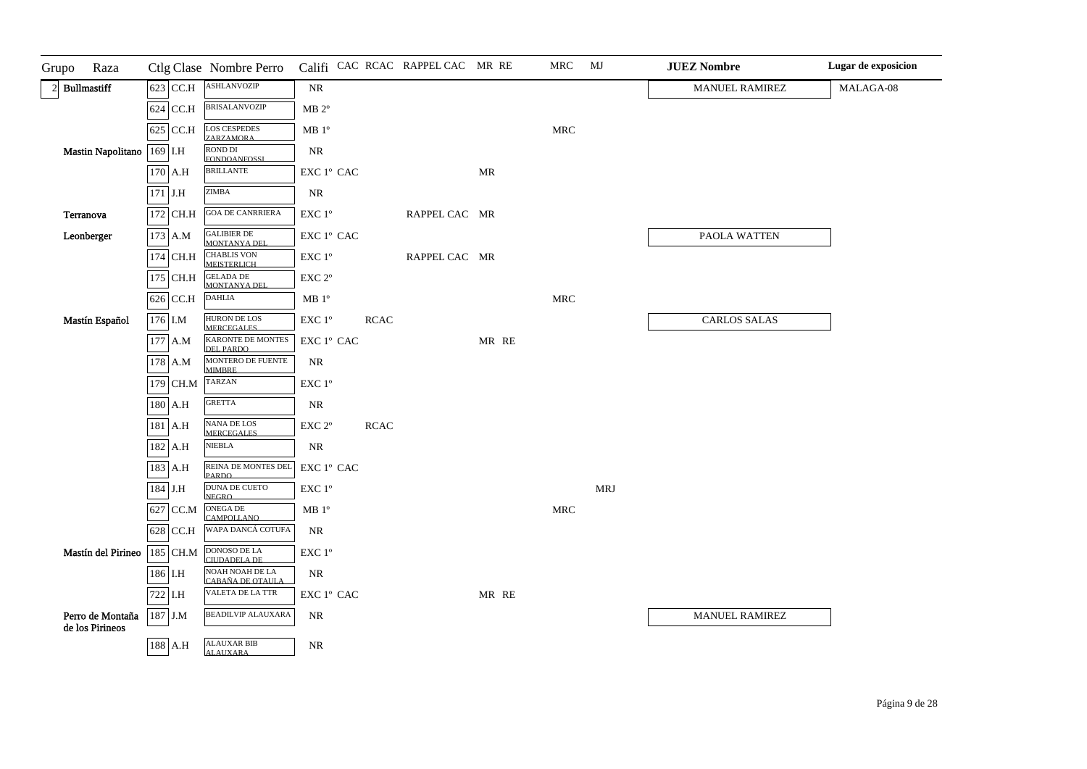| Grupo<br>Raza                       |             | Ctlg Clase Nombre Perro                  |                                                                     |             | Califi CAC RCAC RAPPEL CAC MR RE |       | MRC                  | MJ         | <b>JUEZ Nombre</b>    | Lugar de exposicion |
|-------------------------------------|-------------|------------------------------------------|---------------------------------------------------------------------|-------------|----------------------------------|-------|----------------------|------------|-----------------------|---------------------|
| $2$ Bullmastiff                     | $623$ CC.H  | <b>ASHLANVOZIP</b>                       | NR                                                                  |             |                                  |       |                      |            | <b>MANUEL RAMIREZ</b> | MALAGA-08           |
|                                     | $624$ CC.H  | <b>BRISALANVOZIP</b>                     | $MB 2^{\circ}$                                                      |             |                                  |       |                      |            |                       |                     |
|                                     | $625$ CC.H  | <b>LOS CESPEDES</b><br><b>ZARZAMORA</b>  | $\rm MB$ $1^{\rm o}$                                                |             |                                  |       | $\operatorname{MRC}$ |            |                       |                     |
| Mastin Napolitano                   | 169 I.H     | <b>ROND DI</b><br><b>FONDOANFOSSL</b>    | NR                                                                  |             |                                  |       |                      |            |                       |                     |
|                                     | 170 A.H     | <b>BRILLANTE</b>                         | EXC 1° CAC                                                          |             |                                  | MR    |                      |            |                       |                     |
|                                     | $171$ J.H   | <b>ZIMBA</b>                             | $\rm NR$                                                            |             |                                  |       |                      |            |                       |                     |
| Terranova                           | 172 CH.H    | <b>GOA DE CANRRIERA</b>                  | $\ensuremath{\mathrm{EXC}}$ $1^\mathrm{o}$                          |             | RAPPEL CAC MR                    |       |                      |            |                       |                     |
| Leonberger                          | 173 A.M     | <b>GALIBIER DE</b><br>MONTANYA DEL       | $\mathop{\rm EXC}\nolimits$ $1^{\rm o}$ $\mathop{\rm CAC}\nolimits$ |             |                                  |       |                      |            | PAOLA WATTEN          |                     |
|                                     | 174 CH.H    | CHABLIS VON<br>MEISTERLICH               | EXC 1°                                                              |             | RAPPEL CAC MR                    |       |                      |            |                       |                     |
|                                     | 175 CH.H    | <b>GELADA DE</b><br>MONTANYA DEL         | $\ensuremath{\mathrm{EXC}}$ $2^{\mathrm{o}}$                        |             |                                  |       |                      |            |                       |                     |
|                                     | 626 CC.H    | <b>DAHLIA</b>                            | MB 1 <sup>o</sup>                                                   |             |                                  |       | $\operatorname{MRC}$ |            |                       |                     |
| Mastín Español                      | 176 I.M     | <b>HURON DE LOS</b><br><b>MERCEGALES</b> | $\ensuremath{\mathrm{EXC}}$ $1^{\mathrm{o}}$                        | <b>RCAC</b> |                                  |       |                      |            | <b>CARLOS SALAS</b>   |                     |
|                                     | $177$ A.M   | KARONTE DE MONTES<br>DEL PARDO           | $\ensuremath{\mathrm{EXC}}$ $1^\mathrm{o}$ CAC                      |             |                                  | MR RE |                      |            |                       |                     |
|                                     | 178 A.M     | MONTERO DE FUENTE<br><b>MIMBRE</b>       | $\rm NR$                                                            |             |                                  |       |                      |            |                       |                     |
|                                     | 179 CH.M    | TARZAN                                   | $\ensuremath{\mathrm{EXC}}$<br>$1^{\mathrm{o}}$                     |             |                                  |       |                      |            |                       |                     |
|                                     | 180 A.H     | GRETTA                                   | $\rm NR$                                                            |             |                                  |       |                      |            |                       |                     |
|                                     | $181$ A.H   | NANA DE LOS<br>MERCEGALES                | $\ensuremath{\mathrm{EXC}}$ $2^{\mathrm{o}}$                        | <b>RCAC</b> |                                  |       |                      |            |                       |                     |
|                                     | 182 A.H     | <b>NIEBLA</b>                            | NR                                                                  |             |                                  |       |                      |            |                       |                     |
|                                     | 183 A.H     | REINA DE MONTES DEL<br><b>PARDO</b>      | $\ensuremath{\mathrm{EXC}}$ $1^\mathrm{o}$ CAC                      |             |                                  |       |                      |            |                       |                     |
|                                     | $184\,$ J.H | DUNA DE CUETO<br><b>NEGRO</b>            | $\ensuremath{\mathrm{EXC}}$<br>$1^{\mathrm{o}}$                     |             |                                  |       |                      | <b>MRJ</b> |                       |                     |
|                                     | 627 CC.M    | ONEGA DE<br><b>CAMPOLLANO</b>            | $\rm MB$ $1^{\rm o}$                                                |             |                                  |       | $\operatorname{MRC}$ |            |                       |                     |
|                                     | $628$ CC.H  | WAPA DANCÁ COTUFA                        | $\rm NR$                                                            |             |                                  |       |                      |            |                       |                     |
| Mastín del Pirineo                  | 185 CH.M    | DONOSO DE LA<br>CIUDADELA DE             | $\ensuremath{\mathrm{EXC}}$<br>$1^{\mathrm{o}}$                     |             |                                  |       |                      |            |                       |                     |
|                                     | 186 I.H     | NOAH NOAH DE LA<br>CABAÑA DE OTAULA      | NR                                                                  |             |                                  |       |                      |            |                       |                     |
|                                     | 722 I.H     | VALETA DE LA TTR                         | EXC 1° CAC                                                          |             |                                  | MR RE |                      |            |                       |                     |
| Perro de Montaña<br>de los Pirineos | 187 J.M     | <b>BEADILVIP ALAUXARA</b>                | $\rm NR$                                                            |             |                                  |       |                      |            | MANUEL RAMIREZ        |                     |
|                                     | 188 A.H     | <b>ALAUXAR BIB</b><br><b>ALAUXARA</b>    | $\rm NR$                                                            |             |                                  |       |                      |            |                       |                     |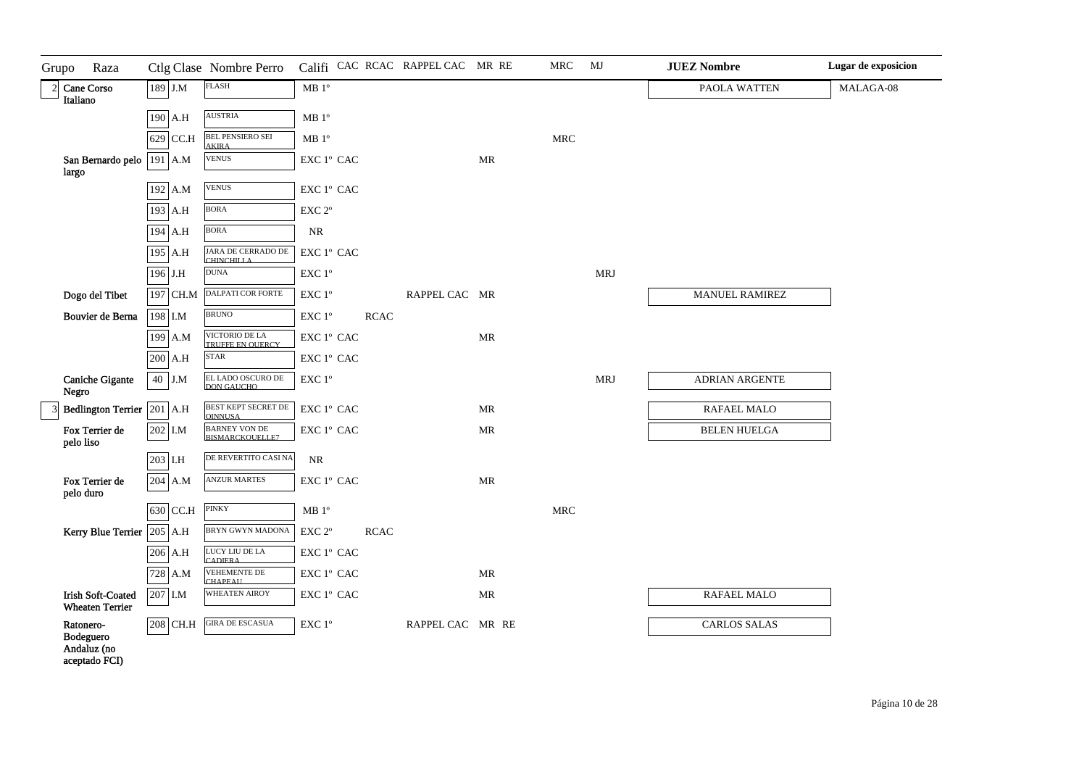| Grupo | Raza                                               |            | Ctlg Clase Nombre Perro               |                                  |                                                 |             | Califi CAC RCAC RAPPEL CAC MR RE |                                   | <b>MRC</b>           | MJ         | <b>JUEZ Nombre</b>    | Lugar de exposicion |
|-------|----------------------------------------------------|------------|---------------------------------------|----------------------------------|-------------------------------------------------|-------------|----------------------------------|-----------------------------------|----------------------|------------|-----------------------|---------------------|
|       | 2 Cane Corso<br>Italiano                           | 189 J.M    | <b>FLASH</b>                          |                                  | $\rm MB$ $1^{\rm o}$                            |             |                                  |                                   |                      |            | PAOLA WATTEN          | MALAGA-08           |
|       |                                                    | 190 A.H    | <b>AUSTRIA</b>                        |                                  | $\rm MB$ $1^{\rm o}$                            |             |                                  |                                   |                      |            |                       |                     |
|       |                                                    | 629 CC.H   | <b>BEL PENSIERO SEI</b>               |                                  | $\rm MB$ $1^{\rm o}$                            |             |                                  |                                   | $\operatorname{MRC}$ |            |                       |                     |
|       | San Bernardo pelo   191   A.M                      |            | <b>AKIRA</b><br><b>VENUS</b>          |                                  | EXC 1° CAC                                      |             |                                  | MR                                |                      |            |                       |                     |
| largo |                                                    |            | <b>VENUS</b>                          |                                  |                                                 |             |                                  |                                   |                      |            |                       |                     |
|       |                                                    | 192 A.M    | <b>BORA</b>                           |                                  | EXC 1º CAC                                      |             |                                  |                                   |                      |            |                       |                     |
|       |                                                    | 193 A.H    |                                       |                                  | $\ensuremath{\mathrm{EXC}}$ $2^{\mathrm{o}}$    |             |                                  |                                   |                      |            |                       |                     |
|       |                                                    | 194 A.H    | <b>BORA</b>                           |                                  | $\rm NR$                                        |             |                                  |                                   |                      |            |                       |                     |
|       |                                                    | 195 A.H    |                                       | JARA DE CERRADO DE<br>CHINCHILLA | EXC 1º CAC                                      |             |                                  |                                   |                      |            |                       |                     |
|       |                                                    | 196 J.H    | <b>DUNA</b>                           |                                  | $\ensuremath{\mathrm{EXC}}$<br>$1^{\mathrm{o}}$ |             |                                  |                                   |                      | <b>MRJ</b> |                       |                     |
|       | Dogo del Tibet                                     | 197 CH.M   |                                       | DALPATI COR FORTE                | $\ensuremath{\mathrm{EXC}}$ $1^\mathrm{o}$      |             | RAPPEL CAC MR                    |                                   |                      |            | <b>MANUEL RAMIREZ</b> |                     |
|       | Bouvier de Berna                                   | 198 I.M    | <b>BRUNO</b>                          |                                  | $\ensuremath{\mathrm{EXC}}$ $1^\mathrm{o}$      | <b>RCAC</b> |                                  |                                   |                      |            |                       |                     |
|       |                                                    | 199 A.M    | VICTORIO DE LA                        | TRUFFE EN OUERCY                 | EXC 1º CAC                                      |             |                                  | <b>MR</b>                         |                      |            |                       |                     |
|       |                                                    | 200 A.H    | <b>STAR</b>                           |                                  | EXC 1º CAC                                      |             |                                  |                                   |                      |            |                       |                     |
| Negro | <b>Caniche Gigante</b>                             | 40 J.M     |                                       | EL LADO OSCURO DE<br>DON GAUCHO  | EXC 1°                                          |             |                                  |                                   |                      | <b>MRJ</b> | <b>ADRIAN ARGENTE</b> |                     |
|       | Bedlington Terrier 201 A.H                         |            | <b>OINNUSA</b>                        | BEST KEPT SECRET DE              | EXC 1º CAC                                      |             |                                  | MR                                |                      |            | RAFAEL MALO           |                     |
|       | Fox Terrier de<br>pelo liso                        | 202 I.M    |                                       | BARNEY VON DE<br>BISMARCKOUELLE7 | EXC 1° CAC                                      |             |                                  | MR                                |                      |            | <b>BELEN HUELGA</b>   |                     |
|       |                                                    | $203$ I.H  |                                       | DE REVERTITO CASI NA             | <b>NR</b>                                       |             |                                  |                                   |                      |            |                       |                     |
|       | Fox Terrier de<br>pelo duro                        | 204 A.M    | <b>ANZUR MARTES</b>                   |                                  | EXC 1º CAC                                      |             |                                  | <b>MR</b>                         |                      |            |                       |                     |
|       |                                                    | $630$ CC.H | <b>PINKY</b>                          |                                  | $\rm MB$ $1^{\rm o}$                            |             |                                  |                                   | $\operatorname{MRC}$ |            |                       |                     |
|       | Kerry Blue Terrier $205$ A.H                       |            |                                       | BRYN GWYN MADONA                 | $\ensuremath{\mathrm{EXC}}$ $2^{\mathrm{o}}$    | <b>RCAC</b> |                                  |                                   |                      |            |                       |                     |
|       |                                                    | $206$ A.H  | LUCY LIU DE LA<br><b>CADIERA</b>      |                                  | EXC 1° CAC                                      |             |                                  |                                   |                      |            |                       |                     |
|       |                                                    | 728 A.M    | <b>VEHEMENTE DE</b><br><b>CHAPEAU</b> |                                  | EXC 1º CAC                                      |             |                                  | $\ensuremath{\mathsf{MR}}\xspace$ |                      |            |                       |                     |
|       | <b>Irish Soft-Coated</b><br><b>Wheaten Terrier</b> | 207 I.M    | <b>WHEATEN AIROY</b>                  |                                  | EXC 1º CAC                                      |             |                                  | MR                                |                      |            | RAFAEL MALO           |                     |
|       | Ratonero-<br>Bodeguero<br>Andaluz (no              | $208$ CH.H | <b>GIRA DE ESCASUA</b>                |                                  | EXC 1°                                          |             | RAPPEL CAC MR RE                 |                                   |                      |            | <b>CARLOS SALAS</b>   |                     |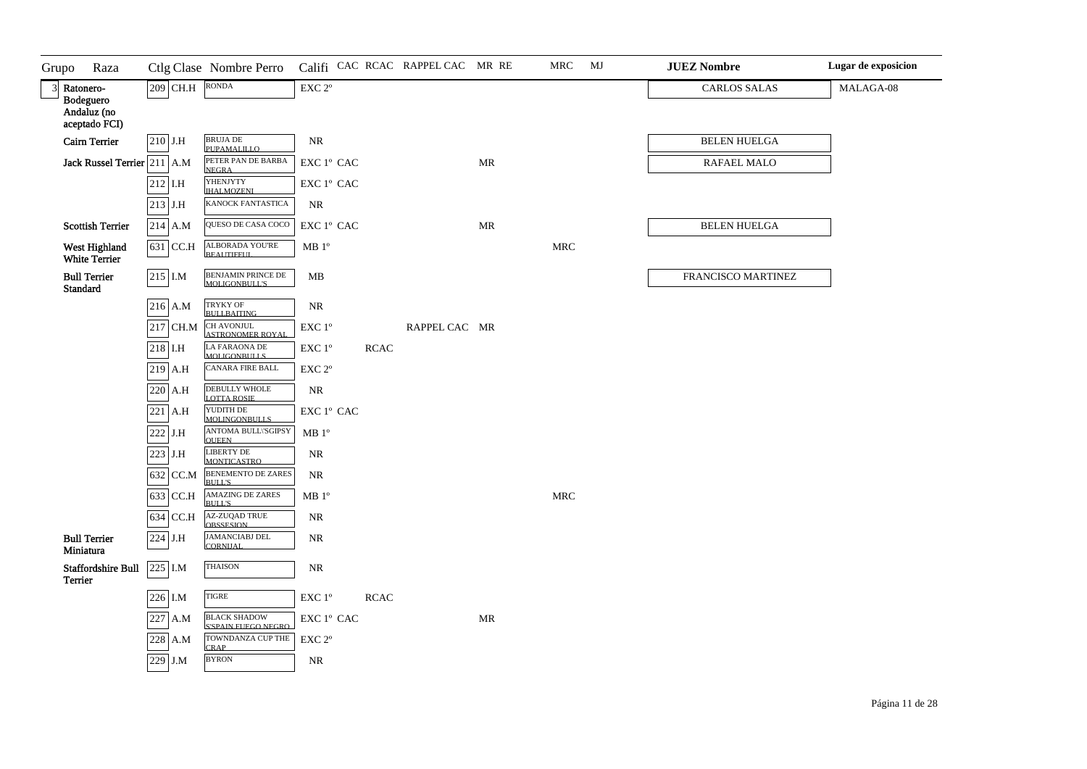| Grupo          | Raza                             |           | Ctlg Clase Nombre Perro                      |                                     |             | Califi CAC RCAC RAPPEL CAC MR RE |                                   | MRC                  | MJ | <b>JUEZ Nombre</b>  | Lugar de exposicion |
|----------------|----------------------------------|-----------|----------------------------------------------|-------------------------------------|-------------|----------------------------------|-----------------------------------|----------------------|----|---------------------|---------------------|
| $\overline{3}$ | Ratonero-<br>Bodeguero           | 209 CH.H  | <b>RONDA</b>                                 | EXC 2°                              |             |                                  |                                   |                      |    | <b>CARLOS SALAS</b> | MALAGA-08           |
|                | Andaluz (no<br>aceptado FCI)     |           |                                              |                                     |             |                                  |                                   |                      |    |                     |                     |
|                | <b>Cairn Terrier</b>             | 210 J.H   | <b>BRUJA DE</b><br>ΡΗΡΑΜΑΙ ΠΙΩ               | <b>NR</b>                           |             |                                  |                                   |                      |    | <b>BELEN HUELGA</b> |                     |
|                | Jack Russel Terrier 211 A.M      |           | PETER PAN DE BARBA<br><b>NEGRA</b>           | EXC 1° CAC                          |             |                                  | MR                                |                      |    | RAFAEL MALO         |                     |
|                |                                  | $212$ I.H | YHENJYTY<br><b>IHALMOZENI</b>                | ${\rm EXC}$ $1^{\rm o}$ ${\rm CAC}$ |             |                                  |                                   |                      |    |                     |                     |
|                |                                  | 213 J.H   | KANOCK FANTASTICA                            | $\rm NR$                            |             |                                  |                                   |                      |    |                     |                     |
|                | <b>Scottish Terrier</b>          | $214$ A.M | QUESO DE CASA COCO                           | EXC 1° CAC                          |             |                                  | MR                                |                      |    | <b>BELEN HUELGA</b> |                     |
|                | West Highland<br>White Terrier   | 631 CC.H  | ALBORADA YOU'RE<br>BEAUTIFFUL                | MB 1 <sup>o</sup>                   |             |                                  |                                   | $\operatorname{MRC}$ |    |                     |                     |
|                | <b>Bull Terrier</b><br>Standard  | $215$ I.M | BENJAMIN PRINCE DE<br>MOLIGONBULL'S          | MB                                  |             |                                  |                                   |                      |    | FRANCISCO MARTINEZ  |                     |
|                |                                  | 216 A.M   | TRYKY OF<br><b>BULLBAITING</b>               | $\rm NR$                            |             |                                  |                                   |                      |    |                     |                     |
|                |                                  | 217 CH.M  | <b>CH AVONJUL</b><br><b>ASTRONOMER ROYAL</b> | EXC 1°                              |             | RAPPEL CAC MR                    |                                   |                      |    |                     |                     |
|                |                                  | $218$ I.H | <b>LA FARAONA DE</b><br><b>MOLIGONBULLS</b>  | EXC 1°                              | <b>RCAC</b> |                                  |                                   |                      |    |                     |                     |
|                |                                  | $219$ A.H | CANARA FIRE BALL                             | EXC 2°                              |             |                                  |                                   |                      |    |                     |                     |
|                |                                  | 220 A.H   | <b>DEBULLY WHOLE</b><br>LOTTA ROSIE          | $\rm NR$                            |             |                                  |                                   |                      |    |                     |                     |
|                |                                  | 221 A.H   | YUDITH DE<br>MOLINGONBULLS                   | ${\rm EXC}$ $1^{\rm o}$ ${\rm CAC}$ |             |                                  |                                   |                      |    |                     |                     |
|                |                                  | 222 J.H   | <b>ANTOMA BULL\'SGIPSY</b><br><b>OUEEN</b>   | MB 1 <sup>o</sup>                   |             |                                  |                                   |                      |    |                     |                     |
|                |                                  | $223$ J.H | <b>LIBERTY DE</b><br><b>MONTICASTRO</b>      | ${\sf NR}$                          |             |                                  |                                   |                      |    |                     |                     |
|                |                                  | 632 CC.M  | <b>BENEMENTO DE ZARES</b><br><b>BULL'S</b>   | <b>NR</b>                           |             |                                  |                                   |                      |    |                     |                     |
|                |                                  | 633 CC.H  | <b>AMAZING DE ZARES</b><br><b>BULL'S</b>     | MB 1 <sup>o</sup>                   |             |                                  |                                   | $\operatorname{MRC}$ |    |                     |                     |
|                |                                  | 634 CC.H  | <b>AZ-ZUQAD TRUE</b><br><b>OBSSESION</b>     | $\rm NR$                            |             |                                  |                                   |                      |    |                     |                     |
|                | <b>Bull Terrier</b><br>Miniatura | 224 J.H   | <b>JAMANCIABJ DEL<br/>CORNIJAL</b>           | $\rm NR$                            |             |                                  |                                   |                      |    |                     |                     |
| Terrier        | <b>Staffordshire Bull</b>        | 225 I.M   | <b>THAISON</b>                               | $\rm NR$                            |             |                                  |                                   |                      |    |                     |                     |
|                |                                  | 226 I.M   | <b>TIGRE</b>                                 | EXC 1°                              | <b>RCAC</b> |                                  |                                   |                      |    |                     |                     |
|                |                                  | 227 A.M   | <b>BLACK SHADOW</b><br>S'SPAIN FUEGO NEGRO   | EXC 1º CAC                          |             |                                  | $\ensuremath{\mathsf{MR}}\xspace$ |                      |    |                     |                     |
|                |                                  | 228 A.M   | TOWNDANZA CUP THE<br><b>CRAP</b>             | EXC <sub>2°</sub>                   |             |                                  |                                   |                      |    |                     |                     |
|                |                                  | 229 J.M   | <b>BYRON</b>                                 | NR                                  |             |                                  |                                   |                      |    |                     |                     |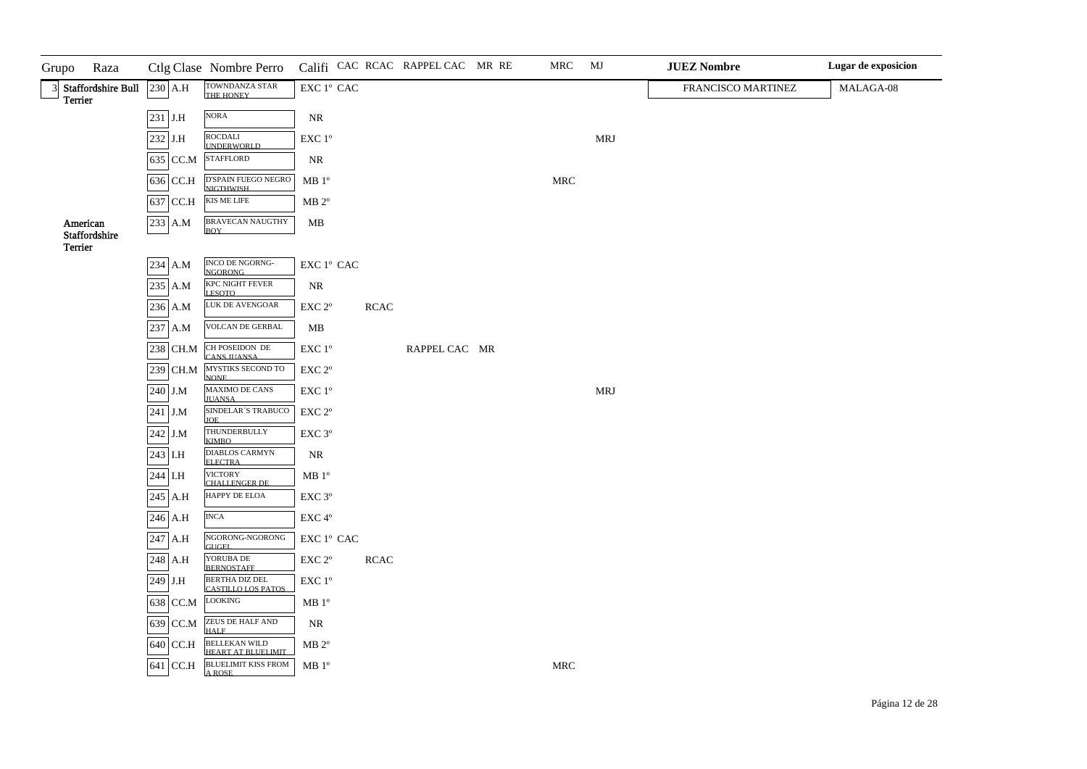| Raza<br>Grupo                          |           | Ctlg Clase Nombre Perro                    |                                                                     |             | Califi CAC RCAC RAPPEL CAC MR RE | MRC                  | MJ         | <b>JUEZ Nombre</b> | Lugar de exposicion |
|----------------------------------------|-----------|--------------------------------------------|---------------------------------------------------------------------|-------------|----------------------------------|----------------------|------------|--------------------|---------------------|
| 3 Staffordshire Bull<br><b>Terrier</b> | $230$ A.H | TOWNDANZA STAR<br>THE HONEY                | $\mathop{\rm EXC}\nolimits$ $1^{\rm o}$ $\mathop{\rm CAC}\nolimits$ |             |                                  |                      |            | FRANCISCO MARTINEZ | MALAGA-08           |
|                                        | $231$ J.H | $\rm NORA$                                 | $\rm NR$                                                            |             |                                  |                      |            |                    |                     |
|                                        | $232$ J.H | ROCDALI                                    | $\ensuremath{\mathrm{EXC}}$ $1^{\mathrm{o}}$                        |             |                                  |                      | <b>MRJ</b> |                    |                     |
|                                        | 635 CC.M  | <b>IJNDERWORLD</b><br><b>STAFFLORD</b>     | <b>NR</b>                                                           |             |                                  |                      |            |                    |                     |
|                                        | 636 CC.H  | D'SPAIN FUEGO NEGRO<br><b>NIGTHWISH</b>    | MB 1 <sup>o</sup>                                                   |             |                                  | ${\tt MRC}$          |            |                    |                     |
|                                        | 637 CC.H  | KIS ME LIFE                                | $MB 2^{\circ}$                                                      |             |                                  |                      |            |                    |                     |
| American<br>Staffordshire              | 233 A.M   | <b>BRAVECAN NAUGTHY</b><br><b>BOY</b>      | MB                                                                  |             |                                  |                      |            |                    |                     |
| <b>Terrier</b>                         |           |                                            |                                                                     |             |                                  |                      |            |                    |                     |
|                                        | 234 A.M   | INCO DE NGORNG-<br><b>NGORONG</b>          | ${\rm EXC}\ 1^{\rm o}$ CAC                                          |             |                                  |                      |            |                    |                     |
|                                        | 235 A.M   | <b>KPC NIGHT FEVER</b><br><b>LESOTO</b>    | NR                                                                  |             |                                  |                      |            |                    |                     |
|                                        | 236 A.M   | LUK DE AVENGOAR                            | $\ensuremath{\mathrm{EXC}}$ $2^{\mathrm{o}}$                        | $\sf RCAC$  |                                  |                      |            |                    |                     |
|                                        | 237 A.M   | <b>VOLCAN DE GERBAL</b>                    | $\mathbf{MB}$                                                       |             |                                  |                      |            |                    |                     |
|                                        | 238 CH.M  | CH POSEIDON DE<br><b>CANS JUANSA</b>       | $\ensuremath{\mathrm{EXC}}$ $1^{\mathrm{o}}$                        |             | RAPPEL CAC MR                    |                      |            |                    |                     |
|                                        | 239 CH.M  | MYSTIKS SECOND TO<br><b>NONE</b>           | $\ensuremath{\mathrm{EXC}}$ $2^{\mathrm{o}}$                        |             |                                  |                      |            |                    |                     |
|                                        | 240 J.M   | <b>MAXIMO DE CANS</b><br><b>IUANSA</b>     | $\ensuremath{\mathrm{EXC}}$ $1^{\mathrm{o}}$                        |             |                                  |                      | <b>MRJ</b> |                    |                     |
|                                        | 241 J.M   | SINDELAR'S TRABUCO<br><b>IOE</b>           | $\ensuremath{\mathrm{EXC}}$ $2^{\mathrm{o}}$                        |             |                                  |                      |            |                    |                     |
|                                        | $242$ J.M | THUNDERBULLY<br><b>KIMBO</b>               | EXC 3°                                                              |             |                                  |                      |            |                    |                     |
|                                        | 243 I.H   | <b>DIABLOS CARMYN</b><br><b>ELECTRA</b>    | $\rm NR$                                                            |             |                                  |                      |            |                    |                     |
|                                        | 244 I.H   | <b>VICTORY</b><br><b>CHALLENGER DE</b>     | $\rm MB$ $1^{\rm o}$                                                |             |                                  |                      |            |                    |                     |
|                                        | $245$ A.H | HAPPY DE ELOA                              | $\ensuremath{\mathrm{EXC}}$ $3^{\mathrm{o}}$                        |             |                                  |                      |            |                    |                     |
|                                        | $246$ A.H | <b>INCA</b>                                | $\ensuremath{\mathrm{EXC}}\,4^{\mathrm{o}}$                         |             |                                  |                      |            |                    |                     |
|                                        | $247$ A.H | NGORONG-NGORONG<br>GUGEL.                  | ${\rm EXC}\ 1^{\rm o}$ CAC                                          |             |                                  |                      |            |                    |                     |
|                                        | 248 A.H   | YORUBA DE<br>BERNOSTAFF                    | $\ensuremath{\mathrm{EXC}}$ $2^{\mathrm{o}}$                        | <b>RCAC</b> |                                  |                      |            |                    |                     |
|                                        | 249 J.H   | BERTHA DIZ DEL<br>CASTILLO LOS PATOS       | $\ensuremath{\mathrm{EXC}}$<br>$1^{\mathrm{o}}$                     |             |                                  |                      |            |                    |                     |
|                                        | 638 CC.M  | LOOKING                                    | $\rm MB$ $1^{\rm o}$                                                |             |                                  |                      |            |                    |                     |
|                                        | 639 CC.M  | ZEUS DE HALF AND<br><b>HALF</b>            | NR                                                                  |             |                                  |                      |            |                    |                     |
|                                        | 640 CC.H  | <b>BELLEKAN WILD</b><br>HEART AT BLIELIMIT | $MB 2^{\circ}$                                                      |             |                                  |                      |            |                    |                     |
|                                        | 641 CC.H  | <b>BLUELIMIT KISS FROM</b><br>A ROSE       | MB 1 <sup>o</sup>                                                   |             |                                  | $\operatorname{MRC}$ |            |                    |                     |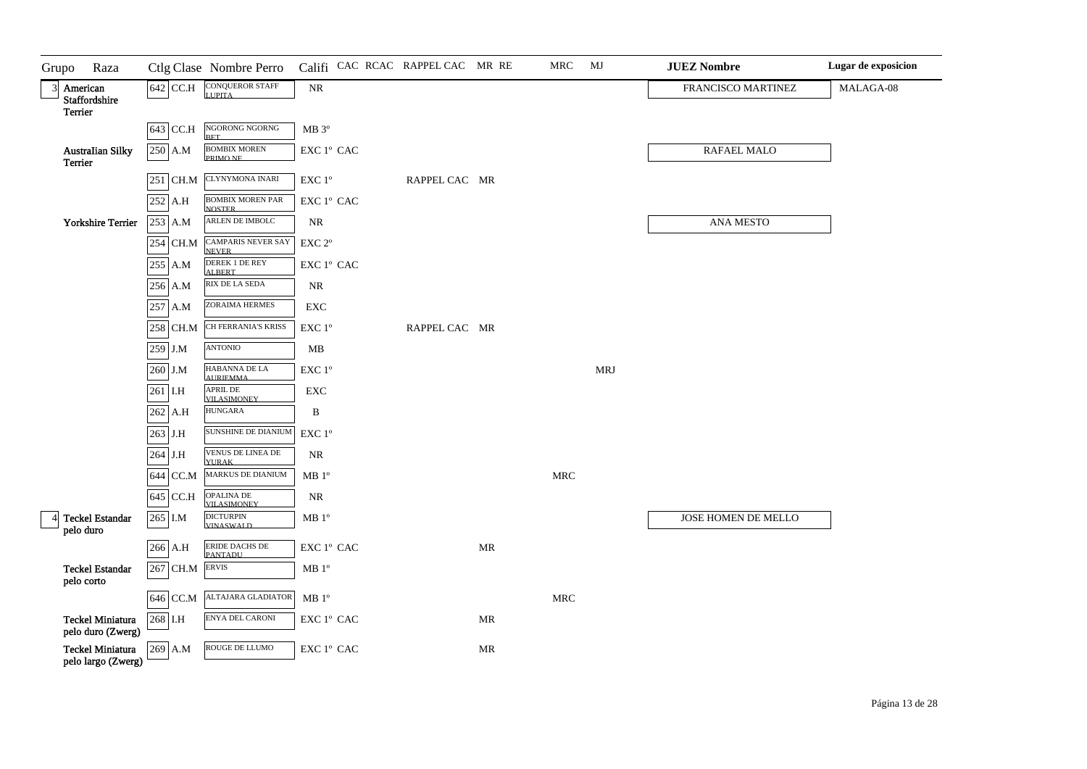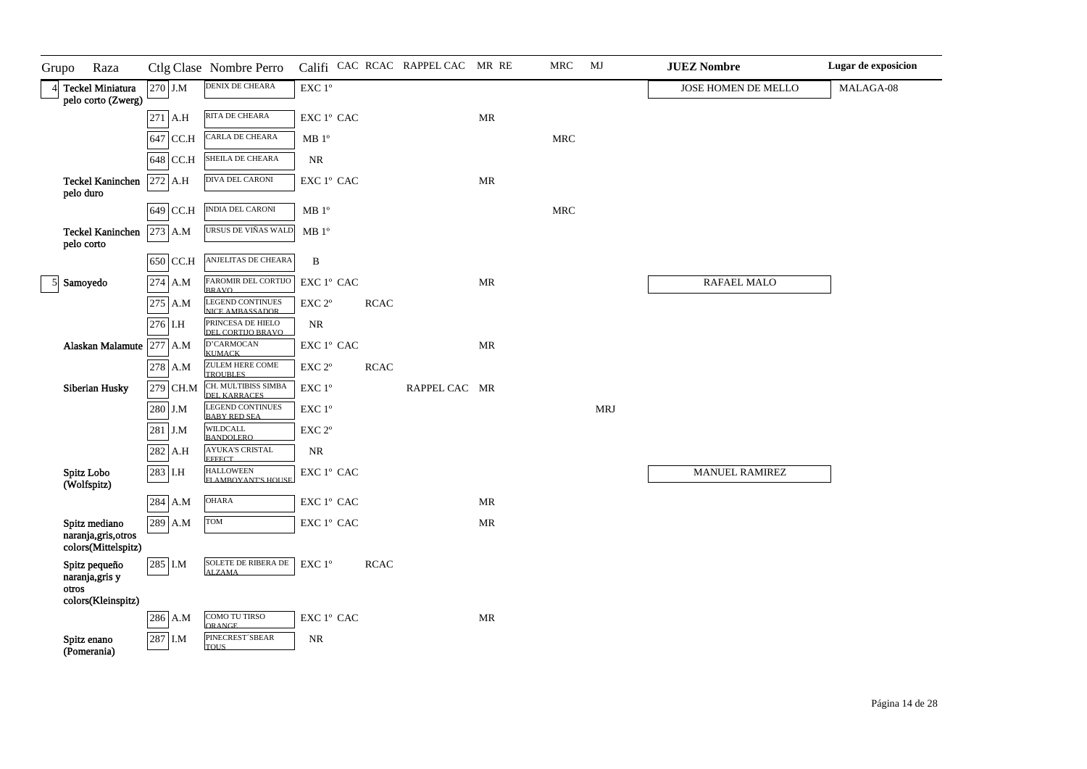| Grupo | Raza                                                         |           | Ctlg Clase Nombre Perro                        |                                                                     |             | Califi CAC RCAC RAPPEL CAC MR RE |                                   | MRC        | MJ         | <b>JUEZ Nombre</b>    | Lugar de exposicion |
|-------|--------------------------------------------------------------|-----------|------------------------------------------------|---------------------------------------------------------------------|-------------|----------------------------------|-----------------------------------|------------|------------|-----------------------|---------------------|
|       | 4 Teckel Miniatura<br>pelo corto (Zwerg)                     | 270 J.M   | DENIX DE CHEARA                                | $\ensuremath{\mathrm{EXC}}$<br>$1^{\mathrm{o}}$                     |             |                                  |                                   |            |            | JOSE HOMEN DE MELLO   | MALAGA-08           |
|       |                                                              | $271$ A.H | RITA DE CHEARA                                 | $\mathop{\rm EXC}\nolimits$ $1^{\rm o}$ $\mathop{\rm CAC}\nolimits$ |             |                                  | $\ensuremath{\mathsf{MR}}\xspace$ |            |            |                       |                     |
|       |                                                              | 647 CC.H  | CARLA DE CHEARA                                | $\rm MB$ $1^{\rm o}$                                                |             |                                  |                                   | <b>MRC</b> |            |                       |                     |
|       |                                                              | 648 CC.H  | SHEILA DE CHEARA                               | $\rm NR$                                                            |             |                                  |                                   |            |            |                       |                     |
|       | <b>Teckel Kaninchen</b><br>pelo duro                         | 272 A.H   | DIVA DEL CARONI                                | ${\rm EXC}$ $1^{\rm o}$ ${\rm CAC}$                                 |             |                                  | $\ensuremath{\mathsf{MR}}\xspace$ |            |            |                       |                     |
|       |                                                              | 649 CC.H  | <b>INDIA DEL CARONI</b>                        | MB 1 <sup>o</sup>                                                   |             |                                  |                                   | <b>MRC</b> |            |                       |                     |
|       | <b>Teckel Kaninchen</b><br>pelo corto                        | 273 A.M   | URSUS DE VIÑAS WALD                            | MB 1 <sup>o</sup>                                                   |             |                                  |                                   |            |            |                       |                     |
|       |                                                              | 650 CC.H  | ANJELITAS DE CHEARA                            | $\, {\bf B}$                                                        |             |                                  |                                   |            |            |                       |                     |
|       | 5 Samoyedo                                                   | 274 A.M   | FAROMIR DEL CORTIJO<br><b>BRAVO</b>            | EXC 1º CAC                                                          |             |                                  | $\ensuremath{\mathsf{MR}}\xspace$ |            |            | RAFAEL MALO           |                     |
|       |                                                              | 275 A.M   | <b>LEGEND CONTINUES</b><br>NICE AMBASSADOR     | EXC <sub>2°</sub>                                                   | <b>RCAC</b> |                                  |                                   |            |            |                       |                     |
|       |                                                              | 276 I.H   | PRINCESA DE HIELO<br>DEL CORTIJO BRAVO         | <b>NR</b>                                                           |             |                                  |                                   |            |            |                       |                     |
|       | Alaskan Malamute 277 A.M                                     |           | D'CARMOCAN<br><b>KUMACK</b>                    | $\mathop{\rm EXC}\nolimits$ $1^{\rm o}$ $\mathop{\rm CAC}\nolimits$ |             |                                  | $\ensuremath{\mathsf{MR}}\xspace$ |            |            |                       |                     |
|       |                                                              | 278 A.M   | ZULEM HERE COME<br>TROUBLES                    | $\ensuremath{\mathrm{EXC}}$ $2^{\mathrm{o}}$                        | <b>RCAC</b> |                                  |                                   |            |            |                       |                     |
|       | Siberian Husky                                               | 279 CH.M  | CH. MULTIBISS SIMBA<br>DEL KARRACES            | $\ensuremath{\mathrm{EXC}}$ $1^{\mathrm{o}}$                        |             | RAPPEL CAC MR                    |                                   |            |            |                       |                     |
|       |                                                              | 280 J.M   | <b>LEGEND CONTINUES</b><br><b>BABY RED SEA</b> | $\ensuremath{\mathrm{EXC}}$ $1^\mathrm{o}$                          |             |                                  |                                   |            | <b>MRJ</b> |                       |                     |
|       |                                                              | 281 J.M   | WILDCALL<br><b>BANDOLERO</b>                   | $\ensuremath{\mathrm{EXC}}$ $2^{\mathrm{o}}$                        |             |                                  |                                   |            |            |                       |                     |
|       |                                                              | 282 A.H   | <b>AYUKA'S CRISTAL</b><br><b>EFFECT</b>        | $\rm NR$                                                            |             |                                  |                                   |            |            |                       |                     |
|       | Spitz Lobo<br>(Wolfspitz)                                    | 283 I.H   | <b>HALLOWEEN</b><br><b>FLAMBOYANT'S HOLISE</b> | ${\rm EXC}$ $1^{\rm o}$ ${\rm CAC}$                                 |             |                                  |                                   |            |            | <b>MANUEL RAMIREZ</b> |                     |
|       |                                                              | 284 A.M   | <b>OHARA</b>                                   | ${\rm EXC}$ $1^{\rm o}$ ${\rm CAC}$                                 |             |                                  | $\ensuremath{\mathsf{MR}}\xspace$ |            |            |                       |                     |
|       | Spitz mediano<br>naranja, gris, otros<br>colors(Mittelspitz) | 289 A.M   | TOM                                            | $\mathop{\rm EXC}\nolimits$ $1^{\rm o}$ $\mathop{\rm CAC}\nolimits$ |             |                                  | $\ensuremath{\mathsf{MR}}\xspace$ |            |            |                       |                     |
| otros | Spitz pequeño<br>naranja, gris y                             | 285 I.M   | SOLETE DE RIBERA DE<br><b>ALZAMA</b>           | EXC 1°                                                              | <b>RCAC</b> |                                  |                                   |            |            |                       |                     |
|       | colors(Kleinspitz)                                           |           | COMO TU TIRSO                                  | $\mathop{\rm EXC}\nolimits$ $1^{\rm o}$ $\mathop{\rm CAC}\nolimits$ |             |                                  |                                   |            |            |                       |                     |
|       |                                                              | 286 A.M   | <b>ORANGE</b><br>PINECREST'SBEAR               |                                                                     |             |                                  | $\ensuremath{\mathsf{MR}}\xspace$ |            |            |                       |                     |
|       | Spitz enano<br>(Pomerania)                                   | 287 I.M   | <b>TOUS</b>                                    | <b>NR</b>                                                           |             |                                  |                                   |            |            |                       |                     |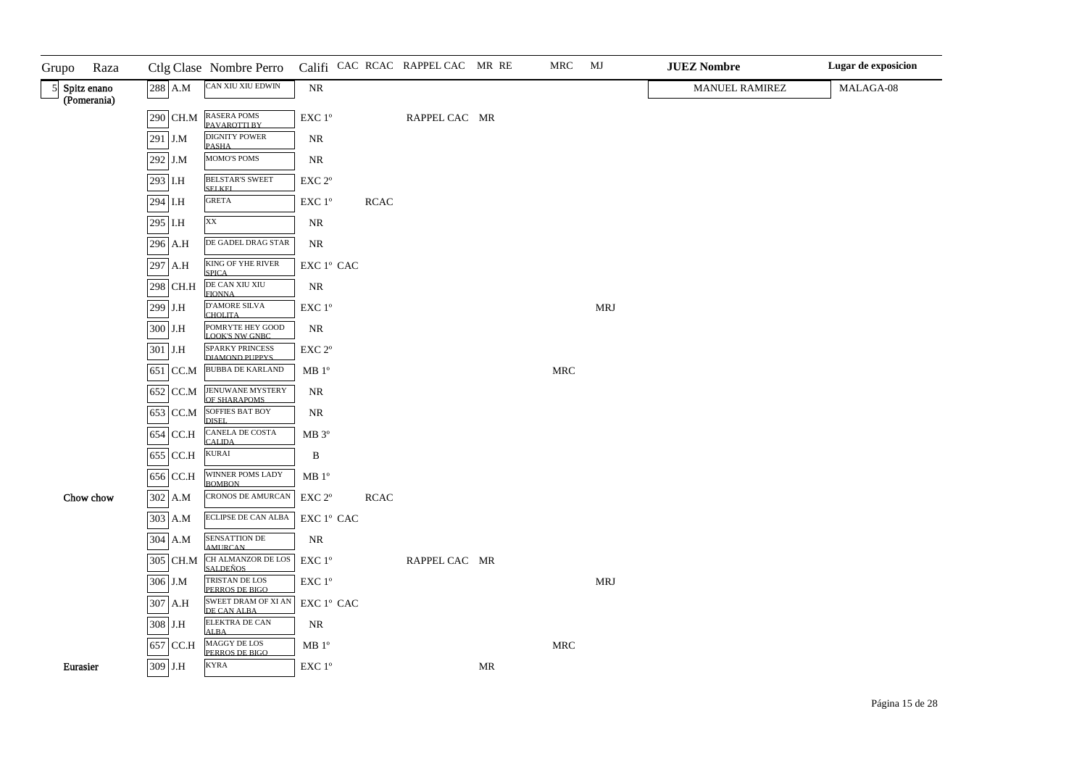| Grupo | Raza                         |           |           | Ctlg Clase Nombre Perro                   |                                                                     |             | Califi CAC RCAC RAPPEL CAC MR RE |    | MRC                  | MJ         | <b>JUEZ Nombre</b>    | Lugar de exposicion |
|-------|------------------------------|-----------|-----------|-------------------------------------------|---------------------------------------------------------------------|-------------|----------------------------------|----|----------------------|------------|-----------------------|---------------------|
|       | 5 Spitz enano<br>(Pomerania) |           | $288$ A.M | CAN XIU XIU EDWIN                         | $\rm NR$                                                            |             |                                  |    |                      |            | <b>MANUEL RAMIREZ</b> | MALAGA-08           |
|       |                              |           |           | 290 CH.M RASERA POMS                      | EXC 1°                                                              |             | RAPPEL CAC MR                    |    |                      |            |                       |                     |
|       |                              | 291 J.M   |           | <b>DIGNITY POWER</b>                      | $\rm NR$                                                            |             |                                  |    |                      |            |                       |                     |
|       |                              | 292 J.M   |           | <b>PASHA</b><br>MOMO'S POMS               | $\rm NR$                                                            |             |                                  |    |                      |            |                       |                     |
|       |                              | 293 I.H   |           | <b>BELSTAR'S SWEET</b>                    | $\ensuremath{\mathrm{EXC}}$ $2^{\mathrm{o}}$                        |             |                                  |    |                      |            |                       |                     |
|       |                              | 294 I.H   |           | <b>SELKEL</b><br><b>GRETA</b>             | $\ensuremath{\mathrm{EXC}}$ $1^{\mathrm{o}}$                        | <b>RCAC</b> |                                  |    |                      |            |                       |                     |
|       |                              | 295 I.H   |           | XX                                        | NR                                                                  |             |                                  |    |                      |            |                       |                     |
|       |                              |           | 296 A.H   | DE GADEL DRAG STAR                        | NR                                                                  |             |                                  |    |                      |            |                       |                     |
|       |                              |           | 297 A.H   | KING OF YHE RIVER<br><b>SPICA</b>         | $\mathop{\rm EXC}\nolimits$ $1^{\circ}$ $\mathop{\rm CAC}\nolimits$ |             |                                  |    |                      |            |                       |                     |
|       |                              |           | 298 CH.H  | DE CAN XIU XIU<br><b>FIONNA</b>           | $\rm NR$                                                            |             |                                  |    |                      |            |                       |                     |
|       |                              | 299 J.H   |           | <b>D'AMORE SILVA</b><br><b>CHOLITA</b>    | $\ensuremath{\mathrm{EXC}}$ $1^\mathrm{o}$                          |             |                                  |    |                      | <b>MRJ</b> |                       |                     |
|       |                              | $300$ J.H |           | POMRYTE HEY GOOD<br><b>LOOK'S NW GNBC</b> | $\rm NR$                                                            |             |                                  |    |                      |            |                       |                     |
|       |                              | 301 J.H   |           | <b>SPARKY PRINCESS</b><br>DIAMOND PUPPYS  | $\ensuremath{\mathrm{EXC}}$ $2^\mathrm{o}$                          |             |                                  |    |                      |            |                       |                     |
|       |                              |           | 651 CC.M  | <b>BUBBA DE KARLAND</b>                   | MB <sup>o</sup>                                                     |             |                                  |    | MRC                  |            |                       |                     |
|       |                              |           | 652 CC.M  | <b>JENUWANE MYSTERY</b><br>OF SHARAPOMS   | $\rm NR$                                                            |             |                                  |    |                      |            |                       |                     |
|       |                              |           | 653 CC.M  | <b>SOFFIES BAT BOY</b><br>DISEL.          | NR                                                                  |             |                                  |    |                      |            |                       |                     |
|       |                              |           | 654 CC.H  | <b>CANELA DE COSTA</b><br><b>CALIDA</b>   | MB 3°                                                               |             |                                  |    |                      |            |                       |                     |
|       |                              |           | 655 CC.H  | <b>KURAI</b>                              | $\, {\bf B}$                                                        |             |                                  |    |                      |            |                       |                     |
|       |                              |           | 656 CC.H  | WINNER POMS LADY<br><b>BOMBON</b>         | $\rm MB$ $1^{\rm o}$                                                |             |                                  |    |                      |            |                       |                     |
|       | Chow chow                    |           | 302 A.M   | <b>CRONOS DE AMURCAN</b>                  | $\ensuremath{\mathrm{EXC}}$ $2^{\mathrm{o}}$                        | <b>RCAC</b> |                                  |    |                      |            |                       |                     |
|       |                              |           | 303 A.M   | ECLIPSE DE CAN ALBA                       | $\mathop{\rm EXC}\nolimits$ $1^{\rm o}$ $\mathop{\rm CAC}\nolimits$ |             |                                  |    |                      |            |                       |                     |
|       |                              |           | 304 A.M   | SENSATTION DE AMURCAN                     | $\rm NR$                                                            |             |                                  |    |                      |            |                       |                     |
|       |                              |           | 305 CH.M  | CH ALMANZOR DE LOS<br><b>SALDEÑOS</b>     | $\ensuremath{\mathrm{EXC}}$ $1^{\mathrm{o}}$                        |             | RAPPEL CAC MR                    |    |                      |            |                       |                     |
|       |                              | 306 J.M   |           | TRISTAN DE LOS<br>PERROS DE BIGO          | $\ensuremath{\mathrm{EXC}}$ $1^{\mathrm{o}}$                        |             |                                  |    |                      | <b>MRJ</b> |                       |                     |
|       |                              |           | 307 A.H   | <b>SWEET DRAM OF XI AN</b><br>DE CAN ALBA | EXC 1° CAC                                                          |             |                                  |    |                      |            |                       |                     |
|       |                              | 308 J.H   |           | <b>ELEKTRA DE CAN</b><br><b>ALBA</b>      | $\rm NR$                                                            |             |                                  |    |                      |            |                       |                     |
|       |                              |           | 657 CC.H  | <b>MAGGY DE LOS</b><br>PERROS DE BIGO     | $\rm MB$ $1^{\rm o}$                                                |             |                                  |    | $\operatorname{MRC}$ |            |                       |                     |
|       | Eurasier                     | 309 J.H   |           | <b>KYRA</b>                               | $\ensuremath{\mathrm{EXC}}$ $1^\mathrm{o}$                          |             |                                  | MR |                      |            |                       |                     |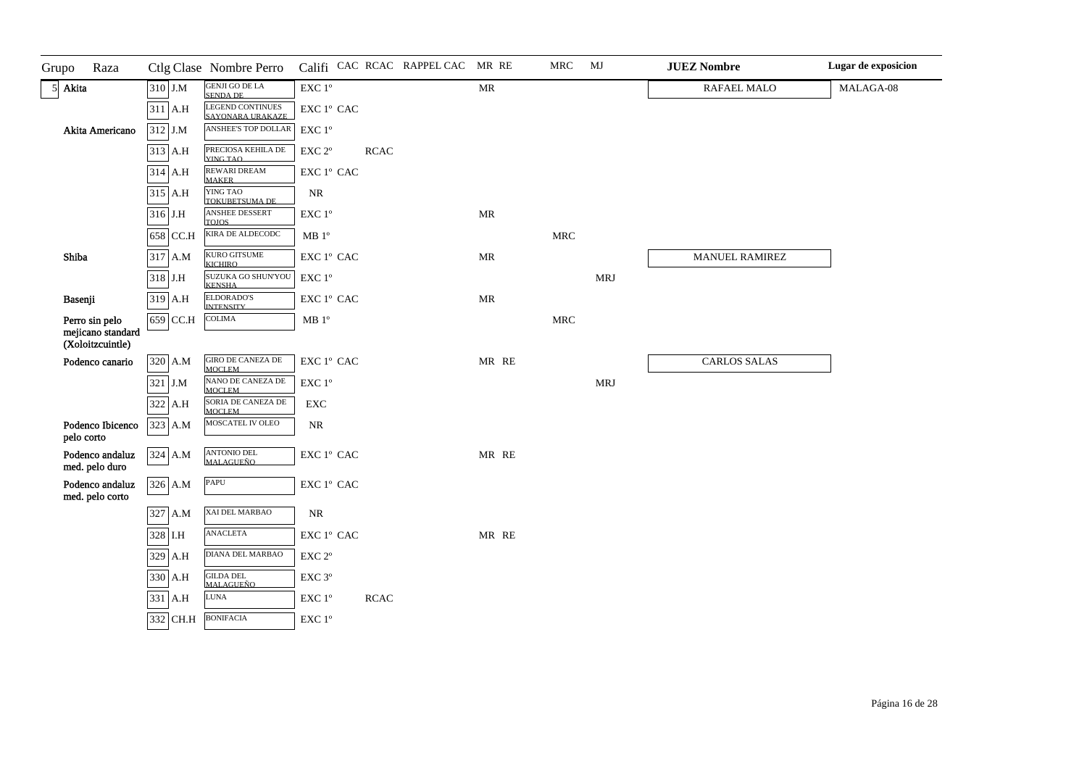| Grupo      | Raza                                  |            | Ctlg Clase Nombre Perro                   |                                              |             | Califi CAC RCAC RAPPEL CAC MR RE |                                   | <b>MRC</b>           | MJ         | <b>JUEZ Nombre</b>  | Lugar de exposicion |
|------------|---------------------------------------|------------|-------------------------------------------|----------------------------------------------|-------------|----------------------------------|-----------------------------------|----------------------|------------|---------------------|---------------------|
| 5 Akita    |                                       | 310 J.M    | <b>GENJI GO DE LA</b><br>SENDA DE         | EXC $1^\circ$                                |             |                                  | $\ensuremath{\mathsf{MR}}\xspace$ |                      |            | RAFAEL MALO         | MALAGA-08           |
|            |                                       | $311$ A.H  | LEGEND CONTINUES<br>SAYONARA URAKAZE      | EXC 1º CAC                                   |             |                                  |                                   |                      |            |                     |                     |
|            | Akita Americano                       | 312 J.M    | ANSHEE'S TOP DOLLAR                       | EXC 1°                                       |             |                                  |                                   |                      |            |                     |                     |
|            |                                       | 313 A.H    | PRECIOSA KEHILA DE<br>YING TAO            | EXC <sub>2°</sub>                            | <b>RCAC</b> |                                  |                                   |                      |            |                     |                     |
|            |                                       | 314 A.H    | <b>REWARI DREAM</b><br><b>MAKER</b>       | EXC 1º CAC                                   |             |                                  |                                   |                      |            |                     |                     |
|            |                                       | 315 A.H    | YING TAO<br>TOKUBETSUMA DE                | $\rm NR$                                     |             |                                  |                                   |                      |            |                     |                     |
|            |                                       | $316$ J.H  | ANSHEE DESSERT<br><b>TOJOS</b>            | $\ensuremath{\mathrm{EXC}}$ $1^\mathrm{o}$   |             |                                  | MR                                |                      |            |                     |                     |
|            |                                       | 658 CC.H   | KIRA DE ALDECODC                          | $\rm MB$ $1^{\rm o}$                         |             |                                  |                                   | $\operatorname{MRC}$ |            |                     |                     |
| Shiba      |                                       | 317 A.M    | KURO GITSUME<br><b>KICHIRO</b>            | EXC 1º CAC                                   |             |                                  | $\ensuremath{\mathsf{MR}}\xspace$ |                      |            | MANUEL RAMIREZ      |                     |
|            |                                       | 318 J.H    | SUZUKA GO SHUN'YOU<br><b>KENSHA</b>       | $\ensuremath{\mathrm{EXC}}$ $1^{\mathrm{o}}$ |             |                                  |                                   |                      | <b>MRJ</b> |                     |                     |
| Basenji    |                                       | 319 A.H    | ELDORADO'S<br><b>INTENSITY</b>            | EXC 1° CAC                                   |             |                                  | MR                                |                      |            |                     |                     |
|            | Perro sin pelo                        | 659 CC.H   | COLIMA                                    | $\rm MB$ $1^{\rm o}$                         |             |                                  |                                   | $\operatorname{MRC}$ |            |                     |                     |
|            | mejicano standard<br>(Xoloitzcuintle) |            |                                           |                                              |             |                                  |                                   |                      |            |                     |                     |
|            | Podenco canario                       | 320 A.M    | <b>GIRO DE CANEZA DE</b><br><b>MOCLEM</b> | EXC 1º CAC                                   |             |                                  | MR RE                             |                      |            | <b>CARLOS SALAS</b> |                     |
|            |                                       | 321 J.M    | NANO DE CANEZA DE<br>MOCLEM               | EXC 1°                                       |             |                                  |                                   |                      | <b>MRJ</b> |                     |                     |
|            |                                       | 322<br>A.H | SORIA DE CANEZA DE<br><b>MOCLEM</b>       | ${\rm EXC}$                                  |             |                                  |                                   |                      |            |                     |                     |
| pelo corto | Podenco Ibicenco                      | 323 A.M    | MOSCATEL IV OLEO                          | $\rm NR$                                     |             |                                  |                                   |                      |            |                     |                     |
|            | Podenco andaluz<br>med. pelo duro     | 324 A.M    | <b>ANTONIO DEL</b><br><b>MALAGUEÑO</b>    | EXC 1° CAC                                   |             |                                  | MR RE                             |                      |            |                     |                     |
|            | Podenco andaluz<br>med. pelo corto    | 326 A.M    | PAPU                                      | EXC 1° CAC                                   |             |                                  |                                   |                      |            |                     |                     |
|            |                                       | 327 A.M    | XAI DEL MARBAO                            | $\rm NR$                                     |             |                                  |                                   |                      |            |                     |                     |
|            |                                       | 328 I.H    | <b>ANACLETA</b>                           | EXC 1° CAC                                   |             |                                  | MR RE                             |                      |            |                     |                     |
|            |                                       | 329 A.H    | DIANA DEL MARBAO                          | EXC 2°                                       |             |                                  |                                   |                      |            |                     |                     |
|            |                                       | 330 A.H    | <b>GILDA DEL</b><br><b>MALAGUEÑO</b>      | EXC 3°                                       |             |                                  |                                   |                      |            |                     |                     |
|            |                                       | 331 A.H    | <b>LUNA</b>                               | EXC 1°                                       | <b>RCAC</b> |                                  |                                   |                      |            |                     |                     |
|            |                                       | 332 CH.H   | <b>BONIFACIA</b>                          | EXC 1°                                       |             |                                  |                                   |                      |            |                     |                     |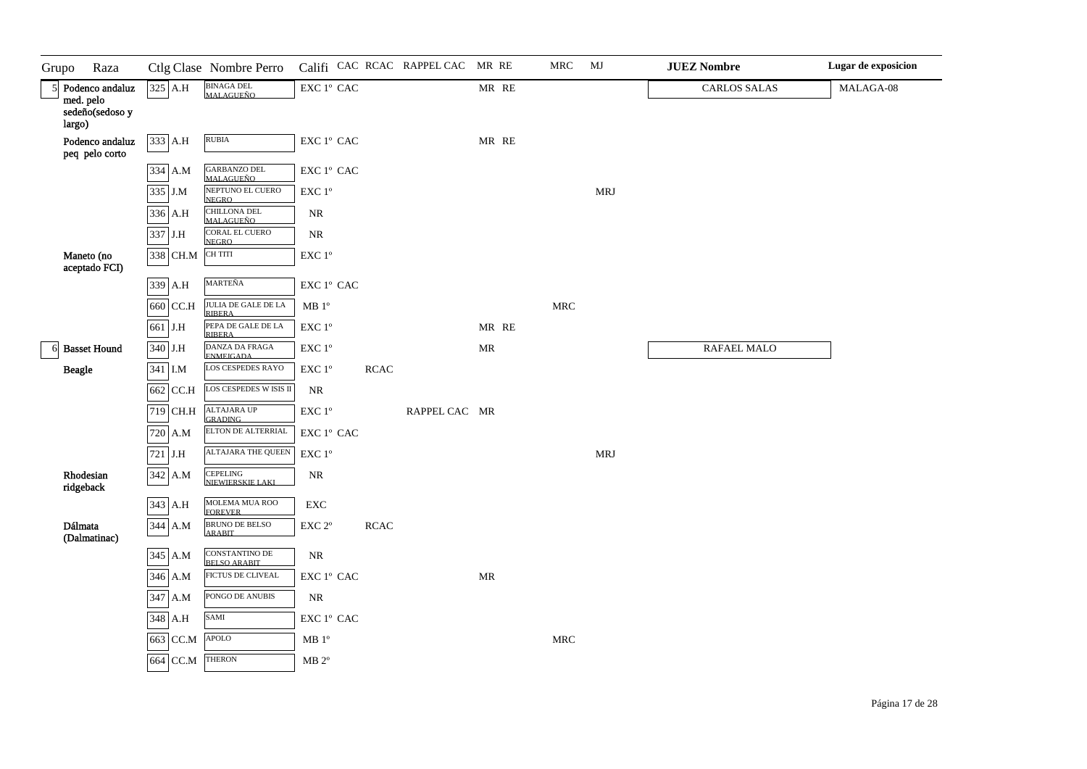| Grupo        | Raza                                                      |          | Ctlg Clase Nombre Perro                 |                                                                     |             | Califi CAC RCAC RAPPEL CAC MR RE |       | MRC                  | MJ         | <b>JUEZ Nombre</b>  | Lugar de exposicion |
|--------------|-----------------------------------------------------------|----------|-----------------------------------------|---------------------------------------------------------------------|-------------|----------------------------------|-------|----------------------|------------|---------------------|---------------------|
| $\mathbf{5}$ | Podenco andaluz<br>med. pelo<br>sedeño(sedoso y<br>largo) | 325 A.H  | BINAGA DEL<br>MALAGUEÑO                 | $\mathsf{EXC}\ 1^{\mathsf{o}}\ \mathsf{CAC}$                        |             |                                  | MR RE |                      |            | <b>CARLOS SALAS</b> | MALAGA-08           |
|              | Podenco andaluz<br>peq pelo corto                         | 333 A.H  | <b>RUBIA</b>                            | $\mathsf{EXC}\ 1^{\mathsf{o}}\ \mathsf{CAC}$                        |             |                                  | MR RE |                      |            |                     |                     |
|              |                                                           | 334 A.M  | GARBANZO DEL<br>MALAGUEÑO               | $\mathop{\rm EXC}\nolimits$ $1^{\rm o}$ $\mathop{\rm CAC}\nolimits$ |             |                                  |       |                      |            |                     |                     |
|              |                                                           | 335 J.M  | NEPTUNO EL CUERO<br><b>NEGRO</b>        | $\ensuremath{\mathrm{EXC}}$ $1^\mathrm{o}$                          |             |                                  |       |                      | <b>MRJ</b> |                     |                     |
|              |                                                           | 336 A.H  | <b>CHILLONA DEL</b><br><b>MALAGUEÑO</b> | NR                                                                  |             |                                  |       |                      |            |                     |                     |
|              |                                                           | 337 J.H  | <b>CORAL EL CUERO</b><br><b>NEGRO</b>   | $\rm NR$                                                            |             |                                  |       |                      |            |                     |                     |
|              | Maneto (no<br>aceptado FCI)                               | 338 CH.M | CH TITI                                 | $\ensuremath{\mathrm{EXC}}$<br>$1^\mathrm{o}$                       |             |                                  |       |                      |            |                     |                     |
|              |                                                           | 339 A.H  | MARTEÑA                                 | ${\rm EXC}$ $1^{\rm o}$ ${\rm CAC}$                                 |             |                                  |       |                      |            |                     |                     |
|              |                                                           | 660 CC.H | JULIA DE GALE DE LA<br><b>RIBERA</b>    | $\rm MB$ $1^{\rm o}$                                                |             |                                  |       | $\operatorname{MRC}$ |            |                     |                     |
|              |                                                           | 661 J.H  | PEPA DE GALE DE LA<br><b>RIBERA</b>     | EXC 1°                                                              |             |                                  | MR RE |                      |            |                     |                     |
|              | 6 Basset Hound                                            | 340 J.H  | DANZA DA FRAGA<br><b>ENMEIGADA</b>      | EXC 1°                                                              |             |                                  | MR    |                      |            | RAFAEL MALO         |                     |
|              | <b>Beagle</b>                                             | 341 I.M  | LOS CESPEDES RAYO                       | $\ensuremath{\mathrm{EXC}}$ $1^\mathrm{o}$                          | <b>RCAC</b> |                                  |       |                      |            |                     |                     |
|              |                                                           | 662 CC.H | LOS CESPEDES W ISIS II                  | $\rm NR$                                                            |             |                                  |       |                      |            |                     |                     |
|              |                                                           | 719 CH.H | <b>ALTAJARA UP</b><br><b>GRADING</b>    | $\ensuremath{\mathrm{EXC}}$ $1^\mathrm{o}$                          |             | RAPPEL CAC MR                    |       |                      |            |                     |                     |
|              |                                                           | 720 A.M  | ELTON DE ALTERRIAL                      | $\mathop{\rm EXC}\nolimits$ $1^{\rm o}$ $\mathop{\rm CAC}\nolimits$ |             |                                  |       |                      |            |                     |                     |
|              |                                                           | 721 J.H  | <b>ALTAJARA THE QUEEN</b>               | $\ensuremath{\mathrm{EXC}}$ $1^\mathrm{o}$                          |             |                                  |       |                      | <b>MRJ</b> |                     |                     |
|              | Rhodesian<br>ridgeback                                    | 342 A.M  | CEPELING<br>NIEWIERSKIE LAKI            | $\rm NR$                                                            |             |                                  |       |                      |            |                     |                     |
|              |                                                           | 343 A.H  | MOLEMA MUA ROO<br><b>FOREVER</b>        | EXC                                                                 |             |                                  |       |                      |            |                     |                     |
|              | Dálmata<br>(Dalmatinac)                                   | 344 A.M  | <b>BRUNO DE BELSO</b><br><b>ARABIT</b>  | $\ensuremath{\mathrm{EXC}}$ $2^{\mathrm{o}}$                        | <b>RCAC</b> |                                  |       |                      |            |                     |                     |
|              |                                                           | 345 A.M  | CONSTANTINO DE<br>BELSO ARABIT          | NR                                                                  |             |                                  |       |                      |            |                     |                     |
|              |                                                           | 346 A.M  | FICTUS DE CLIVEAL                       | $\mathop{\rm EXC}\nolimits$ $1^{\rm o}$ $\mathop{\rm CAC}\nolimits$ |             |                                  | MR    |                      |            |                     |                     |
|              |                                                           | 347 A.M  | PONGO DE ANUBIS                         | $\rm NR$                                                            |             |                                  |       |                      |            |                     |                     |
|              |                                                           | 348 A.H  | SAMI                                    | ${\rm EXC}$ $1^{\rm o}$ ${\rm CAC}$                                 |             |                                  |       |                      |            |                     |                     |
|              |                                                           | 663 CC.M | <b>APOLO</b>                            | $\rm MB$ $1^{\rm o}$                                                |             |                                  |       | $\operatorname{MRC}$ |            |                     |                     |
|              |                                                           | 664 CC.M | <b>THERON</b>                           | $\rm MB$ $2^{\rm o}$                                                |             |                                  |       |                      |            |                     |                     |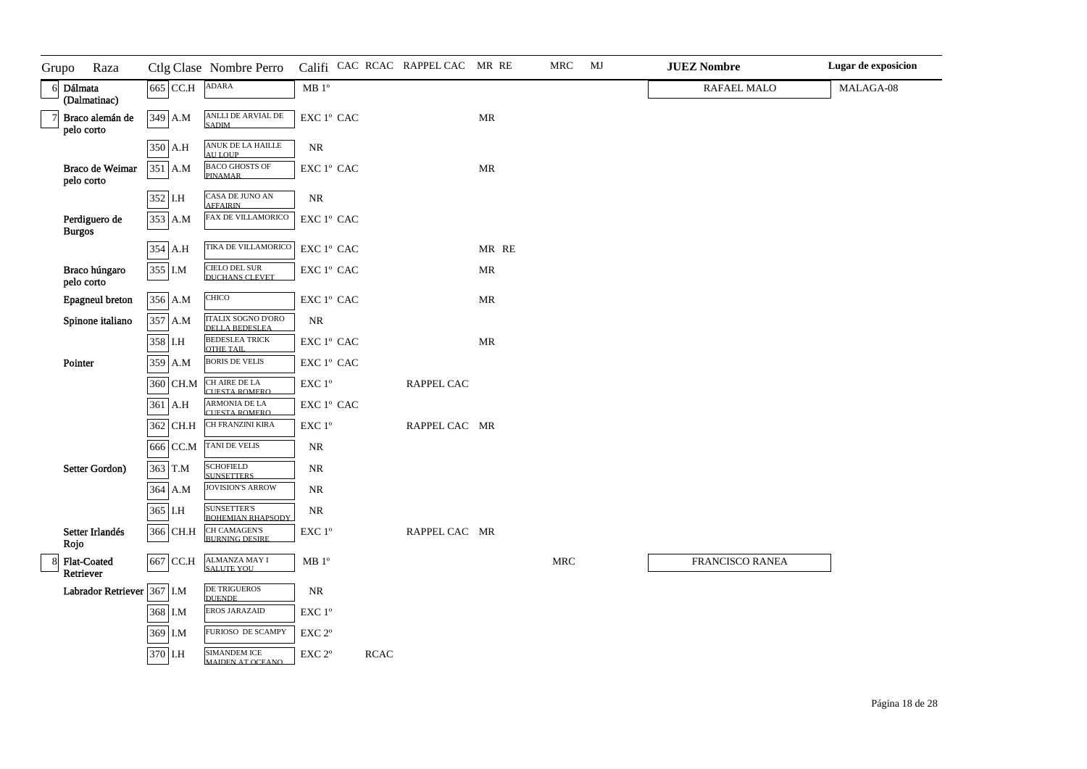| Grupo | Raza                           |          | Ctlg Clase Nombre Perro                        |                                                                     |             | Califi CAC RCAC RAPPEL CAC MR RE |       | MRC                  | MJ | <b>JUEZ Nombre</b> | Lugar de exposicion |
|-------|--------------------------------|----------|------------------------------------------------|---------------------------------------------------------------------|-------------|----------------------------------|-------|----------------------|----|--------------------|---------------------|
|       | 6 Dálmata<br>(Dalmatinac)      | 665 CC.H | <b>ADARA</b>                                   | $\rm MB$ $1^{\rm o}$                                                |             |                                  |       |                      |    | RAFAEL MALO        | MALAGA-08           |
|       | Braco alemán de<br>pelo corto  | 349 A.M  | ANLLI DE ARVIAL DE<br><b>SADIM</b>             | $\mathop{\rm EXC}\nolimits$ $1^{\rm o}$ $\mathop{\rm CAC}\nolimits$ |             |                                  | MR    |                      |    |                    |                     |
|       |                                | 350 A.H  | ANUK DE LA HAILLE<br><b>AULOUP</b>             | $\rm NR$                                                            |             |                                  |       |                      |    |                    |                     |
|       | Braco de Weimar<br>pelo corto  | 351 A.M  | <b>BACO GHOSTS OF</b><br><b>PINAMAR</b>        | EXC 1° CAC                                                          |             |                                  | MR    |                      |    |                    |                     |
|       |                                | 352 I.H  | CASA DE JUNO AN<br><b>AFFAIRIN</b>             | $\rm NR$                                                            |             |                                  |       |                      |    |                    |                     |
|       | Perdiguero de<br><b>Burgos</b> | 353 A.M  | FAX DE VILLAMORICO                             | ${\rm EXC}\ 1^{\rm o}$ CAC                                          |             |                                  |       |                      |    |                    |                     |
|       |                                | 354 A.H  | TIKA DE VILLAMORICO                            | ${\rm EXC}\ 1^{\rm o}$ CAC                                          |             |                                  | MR RE |                      |    |                    |                     |
|       | Braco húngaro<br>pelo corto    | 355 I.M  | CIELO DEL SUR<br>DUCHANS CLEVET                | $\mathop{\rm EXC}\nolimits$ $1^{\rm o}$ $\mathop{\rm CAC}\nolimits$ |             |                                  | MR    |                      |    |                    |                     |
|       | Epagneul breton                | 356 A.M  | CHICO                                          | ${\rm EXC}\ 1^{\rm o}$ CAC                                          |             |                                  | MR    |                      |    |                    |                     |
|       | Spinone italiano               | 357 A.M  | ITALIX SOGNO D'ORO<br><b>DELLA BEDESLEA</b>    | $\rm NR$                                                            |             |                                  |       |                      |    |                    |                     |
|       |                                | 358 I.H  | <b>BEDESLEA TRICK</b><br>OTHE TAIL             | EXC 1° CAC                                                          |             |                                  | MR    |                      |    |                    |                     |
|       | Pointer                        | 359 A.M  | <b>BORIS DE VELIS</b>                          | $\mathop{\rm EXC}\nolimits$ $1^{\rm o}$ $\mathop{\rm CAC}\nolimits$ |             |                                  |       |                      |    |                    |                     |
|       |                                | 360 CH.M | CH AIRE DE LA<br><b>CUESTA ROMERO</b>          | $\ensuremath{\mathrm{EXC}}$ $1^{\mathrm{o}}$                        |             | RAPPEL CAC                       |       |                      |    |                    |                     |
|       |                                | 361 A.H  | ARMONIA DE LA<br><b>CUESTA ROMERO</b>          | EXC 1° CAC                                                          |             |                                  |       |                      |    |                    |                     |
|       |                                | 362 CH.H | CH FRANZINI KIRA                               | $\ensuremath{\text{EXC}}$<br>$1^{\ensuremath{\text{o}}}$            |             | RAPPEL CAC MR                    |       |                      |    |                    |                     |
|       |                                | 666 CC.M | TANI DE VELIS                                  | $\rm NR$                                                            |             |                                  |       |                      |    |                    |                     |
|       | Setter Gordon)                 | 363 T.M  | <b>SCHOFIELD</b><br><b>SUNSETTERS</b>          | $\rm NR$                                                            |             |                                  |       |                      |    |                    |                     |
|       |                                | 364 A.M  | <b>JOVISION'S ARROW</b>                        | $\rm NR$                                                            |             |                                  |       |                      |    |                    |                     |
|       |                                | 365 I.H  | <b>SUNSETTER'S</b><br><b>BOHEMIAN RHAPSODY</b> | $\rm NR$                                                            |             |                                  |       |                      |    |                    |                     |
|       | Setter Irlandés<br>Rojo        | 366 CH.H | <b>CH CAMAGEN'S</b><br><b>BURNING DESIRE</b>   | EXC 1°                                                              |             | RAPPEL CAC MR                    |       |                      |    |                    |                     |
|       | Flat-Coated<br>Retriever       | 667 CC.H | ALMANZA MAY I<br><b>SALUTE YOU</b>             | MB 1 <sup>o</sup>                                                   |             |                                  |       | $\operatorname{MRC}$ |    | FRANCISCO RANEA    |                     |
|       | Labrador Retriever 367 I.M     |          | DE TRIGUEROS<br><b>DUENDE</b>                  | $\rm NR$                                                            |             |                                  |       |                      |    |                    |                     |
|       |                                | 368 I.M  | EROS JARAZAID                                  | EXC 1°                                                              |             |                                  |       |                      |    |                    |                     |
|       |                                | 369 I.M  | FURIOSO DE SCAMPY                              | EXC 2°                                                              |             |                                  |       |                      |    |                    |                     |
|       |                                | 370 I.H  | <b>SIMANDEM ICE</b><br><b>MAIDEN AT OCEANO</b> | $\ensuremath{\mathrm{EXC}}$ $2^{\mathrm{o}}$                        | <b>RCAC</b> |                                  |       |                      |    |                    |                     |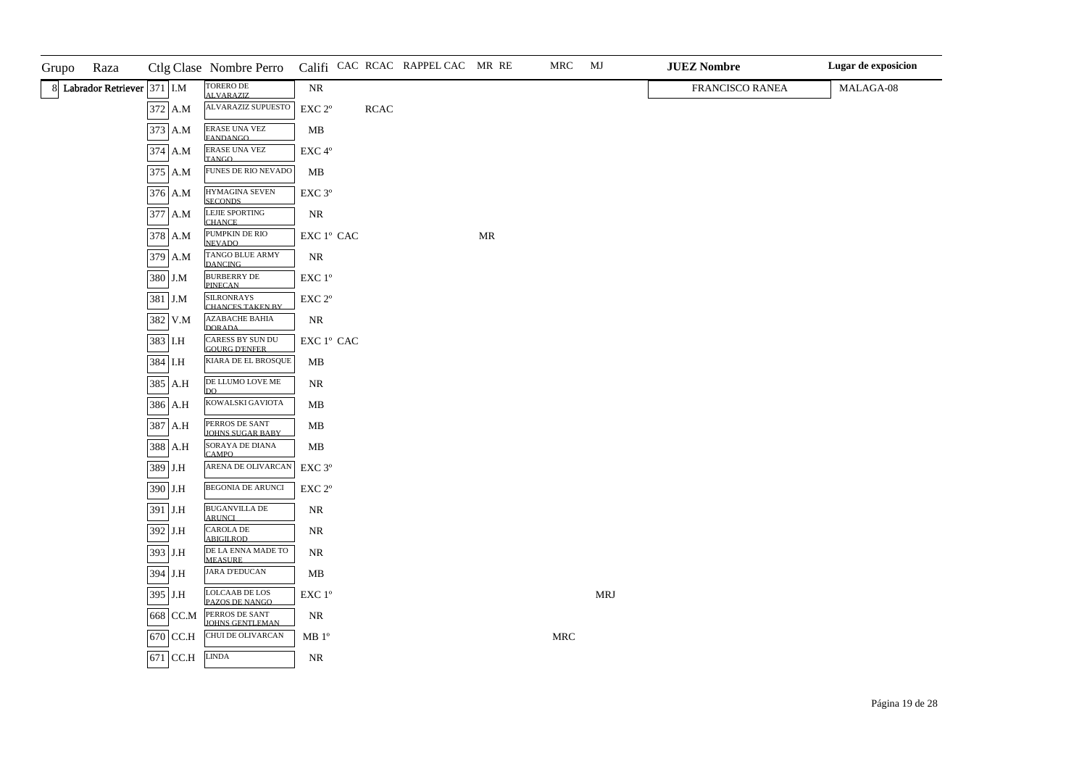| Grupo | Raza                         |             | Ctlg Clase Nombre Perro Califi CAC RCAC RAPPEL CAC MR RE |                                                                     |             |    | MRC                  | MJ         | <b>JUEZ Nombre</b> | Lugar de exposicion |
|-------|------------------------------|-------------|----------------------------------------------------------|---------------------------------------------------------------------|-------------|----|----------------------|------------|--------------------|---------------------|
|       | 8 Labrador Retriever 371 I.M |             | <b>TORERO DE</b><br>ALVARAZIZ.                           | NR                                                                  |             |    |                      |            | FRANCISCO RANEA    | MALAGA-08           |
|       |                              | 372 A.M     | ALVARAZIZ SUPUESTO                                       | $\ensuremath{\mathrm{EXC}}$ $2^{\mathrm{o}}$                        | <b>RCAC</b> |    |                      |            |                    |                     |
|       |                              | 373 A.M     | <b>ERASE UNA VEZ</b><br><b>FANDANGO</b>                  | ${\bf MB}$                                                          |             |    |                      |            |                    |                     |
|       |                              | 374 A.M     | ERASE UNA VEZ<br><b>TANGO</b>                            | $\ensuremath{\mathrm{EXC}}\,4^{\mathrm{o}}$                         |             |    |                      |            |                    |                     |
|       |                              | 375 A.M     | FUNES DE RIO NEVADO                                      | $\mathbf{MB}$                                                       |             |    |                      |            |                    |                     |
|       |                              | 376 A.M     | HYMAGINA SEVEN<br><b>SECONDS</b>                         | EXC <sub>3°</sub>                                                   |             |    |                      |            |                    |                     |
|       |                              | 377 A.M     | LEJIE SPORTING<br><b>CHANCE</b>                          | $\rm NR$                                                            |             |    |                      |            |                    |                     |
|       |                              | 378 A.M     | PUMPKIN DE RIO<br><b>NEVADO</b>                          | $\mathop{\rm EXC}\nolimits$ $1^{\rm o}$ $\mathop{\rm CAC}\nolimits$ |             | MR |                      |            |                    |                     |
|       |                              | 379 A.M     | TANGO BLUE ARMY<br><b>DANCING</b>                        | NR                                                                  |             |    |                      |            |                    |                     |
|       |                              | $380\,$ J.M | <b>BURBERRY DE</b><br><b>PINECAN</b>                     | $\ensuremath{\mathrm{EXC}}$ $1^{\mathrm{o}}$                        |             |    |                      |            |                    |                     |
|       |                              | 381 J.M     | <b>SILRONRAYS</b><br><b>CHANCES TAKEN BY</b>             | $\ensuremath{\mathrm{EXC}}$ $2^{\mathrm{o}}$                        |             |    |                      |            |                    |                     |
|       |                              | 382 V.M     | <b>AZABACHE BAHIA</b><br><b>DORADA</b>                   | NR                                                                  |             |    |                      |            |                    |                     |
|       |                              | 383 I.H     | CARESS BY SUN DU<br><b>GOURG D'ENFER</b>                 | EXC 1° CAC                                                          |             |    |                      |            |                    |                     |
|       |                              | 384 I.H     | KIARA DE EL BROSQUE                                      | MB                                                                  |             |    |                      |            |                    |                     |
|       |                              | 385 A.H     | DE LLUMO LOVE ME<br>DO                                   | $\rm NR$                                                            |             |    |                      |            |                    |                     |
|       |                              | 386 A.H     | KOWALSKI GAVIOTA                                         | MB                                                                  |             |    |                      |            |                    |                     |
|       |                              | 387 A.H     | PERROS DE SANT<br><b>JOHNS SUGAR BABY</b>                | MB                                                                  |             |    |                      |            |                    |                     |
|       |                              | 388 A.H     | SORAYA DE DIANA<br><b>CAMPO</b>                          | MB                                                                  |             |    |                      |            |                    |                     |
|       |                              | 389 J.H     | ARENA DE OLIVARCAN                                       | $\ensuremath{\mathrm{EXC}}$ $3^{\mathrm{o}}$                        |             |    |                      |            |                    |                     |
|       |                              | 390 J.H     | <b>BEGONIA DE ARUNCI</b>                                 | $\ensuremath{\mathrm{EXC}}$ $2^\mathrm{o}$                          |             |    |                      |            |                    |                     |
|       |                              | 391 J.H     | <b>BUGANVILLA DE</b><br><b>ARUNCL</b>                    | NR                                                                  |             |    |                      |            |                    |                     |
|       |                              | 392 J.H     | <b>CAROLA DE</b><br><b>ABIGILROD</b>                     | $\rm NR$                                                            |             |    |                      |            |                    |                     |
|       |                              | 393 J.H     | DE LA ENNA MADE TO<br><b>MEASURE</b>                     | NR                                                                  |             |    |                      |            |                    |                     |
|       |                              | 394 J.H     | <b>JARA D'EDUCAN</b>                                     | MB                                                                  |             |    |                      |            |                    |                     |
|       |                              | 395 J.H     | <b>LOLCAAB DE LOS<br/>PAZOS DE NANGO</b>                 | $\ensuremath{\mathrm{EXC}}$<br>$1^{\mathrm{o}}$                     |             |    |                      | <b>MRJ</b> |                    |                     |
|       |                              | 668 CC.M    | PERROS DE SANT<br><b>JOHNS GENTLEMAN</b>                 | $\rm NR$                                                            |             |    |                      |            |                    |                     |
|       |                              | 670 CC.H    | CHUI DE OLIVARCAN                                        | MB <sup>o</sup>                                                     |             |    | $\operatorname{MRC}$ |            |                    |                     |
|       |                              | $671$ CC.H  | <b>LINDA</b>                                             | $\rm NR$                                                            |             |    |                      |            |                    |                     |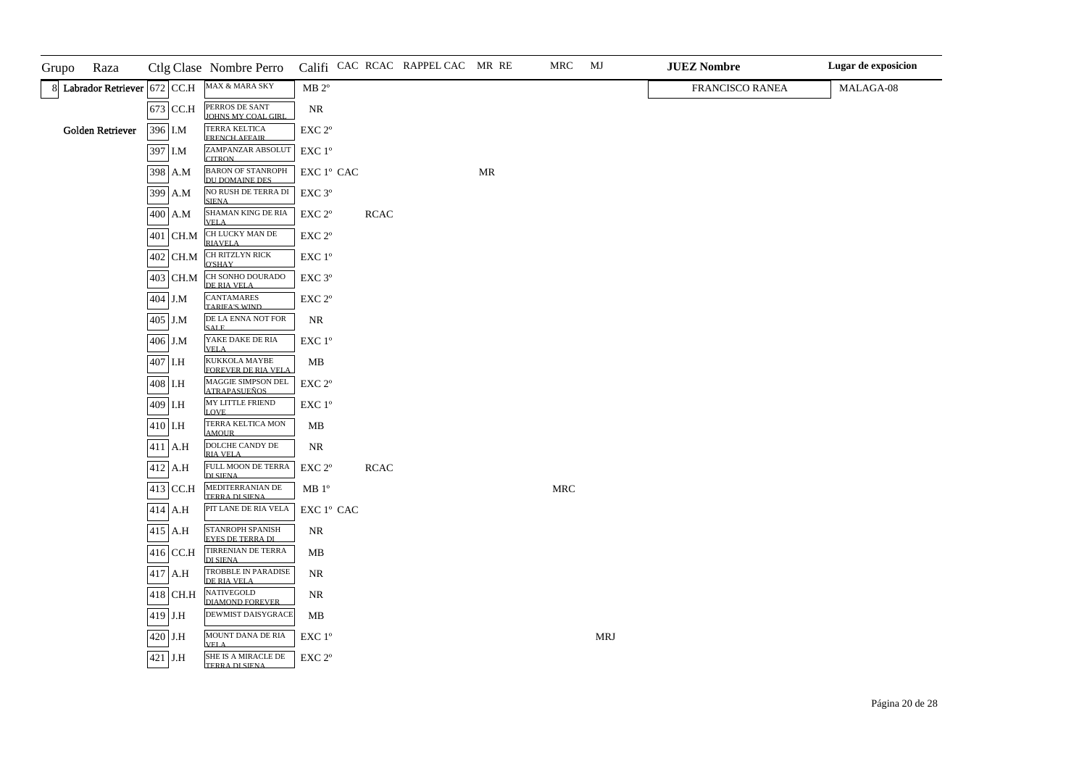| Grupo | Raza                          |             | Ctlg Clase Nombre Perro                                  |                                                 |             | Califi CAC RCAC RAPPEL CAC MR RE |    | MRC                  | MJ         | <b>JUEZ Nombre</b> | Lugar de exposicion |
|-------|-------------------------------|-------------|----------------------------------------------------------|-------------------------------------------------|-------------|----------------------------------|----|----------------------|------------|--------------------|---------------------|
|       | 8 Labrador Retriever 672 CC.H |             | MAX & MARA SKY                                           | $MB 2^{\circ}$                                  |             |                                  |    |                      |            | FRANCISCO RANEA    | MALAGA-08           |
|       |                               | 673 CC.H    | PERROS DE SANT<br>JOHNS MY COAL GIRL                     | NR                                              |             |                                  |    |                      |            |                    |                     |
|       | Golden Retriever              | 396 I.M     | <b>TERRA KELTICA</b><br><b>FRENCH AFFAIR</b>             | EXC 2°                                          |             |                                  |    |                      |            |                    |                     |
|       |                               | 397 I.M     | ZAMPANZAR ABSOLUT<br><b>CITRON</b>                       | EXC 1°                                          |             |                                  |    |                      |            |                    |                     |
|       |                               | 398 A.M     | <b>BARON OF STANROPH</b><br>DU DOMAINE DES               | EXC 1º CAC                                      |             |                                  | MR |                      |            |                    |                     |
|       |                               | 399 A.M     | NO RUSH DE TERRA DI<br><b>SIENA</b>                      | EXC 3°                                          |             |                                  |    |                      |            |                    |                     |
|       |                               | 400 A.M     | SHAMAN KING DE RIA<br><b>VELA</b>                        | EXC 2°                                          | <b>RCAC</b> |                                  |    |                      |            |                    |                     |
|       |                               | 401 CH.M    | CH LUCKY MAN DE<br><b>RIAVELA</b>                        | EXC 2°                                          |             |                                  |    |                      |            |                    |                     |
|       |                               | 402 CH.M    | CH RITZLYN RICK<br>O'SHAY                                | $\ensuremath{\mathrm{EXC}}$<br>$1^{\mathrm{o}}$ |             |                                  |    |                      |            |                    |                     |
|       |                               | 403 CH.M    | CH SONHO DOURADO<br>DE RIA VELA                          | EXC 3°                                          |             |                                  |    |                      |            |                    |                     |
|       |                               | $404\,$ J.M | <b>CANTAMARES</b><br><b>TARIFA'S WIND</b>                | $\ensuremath{\mathrm{EXC}}$ $2^{\mathrm{o}}$    |             |                                  |    |                      |            |                    |                     |
|       |                               | 405 J.M     | DE LA ENNA NOT FOR<br><b>SALE</b>                        | NR                                              |             |                                  |    |                      |            |                    |                     |
|       |                               | 406 J.M     | YAKE DAKE DE RIA<br><b>VELA</b>                          | EXC 1°                                          |             |                                  |    |                      |            |                    |                     |
|       |                               | 407 I.H     | KUKKOLA MAYBE<br>FOREVER DE RIA VELA                     | MB                                              |             |                                  |    |                      |            |                    |                     |
|       |                               | 408 I.H     | MAGGIE SIMPSON DEL<br><b>ATRAPASUEÑOS</b>                | EXC 2°                                          |             |                                  |    |                      |            |                    |                     |
|       |                               | 409 I.H     | MY LITTLE FRIEND<br><b>LOVE</b>                          | EXC 1°                                          |             |                                  |    |                      |            |                    |                     |
|       |                               | 410 I.H     | TERRA KELTICA MON<br><b>AMOUR</b>                        | MB                                              |             |                                  |    |                      |            |                    |                     |
|       |                               | $411$ A.H   | DOLCHE CANDY DE<br><b>RIA VELA</b>                       | NR                                              |             |                                  |    |                      |            |                    |                     |
|       |                               | $412$ A.H   | FULL MOON DE TERRA<br><b>DI SIENA</b>                    | EXC 2°                                          | $\sf RCAC$  |                                  |    |                      |            |                    |                     |
|       |                               | $413$ CC.H  | MEDITERRANIAN DE<br>TERRA DI SIENA                       | MB <sup>o</sup>                                 |             |                                  |    | $\operatorname{MRC}$ |            |                    |                     |
|       |                               | $414$ A.H   | PIT LANE DE RIA VELA                                     | EXC 1º CAC                                      |             |                                  |    |                      |            |                    |                     |
|       |                               | $415$ A.H   | STANROPH SPANISH<br>EYES DE TERRA DI                     | <b>NR</b>                                       |             |                                  |    |                      |            |                    |                     |
|       |                               | $416$ CC.H  | TIRRENIAN DE TERRA<br>DI SIENA                           | MB                                              |             |                                  |    |                      |            |                    |                     |
|       |                               | 417 A.H     | TROBBLE IN PARADISE<br>DE RIA VELA                       | NR                                              |             |                                  |    |                      |            |                    |                     |
|       |                               | 418 CH.H    | $\overline{\text{NATIVEGOLD}}$<br><b>DIAMOND FOREVER</b> | NR                                              |             |                                  |    |                      |            |                    |                     |
|       |                               | 419 J.H     | DEWMIST DAISYGRACE                                       | MB                                              |             |                                  |    |                      |            |                    |                     |
|       |                               | 420 J.H     | MOUNT DANA DE RIA<br><b>VELA</b>                         | $\ensuremath{\mathrm{EXC}}$<br>$1^{\mathrm{o}}$ |             |                                  |    |                      | <b>MRJ</b> |                    |                     |
|       |                               | 421 J.H     | SHE IS A MIRACLE DE<br>TERRA DI SIENA                    | $EXC 2^{\circ}$                                 |             |                                  |    |                      |            |                    |                     |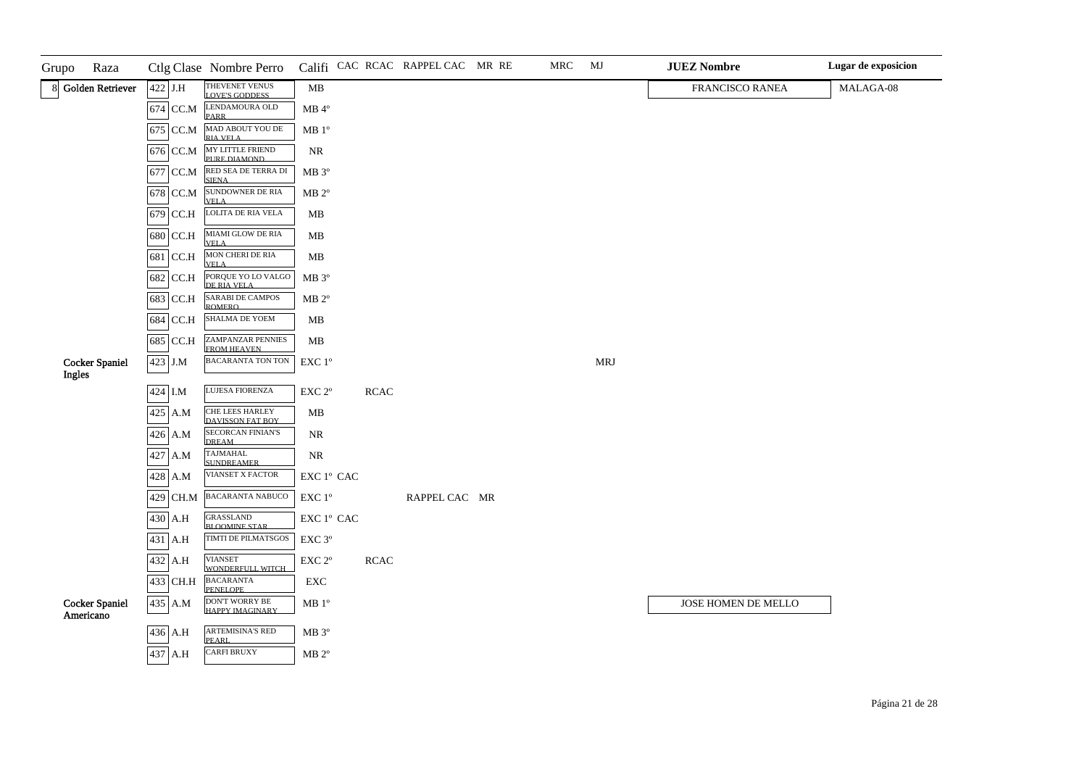| Grupo  | Raza                               |          | Ctlg Clase Nombre Perro                        |                                                                     |             | Califi CAC RCAC RAPPEL CAC MR RE | MRC | MJ         | <b>JUEZ Nombre</b>  | Lugar de exposicion |
|--------|------------------------------------|----------|------------------------------------------------|---------------------------------------------------------------------|-------------|----------------------------------|-----|------------|---------------------|---------------------|
|        | 8 Golden Retriever                 | 422 J.H  | THEVENET VENUS<br><b>LOVE'S GODDESS</b>        | MB                                                                  |             |                                  |     |            | FRANCISCO RANEA     | MALAGA-08           |
|        |                                    |          | 674 CC.M LENDAMOURA OLD<br><b>PARR</b>         | $MB$ <sup>4°</sup>                                                  |             |                                  |     |            |                     |                     |
|        |                                    | 675 CC.M | MAD ABOUT YOU DE<br>RIA VELA                   | MB 1 <sup>o</sup>                                                   |             |                                  |     |            |                     |                     |
|        |                                    | 676 CC.M | MY LITTLE FRIEND<br>PURE DIAMOND               | $\rm NR$                                                            |             |                                  |     |            |                     |                     |
|        |                                    | 677 CC.M | RED SEA DE TERRA DI<br><b>SIENA</b>            | $MB 3^{\circ}$                                                      |             |                                  |     |            |                     |                     |
|        |                                    | 678 CC.M | SUNDOWNER DE RIA<br><b>VELA</b>                | MB 2 <sup>o</sup>                                                   |             |                                  |     |            |                     |                     |
|        |                                    | 679 CC.H | LOLITA DE RIA VELA                             | MB                                                                  |             |                                  |     |            |                     |                     |
|        |                                    | 680 CC.H | MIAMI GLOW DE RIA<br><b>VELA</b>               | MB                                                                  |             |                                  |     |            |                     |                     |
|        |                                    | 681 CC.H | MON CHERI DE RIA<br><b>VELA</b>                | MB                                                                  |             |                                  |     |            |                     |                     |
|        |                                    | 682 CC.H | PORQUE YO LO VALGO<br>DE RIA VELA              | $MB 3^{\circ}$                                                      |             |                                  |     |            |                     |                     |
|        |                                    | 683 CC.H | <b>SARABI DE CAMPOS</b><br><b>ROMERO</b>       | MB 2 <sup>o</sup>                                                   |             |                                  |     |            |                     |                     |
|        |                                    | 684 CC.H | SHALMA DE YOEM                                 | MB                                                                  |             |                                  |     |            |                     |                     |
|        |                                    | 685 CC.H | <b>ZAMPANZAR PENNIES</b><br><b>FROM HEAVEN</b> | $\mathbf{MB}$                                                       |             |                                  |     |            |                     |                     |
| Ingles | <b>Cocker Spaniel</b>              | 423 J.M  | <b>BACARANTA TON TON</b>                       | EXC 1°                                                              |             |                                  |     | <b>MRJ</b> |                     |                     |
|        |                                    | 424 I.M  | LUJESA FIORENZA                                | EXC <sub>2°</sub>                                                   | <b>RCAC</b> |                                  |     |            |                     |                     |
|        |                                    | 425 A.M  | CHE LEES HARLEY                                | MB                                                                  |             |                                  |     |            |                     |                     |
|        |                                    | 426 A.M  | DAVISSON FAT BOY<br><b>SECORCAN FINIAN'S</b>   | <b>NR</b>                                                           |             |                                  |     |            |                     |                     |
|        |                                    | 427 A.M  | <b>DREAM</b><br><b>TAJMAHAL</b>                | $\rm NR$                                                            |             |                                  |     |            |                     |                     |
|        |                                    | 428 A.M  | <b>SUNDREAMER</b><br>VIANSET X FACTOR          | $\mathop{\rm EXC}\nolimits$ $1^{\rm o}$ $\mathop{\rm CAC}\nolimits$ |             |                                  |     |            |                     |                     |
|        |                                    | 429 CH.M | <b>BACARANTA NABUCO</b>                        | EXC 1°                                                              |             | RAPPEL CAC MR                    |     |            |                     |                     |
|        |                                    | 430 A.H  | <b>GRASSLAND</b>                               | $\mathop{\rm EXC}\nolimits$ $1^{\rm o}$ $\mathop{\rm CAC}\nolimits$ |             |                                  |     |            |                     |                     |
|        |                                    | 431 A.H  | <b>BLOOMINE STAR</b><br>TIMTI DE PILMATSGOS    | EXC 3°                                                              |             |                                  |     |            |                     |                     |
|        |                                    | 432 A.H  | <b>VIANSET</b><br>WONDERFIILL WITCH            | EXC 2°                                                              | $\sf RCAC$  |                                  |     |            |                     |                     |
|        |                                    | 433 CH.H | BACARANTA<br>PENELOPE                          | ${\rm EXC}$                                                         |             |                                  |     |            |                     |                     |
|        | <b>Cocker Spaniel</b><br>Americano | 435 A.M  | DON'T WORRY BE<br>HAPPY IMAGINARY              | $MB 1^{\circ}$                                                      |             |                                  |     |            | JOSE HOMEN DE MELLO |                     |
|        |                                    | 436 A.H  | ARTEMISINA'S RED<br><b>PEARL</b>               | $\rm MB$ $3^{\rm o}$                                                |             |                                  |     |            |                     |                     |
|        |                                    | 437 A.H  | <b>CARFI BRUXY</b>                             | $\rm MB$ $2^{\rm o}$                                                |             |                                  |     |            |                     |                     |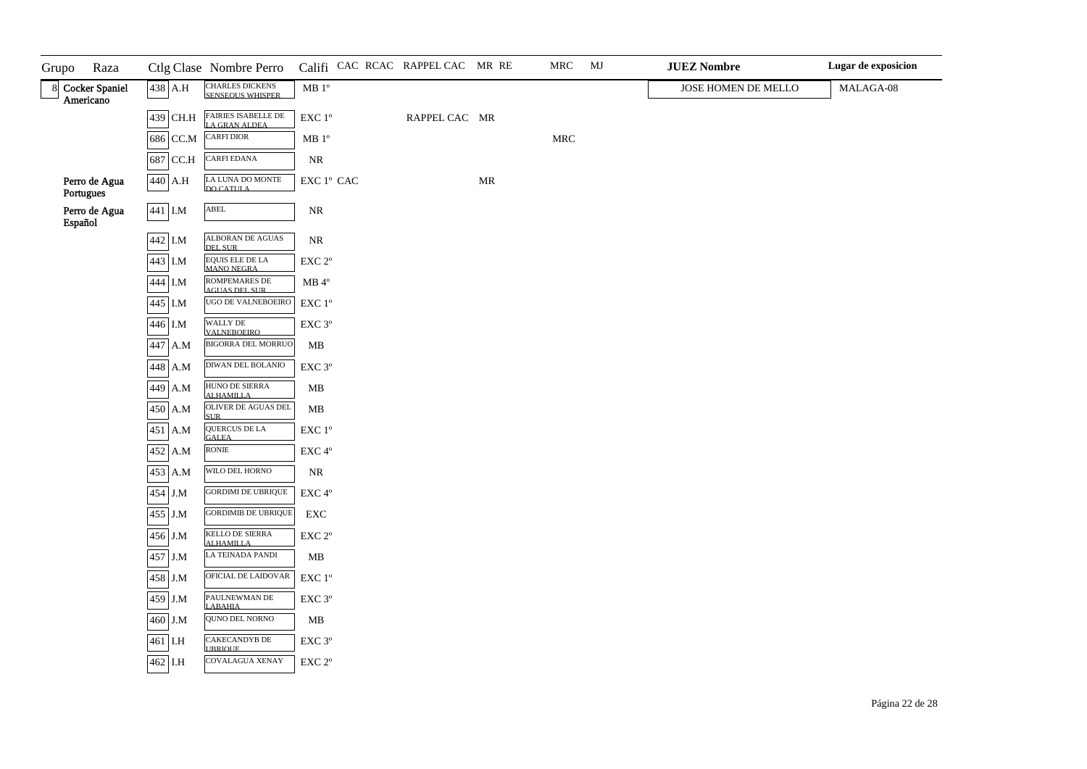| Raza<br>Grupo                 |           | Ctlg Clase Nombre Perro Califi CAC RCAC RAPPEL CAC MR RE |                                              |               |    | MRC                  | MJ | <b>JUEZ Nombre</b>  | Lugar de exposicion |
|-------------------------------|-----------|----------------------------------------------------------|----------------------------------------------|---------------|----|----------------------|----|---------------------|---------------------|
| 8 Cocker Spaniel<br>Americano | 438 A.H   | CHARLES DICKENS<br>SENSEQUS WHISPER                      | $\rm MB$ $1^{\rm o}$                         |               |    |                      |    | JOSE HOMEN DE MELLO | MALAGA-08           |
|                               | 439 CH.H  | <b>FAIRIES ISABELLE DE</b><br>LA GRAN ALDEA              | $\ensuremath{\mathrm{EXC}}$ $1^{\mathrm{o}}$ | RAPPEL CAC MR |    |                      |    |                     |                     |
|                               | 686 CC.M  | <b>CARFI DIOR</b>                                        | $\rm MB$ $1^{\rm o}$                         |               |    | $\operatorname{MRC}$ |    |                     |                     |
|                               | 687 CC.H  | <b>CARFI EDANA</b>                                       | $\rm NR$                                     |               |    |                      |    |                     |                     |
| Perro de Agua<br>Portugues    | 440 A.H   | LA LUNA DO MONTE<br>DO CATULA                            | EXC 1º CAC                                   |               | MR |                      |    |                     |                     |
| Perro de Agua<br>Español      | 441 I.M   | ${\bf ABEL}$                                             | $\rm NR$                                     |               |    |                      |    |                     |                     |
|                               | 442 I.M   | <b>ALBORAN DE AGUAS</b><br>DEL SUR                       | $\rm NR$                                     |               |    |                      |    |                     |                     |
|                               | 443 I.M   | <b>EQUIS ELE DE LA</b><br>MANO NEGRA                     | $\ensuremath{\mathrm{EXC}}$ $2^{\mathrm{o}}$ |               |    |                      |    |                     |                     |
|                               | 444 I.M   | ROMPEMARES DE<br>AGUAS DEL SUR                           | $\rm MB$ $4^{\rm o}$                         |               |    |                      |    |                     |                     |
|                               | 445 I.M   | UGO DE VALNEBOEIRO                                       | $\ensuremath{\mathrm{EXC}}$ $1^{\mathrm{o}}$ |               |    |                      |    |                     |                     |
|                               | 446 I.M   | WALLY DE<br><b>VALNEBOEIRO</b>                           | $\ensuremath{\mathrm{EXC}}$ $3^{\mathrm{o}}$ |               |    |                      |    |                     |                     |
|                               | 447 A.M   | <b>BIGORRA DEL MORRUO</b>                                | $\mathbf{MB}$                                |               |    |                      |    |                     |                     |
|                               | 448 A.M   | DIWAN DEL BOLANIO                                        | EXC 3°                                       |               |    |                      |    |                     |                     |
|                               | 449 A.M   | HUNO DE SIERRA<br><b>ALHAMILLA</b>                       | MB                                           |               |    |                      |    |                     |                     |
|                               | 450 A.M   | OLIVER DE AGUAS DEL<br><b>SUR</b>                        | $\mathbf{MB}$                                |               |    |                      |    |                     |                     |
|                               | 451 A.M   | QUERCUS DE LA<br><b>GALEA</b>                            | $\ensuremath{\mathrm{EXC}}$ $1^{\mathrm{o}}$ |               |    |                      |    |                     |                     |
|                               | 452 A.M   | <b>RONIE</b>                                             | $\ensuremath{\mathrm{EXC}}\,4^{\mathrm{o}}$  |               |    |                      |    |                     |                     |
|                               | 453 A.M   | WILO DEL HORNO                                           | $\rm NR$                                     |               |    |                      |    |                     |                     |
|                               | 454 J.M   | <b>GORDIMI DE UBRIQUE</b>                                | EXC 4°                                       |               |    |                      |    |                     |                     |
|                               | 455 J.M   | <b>GORDIMIB DE UBRIQUE</b>                               | ${\rm EXC}$                                  |               |    |                      |    |                     |                     |
|                               | 456 J.M   | <b>KELLO DE SIERRA</b><br><b>ALHAMILLA</b>               | $\ensuremath{\mathrm{EXC}}$ $2^{\mathrm{o}}$ |               |    |                      |    |                     |                     |
|                               | 457 J.M   | LA TEINADA PANDI                                         | $\mathbf{MB}$                                |               |    |                      |    |                     |                     |
|                               | 458 J.M   | OFICIAL DE LAIDOVAR                                      | EXC 1°                                       |               |    |                      |    |                     |                     |
|                               | 459 J.M   | PAULNEWMAN DE<br>LABAHIA                                 | EXC 3°                                       |               |    |                      |    |                     |                     |
|                               | $460$ J.M | QUNO DEL NORNO                                           | ${\bf MB}$                                   |               |    |                      |    |                     |                     |
|                               | 461 I.H   | CAKECANDYB DE<br><b>IIBRIOUE</b>                         | $\ensuremath{\mathrm{EXC}}$ $3^{\mathrm{o}}$ |               |    |                      |    |                     |                     |
|                               | 462 I.H   | COVALAGUA XENAY                                          | EXC <sub>2°</sub>                            |               |    |                      |    |                     |                     |
|                               |           |                                                          |                                              |               |    |                      |    |                     |                     |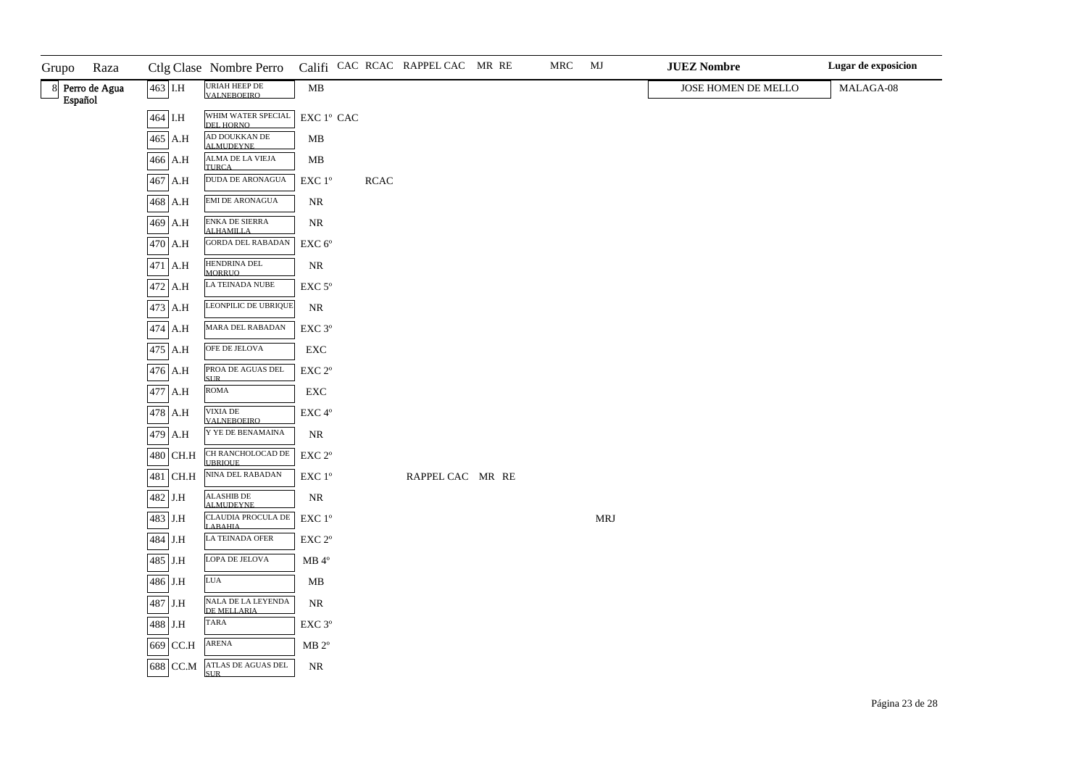| Grupo   | Raza            |             | Ctlg Clase Nombre Perro              |                                              |             | Califi CAC RCAC RAPPEL CAC MR RE | MRC | MJ  | <b>JUEZ Nombre</b>  | Lugar de exposicion |
|---------|-----------------|-------------|--------------------------------------|----------------------------------------------|-------------|----------------------------------|-----|-----|---------------------|---------------------|
| Español | 8 Perro de Agua | 463 I.H     | URIAH HEEP DE<br>VALNEBOEIRO         | MB                                           |             |                                  |     |     | JOSE HOMEN DE MELLO | MALAGA-08           |
|         |                 | $464\,$ I.H | WHIM WATER SPECIAL<br>DEL HORNO      | EXC 1º CAC                                   |             |                                  |     |     |                     |                     |
|         |                 | 465 A.H     | AD DOUKKAN DE<br>ALMUDEYNE           | MB                                           |             |                                  |     |     |                     |                     |
|         |                 | 466 A.H     | ALMA DE LA VIEJA<br><b>THRCA</b>     | MB                                           |             |                                  |     |     |                     |                     |
|         |                 | 467 A.H     | <b>DUDA DE ARONAGUA</b>              | EXC 1°                                       | <b>RCAC</b> |                                  |     |     |                     |                     |
|         |                 | 468 A.H     | <b>EMI DE ARONAGUA</b>               | $\rm NR$                                     |             |                                  |     |     |                     |                     |
|         |                 | 469 A.H     | ENKA DE SIERRA<br><b>ALHAMILLA</b>   | $\rm NR$                                     |             |                                  |     |     |                     |                     |
|         |                 | 470 A.H     | <b>GORDA DEL RABADAN</b>             | $\ensuremath{\mathrm{EXC}}$ $6^{\mathrm{o}}$ |             |                                  |     |     |                     |                     |
|         |                 | 471 A.H     | HENDRINA DEL<br><b>MORRUO</b>        | $\rm NR$                                     |             |                                  |     |     |                     |                     |
|         |                 | 472 A.H     | LA TEINADA NUBE                      | $\ensuremath{\mathrm{EXC}}$ $5^\mathrm{o}$   |             |                                  |     |     |                     |                     |
|         |                 | 473 A.H     | LEONPILIC DE UBRIQUE                 | $\rm NR$                                     |             |                                  |     |     |                     |                     |
|         |                 | 474 A.H     | MARA DEL RABADAN                     | EXC 3°                                       |             |                                  |     |     |                     |                     |
|         |                 | 475 A.H     | OFE DE JELOVA                        | ${\rm EXC}$                                  |             |                                  |     |     |                     |                     |
|         |                 | 476 A.H     | PROA DE AGUAS DEL<br><b>SUR</b>      | $\ensuremath{\mathrm{EXC}}$ $2^{\mathrm{o}}$ |             |                                  |     |     |                     |                     |
|         |                 | 477 A.H     | ROMA                                 | ${\rm EXC}$                                  |             |                                  |     |     |                     |                     |
|         |                 | 478 A.H     | VIXIA DE<br><b>VALNEBOEIRO</b>       | $\ensuremath{\mathrm{EXC}}\,4^{\mathrm{o}}$  |             |                                  |     |     |                     |                     |
|         |                 | 479 A.H     | Y YE DE BENAMAINA                    | $\rm NR$                                     |             |                                  |     |     |                     |                     |
|         |                 | 480 CH.H    | CH RANCHOLOCAD DE<br><b>UBRIOUE</b>  | $\ensuremath{\mathrm{EXC}}$ $2^{\mathrm{o}}$ |             |                                  |     |     |                     |                     |
|         |                 | 481 CH.H    | NINA DEL RABADAN                     | $\ensuremath{\mathrm{EXC}}$ $1^\mathrm{o}$   |             | RAPPEL CAC MR RE                 |     |     |                     |                     |
|         |                 | 482 J.H     | <b>ALASHIB DE</b><br>AI MUDEYNE      | $\rm NR$                                     |             |                                  |     |     |                     |                     |
|         |                 | 483 J.H     | CLAUDIA PROCULA DE<br><b>LABAHIA</b> | $\ensuremath{\mathrm{EXC}}$ $1^{\mathrm{o}}$ |             |                                  |     | MRJ |                     |                     |
|         |                 | 484 J.H     | LA TEINADA OFER                      | EXC 2°                                       |             |                                  |     |     |                     |                     |
|         |                 | 485 J.H     | LOPA DE JELOVA                       | $\rm MB$ $4^{\rm o}$                         |             |                                  |     |     |                     |                     |
|         |                 | 486 J.H     | <b>LUA</b>                           | MB                                           |             |                                  |     |     |                     |                     |
|         |                 | $487\,$ J.H | NALA DE LA LEYENDA<br>DE MELLARIA    | $\rm NR$                                     |             |                                  |     |     |                     |                     |
|         |                 | 488 J.H     | <b>TARA</b>                          | $\ensuremath{\mathrm{EXC}}\,3^{\mathrm{o}}$  |             |                                  |     |     |                     |                     |
|         |                 | 669 CC.H    | <b>ARENA</b>                         | $MB 2^{\circ}$                               |             |                                  |     |     |                     |                     |
|         |                 | 688 CC.M    | ATLAS DE AGUAS DEL<br><b>SLIR</b>    | NR                                           |             |                                  |     |     |                     |                     |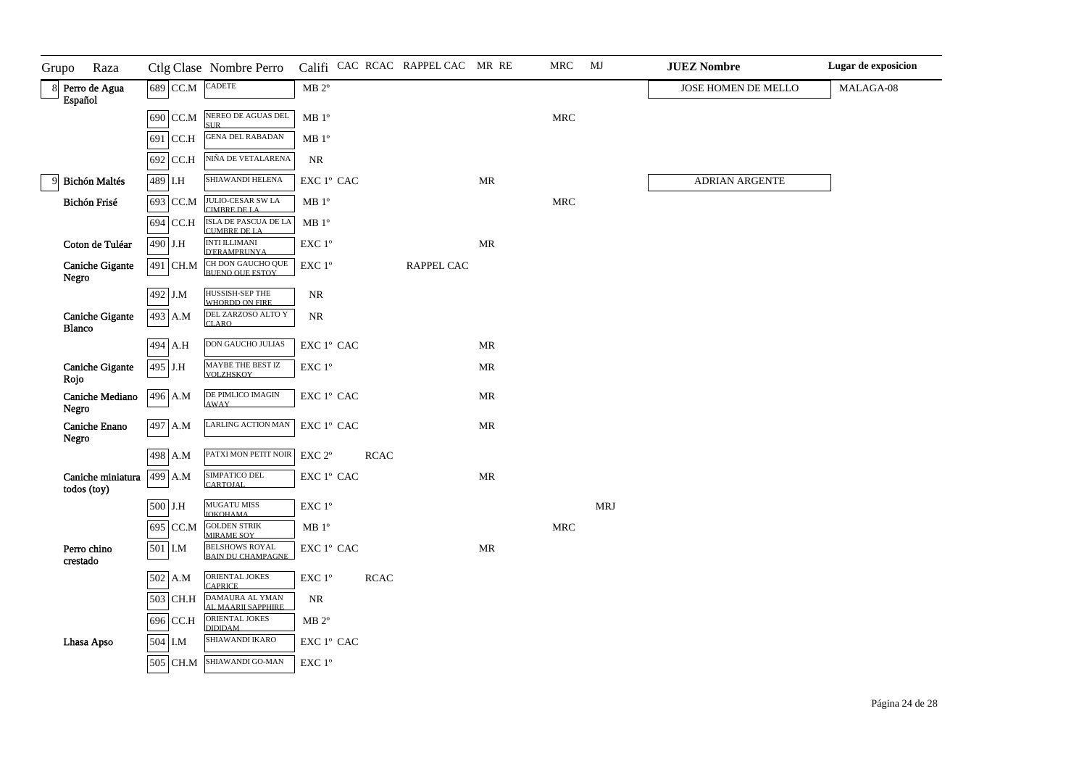| Raza<br>Grupo                                   |          | Ctlg Clase Nombre Perro                     |                                                          |             | Califi CAC RCAC RAPPEL CAC MR RE |                                   | MRC                  | MJ         | <b>JUEZ Nombre</b>  | Lugar de exposicion |
|-------------------------------------------------|----------|---------------------------------------------|----------------------------------------------------------|-------------|----------------------------------|-----------------------------------|----------------------|------------|---------------------|---------------------|
| 8 Perro de Agua<br>Español                      | 689 CC.M | <b>CADETE</b>                               | $MB 2^{\circ}$                                           |             |                                  |                                   |                      |            | JOSE HOMEN DE MELLO | MALAGA-08           |
|                                                 | 690 CC.M | NEREO DE AGUAS DEL<br><b>SUR</b>            | MB 1 <sup>o</sup>                                        |             |                                  |                                   | $\operatorname{MRC}$ |            |                     |                     |
|                                                 | 691 CC.H | <b>GENA DEL RABADAN</b>                     | MB 1 <sup>o</sup>                                        |             |                                  |                                   |                      |            |                     |                     |
|                                                 | 692 CC.H | NIÑA DE VETALARENA                          | <b>NR</b>                                                |             |                                  |                                   |                      |            |                     |                     |
| <b>Bichón Maltés</b>                            | 489 I.H  | SHIAWANDI HELENA                            | ${\rm EXC}\ 1^{\rm o}$ CAC                               |             |                                  | $\ensuremath{\mathsf{MR}}\xspace$ |                      |            | ADRIAN ARGENTE      |                     |
| Bichón Frisé                                    | 693 CC.M | <b>JULIO-CESAR SW LA<br/>CIMBRE DE LA</b>   | MB 1 <sup>o</sup>                                        |             |                                  |                                   | $\operatorname{MRC}$ |            |                     |                     |
|                                                 | 694 CC.H | ISLA DE PASCUA DE LA<br>CUMBRE DE LA        | MB <sup>0</sup>                                          |             |                                  |                                   |                      |            |                     |                     |
| Coton de Tuléar                                 | 490 J.H  | <b>INTI ILLIMANI</b><br><b>D'ERAMPRUNYA</b> | EXC 1°                                                   |             |                                  | MR                                |                      |            |                     |                     |
| <b>Caniche Gigante</b><br>Negro                 | 491 CH.M | CH DON GAUCHO QUE<br>BUENO OUE ESTOY        | $\ensuremath{\mathrm{EXC}}$ $1^{\mathrm{o}}$             |             | RAPPEL CAC                       |                                   |                      |            |                     |                     |
|                                                 | 492 J.M  | HUSSISH-SEP THE<br>WHORDD ON FIRE           | NR                                                       |             |                                  |                                   |                      |            |                     |                     |
| <b>Caniche Gigante</b><br><b>Blanco</b>         | 493 A.M  | DEL ZARZOSO ALTO Y<br><b>CLARO</b>          | NR                                                       |             |                                  |                                   |                      |            |                     |                     |
|                                                 | 494 A.H  | DON GAUCHO JULIAS                           | EXC 1° CAC                                               |             |                                  | MR                                |                      |            |                     |                     |
| <b>Caniche Gigante</b><br>Rojo                  | 495 J.H  | MAYBE THE BEST IZ<br>VOLZHSKOY              | $\ensuremath{\text{EXC}}$<br>$1^{\ensuremath{\text{o}}}$ |             |                                  | MR                                |                      |            |                     |                     |
| Caniche Mediano<br>Negro                        | 496 A.M  | DE PIMLICO IMAGIN<br><b>AWAY</b>            | EXC 1° CAC                                               |             |                                  | <b>MR</b>                         |                      |            |                     |                     |
| Caniche Enano<br>Negro                          | 497 A.M  | <b>LARLING ACTION MAN</b>                   | ${\rm EXC}\ 1^{\rm o}$ CAC                               |             |                                  | MR                                |                      |            |                     |                     |
|                                                 | 498 A.M  | PATXI MON PETIT NOIR                        | $\ensuremath{\mathrm{EXC}}$ $2^{\mathrm{o}}$             | <b>RCAC</b> |                                  |                                   |                      |            |                     |                     |
| Caniche miniatura<br>todos (toy)                | 499 A.M  | SIMPATICO DEL<br><b>CARTOJAL</b>            | EXC 1° CAC                                               |             |                                  | <b>MR</b>                         |                      |            |                     |                     |
|                                                 | 500 J.H  | <b>MUGATU MISS</b><br><b>IOKOHAMA</b>       | EXC 1°                                                   |             |                                  |                                   |                      | <b>MRJ</b> |                     |                     |
|                                                 | 695 CC.M | <b>GOLDEN STRIK</b><br>MIRAME SOY           | MB 1 <sup>o</sup>                                        |             |                                  |                                   | $\operatorname{MRC}$ |            |                     |                     |
| Perro chino<br>$\boldsymbol{\mathrm{crestado}}$ | 501 I.M  | BELSHOWS ROYAL<br>BAIN DU CHAMPAGNE         | EXC 1° CAC                                               |             |                                  | <b>MR</b>                         |                      |            |                     |                     |
|                                                 | 502 A.M  | ORIENTAL JOKES<br><b>CAPRICE</b>            | $\ensuremath{\mathrm{EXC}}$<br>$1^{\mathrm{o}}$          | <b>RCAC</b> |                                  |                                   |                      |            |                     |                     |
|                                                 | 503 CH.H | DAMAURA AL YMAN<br>AL MAARII SAPPHIRE       | NR                                                       |             |                                  |                                   |                      |            |                     |                     |
|                                                 | 696 CC.H | ORIENTAL JOKES<br><b>DIDIDAM</b>            | $MB 2^{\circ}$                                           |             |                                  |                                   |                      |            |                     |                     |
| Lhasa Apso                                      | 504 I.M  | SHIAWANDI IKARO                             | EXC 1° CAC                                               |             |                                  |                                   |                      |            |                     |                     |
|                                                 | 505 CH.M | SHIAWANDI GO-MAN                            | EXC 1°                                                   |             |                                  |                                   |                      |            |                     |                     |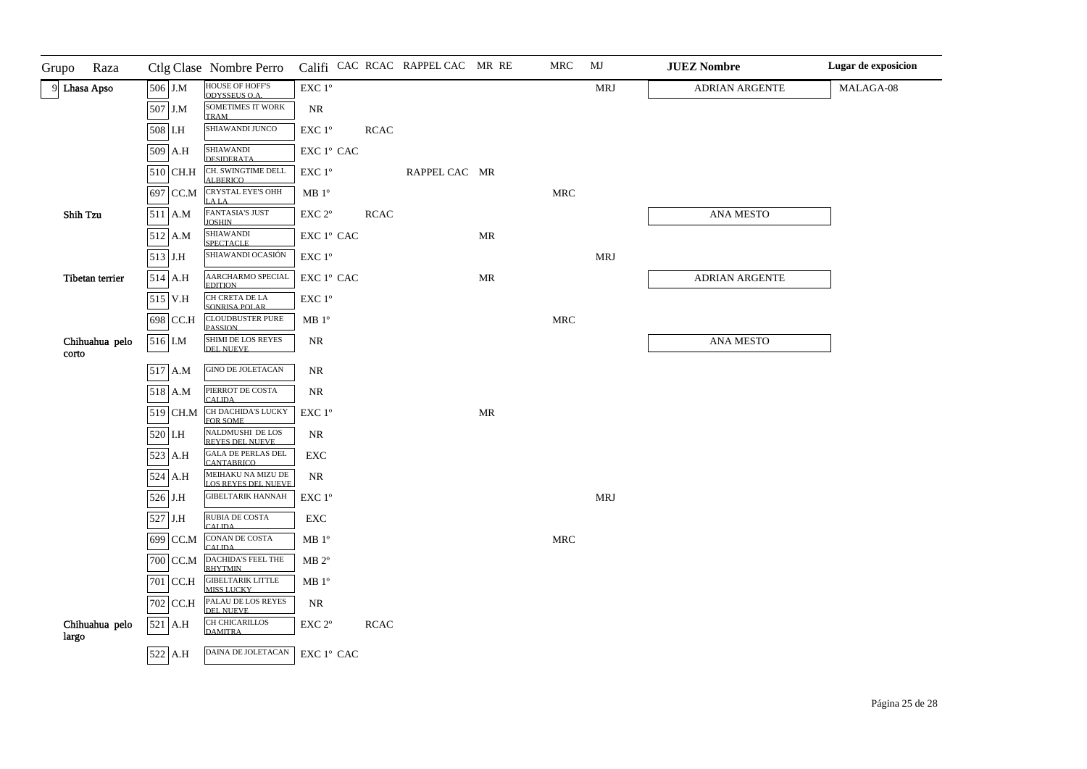| Grupo<br>Raza           |           | Ctlg Clase Nombre Perro                        |                                                 |             | Califi CAC RCAC RAPPEL CAC MR RE |                                   | MRC                  | MJ         | <b>JUEZ Nombre</b> | Lugar de exposicion |
|-------------------------|-----------|------------------------------------------------|-------------------------------------------------|-------------|----------------------------------|-----------------------------------|----------------------|------------|--------------------|---------------------|
| 9 Lhasa Apso            | 506 J.M   | HOUSE OF HOFF'S<br>ODYSSELIS O.A.              | EXC 1°                                          |             |                                  |                                   |                      | <b>MRJ</b> | ADRIAN ARGENTE     | MALAGA-08           |
|                         | 507 J.M   | <b>SOMETIMES IT WORK</b><br><b>TRAM</b>        | <b>NR</b>                                       |             |                                  |                                   |                      |            |                    |                     |
|                         | 508 I.H   | SHIAWANDI JUNCO                                | $\ensuremath{\mathrm{EXC}}$<br>$1^{\mathrm{o}}$ | <b>RCAC</b> |                                  |                                   |                      |            |                    |                     |
|                         | 509 A.H   | SHIAWANDI<br>DESIDERATA                        | EXC 1° CAC                                      |             |                                  |                                   |                      |            |                    |                     |
|                         | 510 CH.H  | CH. SWINGTIME DELL<br><b>ALBERICO</b>          | $\ensuremath{\mathrm{EXC}}$ $1^\mathrm{o}$      |             | RAPPEL CAC MR                    |                                   |                      |            |                    |                     |
|                         | 697 CC.M  | <b>CRYSTAL EYE'S OHH</b><br><b>LALA</b>        | MB <sup>o</sup>                                 |             |                                  |                                   | <b>MRC</b>           |            |                    |                     |
| Shih Tzu                | 511 A.M   | <b>FANTASIA'S JUST</b><br><b>JOSHIN</b>        | EXC 2°                                          | <b>RCAC</b> |                                  |                                   |                      |            | ANA MESTO          |                     |
|                         | 512 A.M   | SHIAWANDI<br>SPECTACLE.                        | EXC 1º CAC                                      |             |                                  | MR                                |                      |            |                    |                     |
|                         | $513$ J.H | SHIAWANDI OCASIÓN                              | EXC 1°                                          |             |                                  |                                   |                      | MRJ        |                    |                     |
| Tibetan terrier         | 514 A.H   | AARCHARMO SPECIAL<br><b>EDITION</b>            | EXC 1° CAC                                      |             |                                  | MR                                |                      |            | ADRIAN ARGENTE     |                     |
|                         | 515 V.H   | CH CRETA DE LA<br>SONRISA POLAR                | $\ensuremath{\mathrm{EXC}}$<br>$1^{\mathrm{o}}$ |             |                                  |                                   |                      |            |                    |                     |
|                         | 698 CC.H  | <b>CLOUDBUSTER PURE</b><br><b>PASSION</b>      | MB 1 <sup>o</sup>                               |             |                                  |                                   | <b>MRC</b>           |            |                    |                     |
| Chihuahua pelo<br>corto | 516 I.M   | <b>SHIMI DE LOS REYES</b><br><b>DEL NUEVE</b>  | $\rm NR$                                        |             |                                  |                                   |                      |            | ANA MESTO          |                     |
|                         | 517 A.M   | <b>GINO DE JOLETACAN</b>                       | NR                                              |             |                                  |                                   |                      |            |                    |                     |
|                         | 518 A.M   | PIERROT DE COSTA<br>CALIDA                     | $\rm NR$                                        |             |                                  |                                   |                      |            |                    |                     |
|                         | 519 CH.M  | CH DACHIDA'S LUCKY<br>FOR SOME                 | EXC 1°                                          |             |                                  | $\ensuremath{\mathsf{MR}}\xspace$ |                      |            |                    |                     |
|                         | 520 I.H   | NALDMUSHI DE LOS<br>REYES DEL NUEVE            | NR                                              |             |                                  |                                   |                      |            |                    |                     |
|                         | 523 A.H   | <b>GALA DE PERLAS DEL</b><br><b>CANTABRICO</b> | ${\rm EXC}$                                     |             |                                  |                                   |                      |            |                    |                     |
|                         | 524 A.H   | MEIHAKU NA MIZU DE<br>LOS REYES DEL NUEVE      | NR                                              |             |                                  |                                   |                      |            |                    |                     |
|                         | 526 J.H   | <b>GIBELTARIK HANNAH</b>                       | $\ensuremath{\mathrm{EXC}}$<br>$1^{\mathrm{o}}$ |             |                                  |                                   |                      | <b>MRJ</b> |                    |                     |
|                         | 527 J.H   | RUBIA DE COSTA<br><b>CALIDA</b>                | EXC                                             |             |                                  |                                   |                      |            |                    |                     |
|                         | 699 CC.M  | CONAN DE COSTA<br><b>CALIDA</b>                | MB 1 <sup>o</sup>                               |             |                                  |                                   | $\operatorname{MRC}$ |            |                    |                     |
|                         | 700 CC.M  | DACHIDA'S FEEL THE<br><b>RHYTMIN</b>           | $MB 2^{\circ}$                                  |             |                                  |                                   |                      |            |                    |                     |
|                         | 701 CC.H  | <b>GIBELTARIK LITTLE</b><br>MISS LUCKY         | MB <sup>0</sup>                                 |             |                                  |                                   |                      |            |                    |                     |
|                         | 702 CC.H  | PALAU DE LOS REYES<br>DEL NUEVE                | $\rm NR$                                        |             |                                  |                                   |                      |            |                    |                     |
| Chihuahua pelo<br>largo | 521 A.H   | <b>CH CHICARILLOS</b><br><b>DAMITRA</b>        | EXC <sub>2°</sub>                               | <b>RCAC</b> |                                  |                                   |                      |            |                    |                     |
|                         | 522 A.H   | <b>DAINA DE JOLETACAN</b>                      | $\ensuremath{\mathrm{EXC}}$ $1^\mathrm{o}$ CAC  |             |                                  |                                   |                      |            |                    |                     |

 $\mathbf{r}$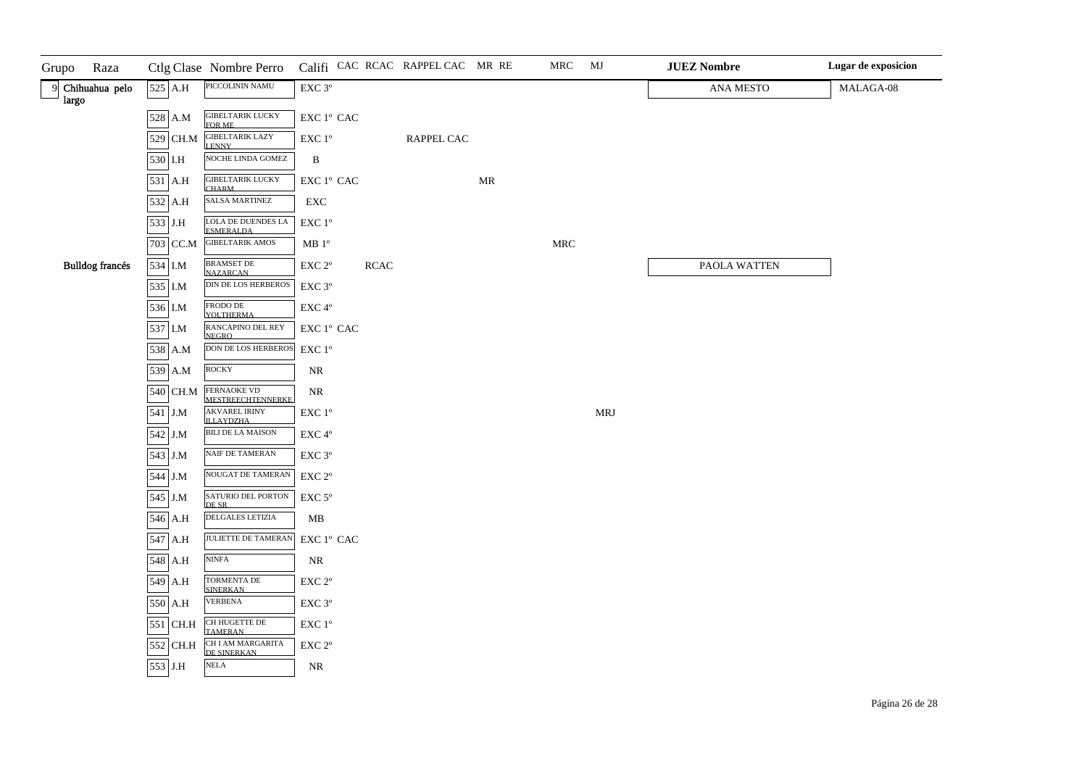| Grupo | Raza                   |          | Ctlg Clase Nombre Perro                  |                                                |             | Califi CAC RCAC RAPPEL CAC MR RE |    | MRC                  | MJ         | <b>JUEZ Nombre</b> | Lugar de exposicion |
|-------|------------------------|----------|------------------------------------------|------------------------------------------------|-------------|----------------------------------|----|----------------------|------------|--------------------|---------------------|
| largo | 9 Chihuahua pelo       | 525 A.H  | PICCOLININ NAMU                          | EXC 3°                                         |             |                                  |    |                      |            | ANA MESTO          | MALAGA-08           |
|       |                        | 528 A.M  | <b>GIBELTARIK LUCKY</b><br>FOR ME        | ${\rm EXC}$ $1^{\rm o}$ ${\rm CAC}$            |             |                                  |    |                      |            |                    |                     |
|       |                        | 529 CH.M | GIBELTARIK LAZY<br>LENNY                 | $\ensuremath{\mathrm{EXC}}$ $1^\mathrm{o}$     |             | RAPPEL CAC                       |    |                      |            |                    |                     |
|       |                        | 530 I.H  | NOCHE LINDA GOMEZ                        | $\, {\bf B}$                                   |             |                                  |    |                      |            |                    |                     |
|       |                        | 531 A.H  | <b>GIBELTARIK LUCKY</b><br><b>CHARM</b>  | EXC 1º CAC                                     |             |                                  | MR |                      |            |                    |                     |
|       |                        | 532 A.H  | <b>SALSA MARTINEZ</b>                    | ${\rm EXC}$                                    |             |                                  |    |                      |            |                    |                     |
|       |                        | 533 J.H  | LOLA DE DUENDES LA<br><b>ESMERALDA</b>   | $\ensuremath{\mathrm{EXC}}$ $1^{\mathrm{o}}$   |             |                                  |    |                      |            |                    |                     |
|       |                        | 703 CC.M | <b>GIBELTARIK AMOS</b>                   | MB <sup>o</sup>                                |             |                                  |    | $\operatorname{MRC}$ |            |                    |                     |
|       | <b>Bulldog</b> francés | 534 I.M  | <b>BRAMSET DE</b><br><b>NAZARCAN</b>     | $\ensuremath{\mathrm{EXC}}$ $2^{\mathrm{o}}$   | <b>RCAC</b> |                                  |    |                      |            | PAOLA WATTEN       |                     |
|       |                        | 535 I.M  | <b>DIN DE LOS HERBEROS</b>               | $\ensuremath{\mathrm{EXC}}$ $3^{\mathrm{o}}$   |             |                                  |    |                      |            |                    |                     |
|       |                        | 536 I.M  | FRODO DE<br><b>YOLTHERMA</b>             | EXC 4°                                         |             |                                  |    |                      |            |                    |                     |
|       |                        | 537 I.M  | RANCAPINO DEL REY<br><b>NEGRO</b>        | EXC 1º CAC                                     |             |                                  |    |                      |            |                    |                     |
|       |                        | 538 A.M  | DON DE LOS HERBEROS                      | $\ensuremath{\mathrm{EXC}}$ $1^{\mathrm{o}}$   |             |                                  |    |                      |            |                    |                     |
|       |                        | 539 A.M  | ROCKY                                    | $\rm NR$                                       |             |                                  |    |                      |            |                    |                     |
|       |                        | 540 CH.M | FERNAOKE VD<br><b>MESTREECHTENNERKE</b>  | $\rm NR$                                       |             |                                  |    |                      |            |                    |                     |
|       |                        | 541 J.M  | <b>AKVAREL IRINY</b><br><b>ILLAYDZHA</b> | $\ensuremath{\mathrm{EXC}}$ $1^\mathrm{o}$     |             |                                  |    |                      | <b>MRJ</b> |                    |                     |
|       |                        | 542 J.M  | <b>BILI DE LA MAISON</b>                 | EXC 4°                                         |             |                                  |    |                      |            |                    |                     |
|       |                        | 543 J.M  | NAIF DE TAMERAN                          | EXC 3°                                         |             |                                  |    |                      |            |                    |                     |
|       |                        | 544 J.M  | NOUGAT DE TAMERAN                        | $\ensuremath{\mathrm{EXC}}$ $2^\mathrm{o}$     |             |                                  |    |                      |            |                    |                     |
|       |                        | 545 J.M  | SATURIO DEL PORTON<br>DE SR              | $\ensuremath{\mathrm{EXC}}$ $5^\mathrm{o}$     |             |                                  |    |                      |            |                    |                     |
|       |                        | 546 A.H  | DELGALES LETIZIA                         | ${\bf MB}$                                     |             |                                  |    |                      |            |                    |                     |
|       |                        | 547 A.H  | JULIETTE DE TAMERAN                      | $\ensuremath{\mathrm{EXC}}$ $1^\mathrm{o}$ CAC |             |                                  |    |                      |            |                    |                     |
|       |                        | 548 A.H  | <b>NINFA</b>                             | $\rm NR$                                       |             |                                  |    |                      |            |                    |                     |
|       |                        | 549 A.H  | TORMENTA DE<br><b>SINERKAN</b>           | $\ensuremath{\mathrm{EXC}}$ $2^{\mathrm{o}}$   |             |                                  |    |                      |            |                    |                     |
|       |                        | 550 A.H  | <b>VERBENA</b>                           | $\ensuremath{\mathrm{EXC}}$ $3^{\mathrm{o}}$   |             |                                  |    |                      |            |                    |                     |
|       |                        | 551 CH.H | CH HUGETTE DE<br><b>TAMERAN</b>          | $\ensuremath{\mathrm{EXC}}$ $1^\mathrm{o}$     |             |                                  |    |                      |            |                    |                     |
|       |                        | 552 CH.H | CH I AM MARGARITA<br>DE SINERKAN.        | $\ensuremath{\mathrm{EXC}}$ $2^{\mathrm{o}}$   |             |                                  |    |                      |            |                    |                     |
|       |                        | 553 J.H  | <b>NELA</b>                              | NR                                             |             |                                  |    |                      |            |                    |                     |
|       |                        |          |                                          |                                                |             |                                  |    |                      |            |                    |                     |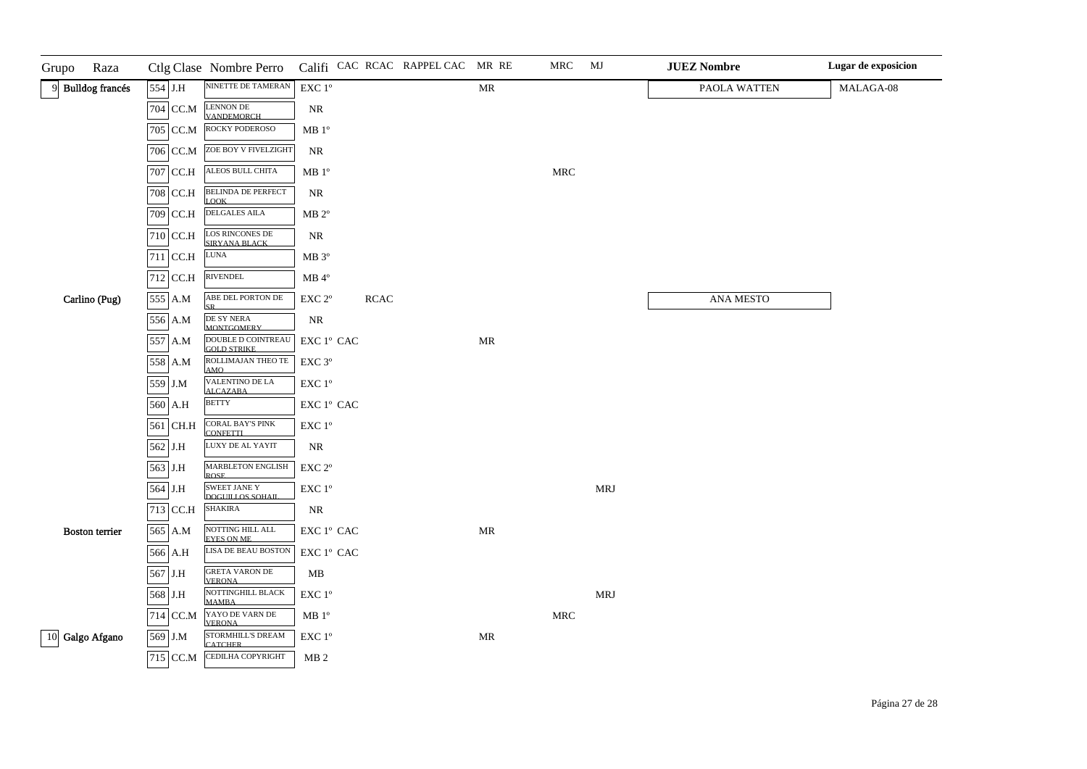| Grupo<br>Raza         |            | Ctlg Clase Nombre Perro                                      |                                                                     |            | Califi CAC RCAC RAPPEL CAC MR RE |                                   | MRC                  | MJ         | <b>JUEZ Nombre</b> | Lugar de exposicion |
|-----------------------|------------|--------------------------------------------------------------|---------------------------------------------------------------------|------------|----------------------------------|-----------------------------------|----------------------|------------|--------------------|---------------------|
| 9 Bulldog francés     | 554 J.H    | NINETTE DE TAMERAN                                           | $\ensuremath{\mathrm{EXC}}$ $1^{\mathrm{o}}$                        |            |                                  | $\ensuremath{\mathsf{MR}}\xspace$ |                      |            | PAOLA WATTEN       | MALAGA-08           |
|                       |            | 704 CC.M LENNON DE VANDEMORCH                                | NR                                                                  |            |                                  |                                   |                      |            |                    |                     |
|                       | 705 CC.M   | ROCKY PODEROSO                                               | $\rm MB$ $1^{\rm o}$                                                |            |                                  |                                   |                      |            |                    |                     |
|                       | 706 CC.M   | ZOE BOY V FIVELZIGHT                                         | NR                                                                  |            |                                  |                                   |                      |            |                    |                     |
|                       | 707 CC.H   | ALEOS BULL CHITA                                             | MB <sup>0</sup>                                                     |            |                                  |                                   | $\operatorname{MRC}$ |            |                    |                     |
|                       | 708 CC.H   | <b>BELINDA DE PERFECT</b><br><b>LOOK</b>                     | $\rm NR$                                                            |            |                                  |                                   |                      |            |                    |                     |
|                       | 709 CC.H   | DELGALES AILA                                                | $MB 2^{\circ}$                                                      |            |                                  |                                   |                      |            |                    |                     |
|                       | $710$ CC.H | LOS RINCONES DE<br>SIRYANA BLACK                             | NR                                                                  |            |                                  |                                   |                      |            |                    |                     |
|                       | 711 CC.H   | <b>LUNA</b>                                                  | MB 3°                                                               |            |                                  |                                   |                      |            |                    |                     |
|                       | $712$ CC.H | RIVENDEL                                                     | $MB$ <sup>4°</sup>                                                  |            |                                  |                                   |                      |            |                    |                     |
| Carlino (Pug)         | 555 A.M    | ABE DEL PORTON DE<br><b>SR</b>                               | EXC 2°                                                              | $\sf RCAC$ |                                  |                                   |                      |            | ANA MESTO          |                     |
|                       | 556 A.M    | DE SY NERA<br><b>MONTGOMERY</b>                              | NR                                                                  |            |                                  |                                   |                      |            |                    |                     |
|                       | 557 A.M    | DOUBLE D COINTREAU<br><b>GOLD STRIKE</b>                     | $\mathop{\rm EXC}\nolimits$ $1^{\rm o}$ $\mathop{\rm CAC}\nolimits$ |            |                                  | MR                                |                      |            |                    |                     |
|                       | 558 A.M    | ROLLIMAJAN THEO TE<br>AMO                                    | EXC 3°                                                              |            |                                  |                                   |                      |            |                    |                     |
|                       | 559 J.M    | VALENTINO DE LA<br><b>ALCAZABA</b>                           | $\ensuremath{\mathrm{EXC}}$ $1^\mathrm{o}$                          |            |                                  |                                   |                      |            |                    |                     |
|                       | 560 A.H    | <b>BETTY</b>                                                 | $\mathop{\rm EXC}\nolimits$ $1^{\rm o}$ $\mathop{\rm CAC}\nolimits$ |            |                                  |                                   |                      |            |                    |                     |
|                       | 561 CH.H   | CORAL BAY'S PINK<br><b>CONFETTI</b>                          | $\ensuremath{\mathrm{EXC}}$ $1^{\mathrm{o}}$                        |            |                                  |                                   |                      |            |                    |                     |
|                       | 562 J.H    | LUXY DE AL YAYIT                                             | NR                                                                  |            |                                  |                                   |                      |            |                    |                     |
|                       | 563 J.H    | <b>MARBLETON ENGLISH</b><br><b>ROSE</b>                      | $\ensuremath{\mathrm{EXC}}$ $2^{\mathrm{o}}$                        |            |                                  |                                   |                      |            |                    |                     |
|                       | 564 J.H    | <b>SWEET JANE Y</b><br>DOGUILLOS SOHAIL                      | $\ensuremath{\mathrm{EXC}}$<br>$1^{\mathrm{o}}$                     |            |                                  |                                   |                      | <b>MRJ</b> |                    |                     |
|                       | 713 CC.H   | <b>SHAKIRA</b>                                               | NR                                                                  |            |                                  |                                   |                      |            |                    |                     |
| <b>Boston</b> terrier | 565 A.M    | NOTTING HILL ALL<br><b>EYES ON ME</b>                        | $\mathop{\rm EXC}\nolimits$ $1^{\rm o}$ $\mathop{\rm CAC}\nolimits$ |            |                                  | $\ensuremath{\mathsf{MR}}\xspace$ |                      |            |                    |                     |
|                       | 566 A.H    | LISA DE BEAU BOSTON                                          | EXC 1° CAC                                                          |            |                                  |                                   |                      |            |                    |                     |
|                       | 567 J.H    | <b>GRETA VARON DE</b><br><b>VERONA</b>                       | MВ                                                                  |            |                                  |                                   |                      |            |                    |                     |
|                       | 568 J.H    | NOTTINGHILL BLACK<br><b>MAMBA</b>                            | $\ensuremath{\mathrm{EXC}}$ $1^{\mathrm{o}}$                        |            |                                  |                                   |                      | MRJ        |                    |                     |
|                       | 714 CC.M   | YAYO DE VARN DE<br><b>VERONA</b><br><b>STORMHILL'S DREAM</b> | $MB 1^{\circ}$                                                      |            |                                  |                                   | <b>MRC</b>           |            |                    |                     |
| 10 Galgo Afgano       | 569 J.M    | <b>CATCHER</b>                                               | $\ensuremath{\text{EXC}}$<br>$1^{\ensuremath{\text{o}}}$            |            |                                  | $\ensuremath{\mathbf{MR}}\xspace$ |                      |            |                    |                     |
|                       |            | 715 CC.M CEDILHA COPYRIGHT                                   | MB <sub>2</sub>                                                     |            |                                  |                                   |                      |            |                    |                     |